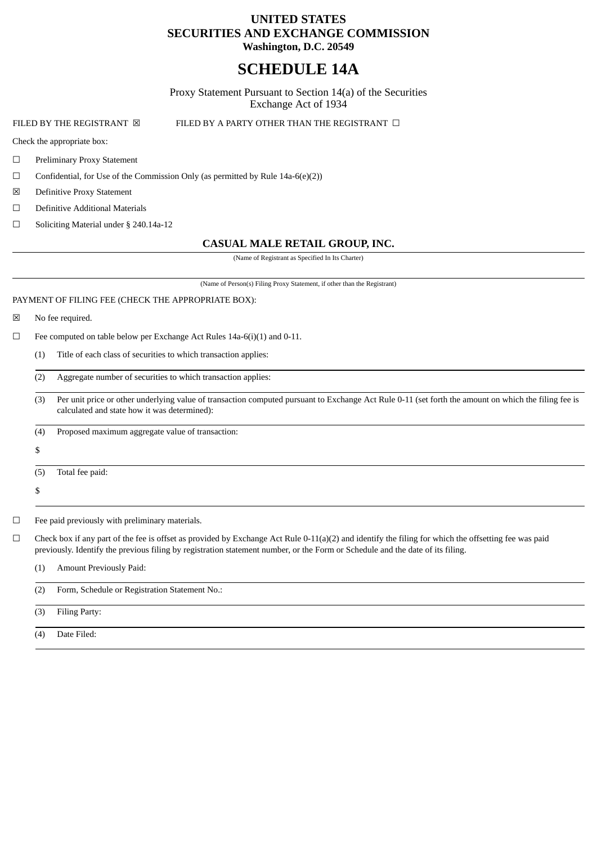# **UNITED STATES SECURITIES AND EXCHANGE COMMISSION Washington, D.C. 20549**

# **SCHEDULE 14A**

Proxy Statement Pursuant to Section 14(a) of the Securities Exchange Act of 1934

FILED BY THE REGISTRANT ⊠ FILED BY A PARTY OTHER THAN THE REGISTRANT □

Check the appropriate box:

- ☐ Preliminary Proxy Statement
- $\Box$  Confidential, for Use of the Commission Only (as permitted by Rule 14a-6(e)(2))
- ☒ Definitive Proxy Statement
- ☐ Definitive Additional Materials
- ☐ Soliciting Material under § 240.14a-12

# **CASUAL MALE RETAIL GROUP, INC.**

(Name of Registrant as Specified In Its Charter)

(Name of Person(s) Filing Proxy Statement, if other than the Registrant)

# PAYMENT OF FILING FEE (CHECK THE APPROPRIATE BOX):

☒ No fee required.

☐ Fee computed on table below per Exchange Act Rules 14a-6(i)(1) and 0-11.

(1) Title of each class of securities to which transaction applies:

(2) Aggregate number of securities to which transaction applies:

(3) Per unit price or other underlying value of transaction computed pursuant to Exchange Act Rule 0-11 (set forth the amount on which the filing fee is calculated and state how it was determined):

(4) Proposed maximum aggregate value of transaction:

- \$
- (5) Total fee paid:
- \$

☐ Fee paid previously with preliminary materials.

- $\Box$  Check box if any part of the fee is offset as provided by Exchange Act Rule 0-11(a)(2) and identify the filing for which the offsetting fee was paid previously. Identify the previous filing by registration statement number, or the Form or Schedule and the date of its filing.
	- (1) Amount Previously Paid:

| (2) | Form, Schedule or Registration Statement No.: |
|-----|-----------------------------------------------|
| (3) | Filing Party:                                 |
| (4) | Date Filed:                                   |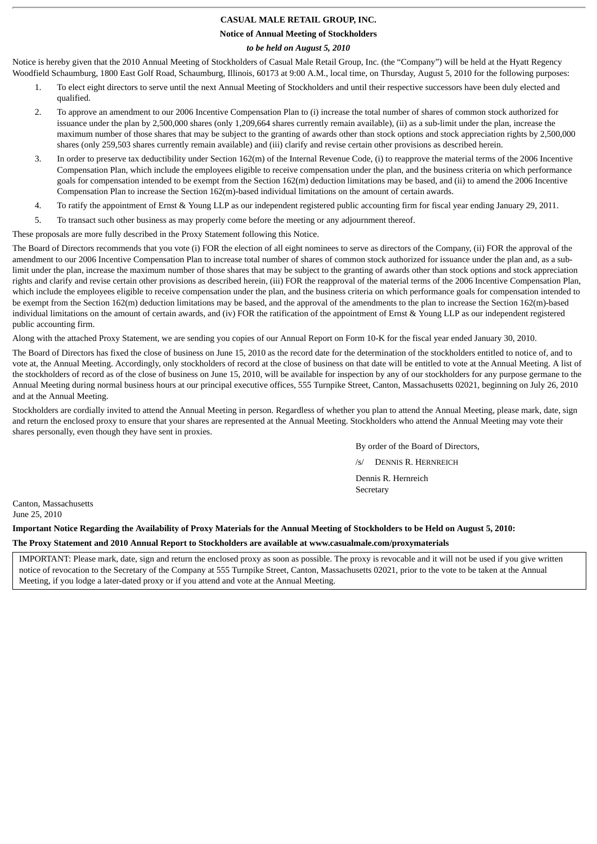# **CASUAL MALE RETAIL GROUP, INC.**

**Notice of Annual Meeting of Stockholders**

# *to be held on August 5, 2010*

Notice is hereby given that the 2010 Annual Meeting of Stockholders of Casual Male Retail Group, Inc. (the "Company") will be held at the Hyatt Regency Woodfield Schaumburg, 1800 East Golf Road, Schaumburg, Illinois, 60173 at 9:00 A.M., local time, on Thursday, August 5, 2010 for the following purposes:

- 1. To elect eight directors to serve until the next Annual Meeting of Stockholders and until their respective successors have been duly elected and qualified.
- 2. To approve an amendment to our 2006 Incentive Compensation Plan to (i) increase the total number of shares of common stock authorized for issuance under the plan by 2,500,000 shares (only 1,209,664 shares currently remain available), (ii) as a sub-limit under the plan, increase the maximum number of those shares that may be subject to the granting of awards other than stock options and stock appreciation rights by 2,500,000 shares (only 259,503 shares currently remain available) and (iii) clarify and revise certain other provisions as described herein.
- 3. In order to preserve tax deductibility under Section 162(m) of the Internal Revenue Code, (i) to reapprove the material terms of the 2006 Incentive Compensation Plan, which include the employees eligible to receive compensation under the plan, and the business criteria on which performance goals for compensation intended to be exempt from the Section 162(m) deduction limitations may be based, and (ii) to amend the 2006 Incentive Compensation Plan to increase the Section 162(m)-based individual limitations on the amount of certain awards.
- 4. To ratify the appointment of Ernst & Young LLP as our independent registered public accounting firm for fiscal year ending January 29, 2011.
- 5. To transact such other business as may properly come before the meeting or any adjournment thereof.

These proposals are more fully described in the Proxy Statement following this Notice.

The Board of Directors recommends that you vote (i) FOR the election of all eight nominees to serve as directors of the Company, (ii) FOR the approval of the amendment to our 2006 Incentive Compensation Plan to increase total number of shares of common stock authorized for issuance under the plan and, as a sublimit under the plan, increase the maximum number of those shares that may be subject to the granting of awards other than stock options and stock appreciation rights and clarify and revise certain other provisions as described herein, (iii) FOR the reapproval of the material terms of the 2006 Incentive Compensation Plan, which include the employees eligible to receive compensation under the plan, and the business criteria on which performance goals for compensation intended to be exempt from the Section 162(m) deduction limitations may be based, and the approval of the amendments to the plan to increase the Section 162(m)-based individual limitations on the amount of certain awards, and (iv) FOR the ratification of the appointment of Ernst & Young LLP as our independent registered public accounting firm.

Along with the attached Proxy Statement, we are sending you copies of our Annual Report on Form 10-K for the fiscal year ended January 30, 2010.

The Board of Directors has fixed the close of business on June 15, 2010 as the record date for the determination of the stockholders entitled to notice of, and to vote at, the Annual Meeting. Accordingly, only stockholders of record at the close of business on that date will be entitled to vote at the Annual Meeting. A list of the stockholders of record as of the close of business on June 15, 2010, will be available for inspection by any of our stockholders for any purpose germane to the Annual Meeting during normal business hours at our principal executive offices, 555 Turnpike Street, Canton, Massachusetts 02021, beginning on July 26, 2010 and at the Annual Meeting.

Stockholders are cordially invited to attend the Annual Meeting in person. Regardless of whether you plan to attend the Annual Meeting, please mark, date, sign and return the enclosed proxy to ensure that your shares are represented at the Annual Meeting. Stockholders who attend the Annual Meeting may vote their shares personally, even though they have sent in proxies.

By order of the Board of Directors,

/s/ DENNIS R. HERNREICH Dennis R. Hernreich **Secretary** 

Canton, Massachusetts June 25, 2010

**Important Notice Regarding the Availability of Proxy Materials for the Annual Meeting of Stockholders to be Held on August 5, 2010:**

**The Proxy Statement and 2010 Annual Report to Stockholders are available at www.casualmale.com/proxymaterials**

IMPORTANT: Please mark, date, sign and return the enclosed proxy as soon as possible. The proxy is revocable and it will not be used if you give written notice of revocation to the Secretary of the Company at 555 Turnpike Street, Canton, Massachusetts 02021, prior to the vote to be taken at the Annual Meeting, if you lodge a later-dated proxy or if you attend and vote at the Annual Meeting.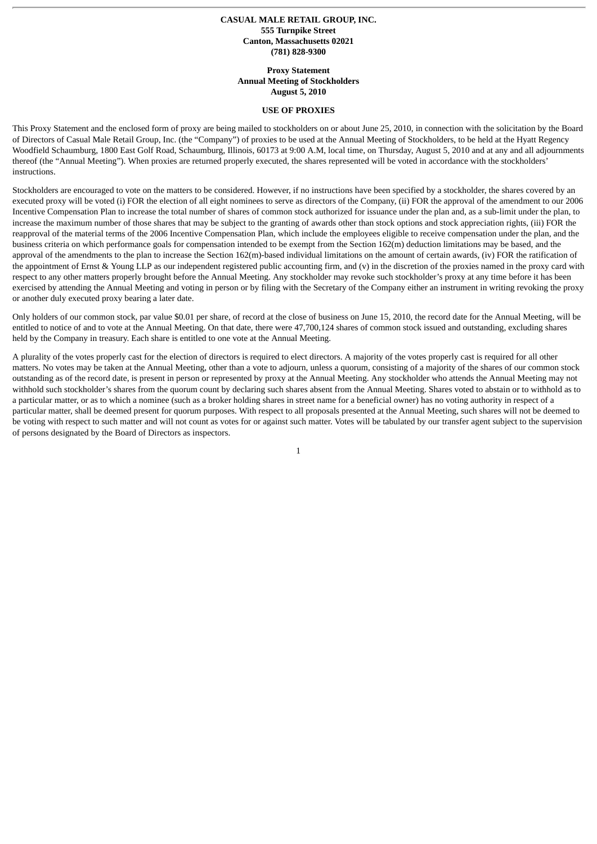### **CASUAL MALE RETAIL GROUP, INC. 555 Turnpike Street Canton, Massachusetts 02021 (781) 828-9300**

### **Proxy Statement Annual Meeting of Stockholders August 5, 2010**

#### **USE OF PROXIES**

This Proxy Statement and the enclosed form of proxy are being mailed to stockholders on or about June 25, 2010, in connection with the solicitation by the Board of Directors of Casual Male Retail Group, Inc. (the "Company") of proxies to be used at the Annual Meeting of Stockholders, to be held at the Hyatt Regency Woodfield Schaumburg, 1800 East Golf Road, Schaumburg, Illinois, 60173 at 9:00 A.M, local time, on Thursday, August 5, 2010 and at any and all adjournments thereof (the "Annual Meeting"). When proxies are returned properly executed, the shares represented will be voted in accordance with the stockholders' instructions.

Stockholders are encouraged to vote on the matters to be considered. However, if no instructions have been specified by a stockholder, the shares covered by an executed proxy will be voted (i) FOR the election of all eight nominees to serve as directors of the Company, (ii) FOR the approval of the amendment to our 2006 Incentive Compensation Plan to increase the total number of shares of common stock authorized for issuance under the plan and, as a sub-limit under the plan, to increase the maximum number of those shares that may be subject to the granting of awards other than stock options and stock appreciation rights, (iii) FOR the reapproval of the material terms of the 2006 Incentive Compensation Plan, which include the employees eligible to receive compensation under the plan, and the business criteria on which performance goals for compensation intended to be exempt from the Section 162(m) deduction limitations may be based, and the approval of the amendments to the plan to increase the Section 162(m)-based individual limitations on the amount of certain awards, (iv) FOR the ratification of the appointment of Ernst & Young LLP as our independent registered public accounting firm, and (v) in the discretion of the proxies named in the proxy card with respect to any other matters properly brought before the Annual Meeting. Any stockholder may revoke such stockholder's proxy at any time before it has been exercised by attending the Annual Meeting and voting in person or by filing with the Secretary of the Company either an instrument in writing revoking the proxy or another duly executed proxy bearing a later date.

Only holders of our common stock, par value \$0.01 per share, of record at the close of business on June 15, 2010, the record date for the Annual Meeting, will be entitled to notice of and to vote at the Annual Meeting. On that date, there were 47,700,124 shares of common stock issued and outstanding, excluding shares held by the Company in treasury. Each share is entitled to one vote at the Annual Meeting.

A plurality of the votes properly cast for the election of directors is required to elect directors. A majority of the votes properly cast is required for all other matters. No votes may be taken at the Annual Meeting, other than a vote to adjourn, unless a quorum, consisting of a majority of the shares of our common stock outstanding as of the record date, is present in person or represented by proxy at the Annual Meeting. Any stockholder who attends the Annual Meeting may not withhold such stockholder's shares from the quorum count by declaring such shares absent from the Annual Meeting. Shares voted to abstain or to withhold as to a particular matter, or as to which a nominee (such as a broker holding shares in street name for a beneficial owner) has no voting authority in respect of a particular matter, shall be deemed present for quorum purposes. With respect to all proposals presented at the Annual Meeting, such shares will not be deemed to be voting with respect to such matter and will not count as votes for or against such matter. Votes will be tabulated by our transfer agent subject to the supervision of persons designated by the Board of Directors as inspectors.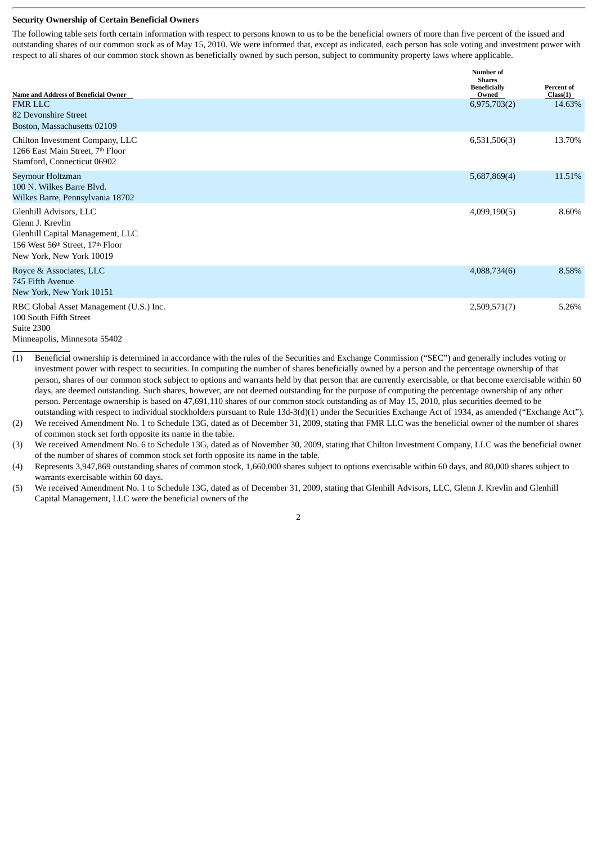#### **Security Ownership of Certain Beneficial Owners**

The following table sets forth certain information with respect to persons known to us to be the beneficial owners of more than five percent of the issued and outstanding shares of our common stock as of May 15, 2010. We were informed that, except as indicated, each person has sole voting and investment power with respect to all shares of our common stock shown as beneficially owned by such person, subject to community property laws where applicable.

| <b>Name and Address of Beneficial Owner</b>                                                                                                    | Number of<br><b>Shares</b><br><b>Beneficially</b><br>Owned | Percent of<br>Class(1) |
|------------------------------------------------------------------------------------------------------------------------------------------------|------------------------------------------------------------|------------------------|
| <b>FMR LLC</b><br>82 Devonshire Street<br>Boston, Massachusetts 02109                                                                          | 6,975,703(2)                                               | 14.63%                 |
| Chilton Investment Company, LLC<br>1266 East Main Street, 7th Floor<br>Stamford, Connecticut 06902                                             | 6,531,506(3)                                               | 13.70%                 |
| Seymour Holtzman<br>100 N. Wilkes Barre Blyd.<br>Wilkes Barre, Pennsylvania 18702                                                              | 5,687,869(4)                                               | 11.51%                 |
| Glenhill Advisors, LLC<br>Glenn J. Krevlin<br>Glenhill Capital Management, LLC<br>156 West 56th Street, 17th Floor<br>New York, New York 10019 | 4,099,190(5)                                               | 8.60%                  |
| Royce & Associates, LLC<br>745 Fifth Avenue<br>New York, New York 10151                                                                        | 4,088,734(6)                                               | 8.58%                  |
| RBC Global Asset Management (U.S.) Inc.<br>100 South Fifth Street<br>Suite 2300                                                                | 2,509,571(7)                                               | 5.26%                  |

Minneapolis, Minnesota 55402

- (1) Beneficial ownership is determined in accordance with the rules of the Securities and Exchange Commission ("SEC") and generally includes voting or investment power with respect to securities. In computing the number of shares beneficially owned by a person and the percentage ownership of that person, shares of our common stock subject to options and warrants held by that person that are currently exercisable, or that become exercisable within 60 days, are deemed outstanding. Such shares, however, are not deemed outstanding for the purpose of computing the percentage ownership of any other person. Percentage ownership is based on 47,691,110 shares of our common stock outstanding as of May 15, 2010, plus securities deemed to be outstanding with respect to individual stockholders pursuant to Rule 13d-3(d)(1) under the Securities Exchange Act of 1934, as amended ("Exchange Act").
- (2) We received Amendment No. 1 to Schedule 13G, dated as of December 31, 2009, stating that FMR LLC was the beneficial owner of the number of shares of common stock set forth opposite its name in the table.
- (3) We received Amendment No. 6 to Schedule 13G, dated as of November 30, 2009, stating that Chilton Investment Company, LLC was the beneficial owner of the number of shares of common stock set forth opposite its name in the table.
- (4) Represents 3,947,869 outstanding shares of common stock, 1,660,000 shares subject to options exercisable within 60 days, and 80,000 shares subject to warrants exercisable within 60 days.
- (5) We received Amendment No. 1 to Schedule 13G, dated as of December 31, 2009, stating that Glenhill Advisors, LLC, Glenn J. Krevlin and Glenhill Capital Management, LLC were the beneficial owners of the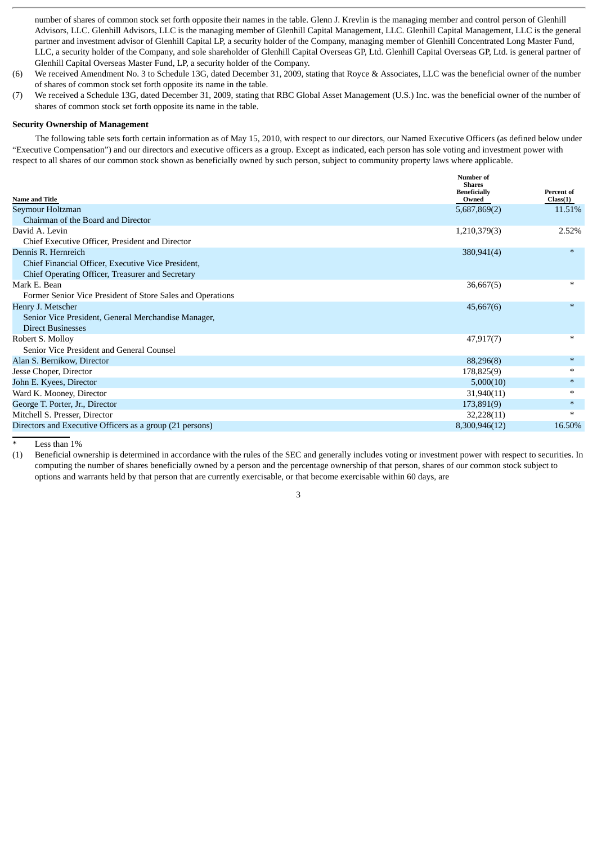number of shares of common stock set forth opposite their names in the table. Glenn J. Krevlin is the managing member and control person of Glenhill Advisors, LLC. Glenhill Advisors, LLC is the managing member of Glenhill Capital Management, LLC. Glenhill Capital Management, LLC is the general partner and investment advisor of Glenhill Capital LP, a security holder of the Company, managing member of Glenhill Concentrated Long Master Fund, LLC, a security holder of the Company, and sole shareholder of Glenhill Capital Overseas GP, Ltd. Glenhill Capital Overseas GP, Ltd. is general partner of Glenhill Capital Overseas Master Fund, LP, a security holder of the Company.

- (6) We received Amendment No. 3 to Schedule 13G, dated December 31, 2009, stating that Royce & Associates, LLC was the beneficial owner of the number of shares of common stock set forth opposite its name in the table.
- (7) We received a Schedule 13G, dated December 31, 2009, stating that RBC Global Asset Management (U.S.) Inc. was the beneficial owner of the number of shares of common stock set forth opposite its name in the table.

# **Security Ownership of Management**

The following table sets forth certain information as of May 15, 2010, with respect to our directors, our Named Executive Officers (as defined below under "Executive Compensation") and our directors and executive officers as a group. Except as indicated, each person has sole voting and investment power with respect to all shares of our common stock shown as beneficially owned by such person, subject to community property laws where applicable.

| <b>Name and Title</b>                                      | Number of<br><b>Shares</b><br><b>Beneficially</b><br>Owned | Percent of<br>Class(1) |
|------------------------------------------------------------|------------------------------------------------------------|------------------------|
| Seymour Holtzman                                           | 5,687,869(2)                                               | 11.51%                 |
| Chairman of the Board and Director                         |                                                            |                        |
| David A. Levin                                             | 1,210,379(3)                                               | 2.52%                  |
| Chief Executive Officer, President and Director            |                                                            |                        |
| Dennis R. Hernreich                                        | 380,941(4)                                                 | $*$                    |
| Chief Financial Officer, Executive Vice President,         |                                                            |                        |
| Chief Operating Officer, Treasurer and Secretary           |                                                            |                        |
| Mark E. Bean                                               | 36,667(5)                                                  | $\ast$                 |
| Former Senior Vice President of Store Sales and Operations |                                                            |                        |
| Henry J. Metscher                                          | 45,667(6)                                                  | $*$                    |
| Senior Vice President, General Merchandise Manager,        |                                                            |                        |
| <b>Direct Businesses</b>                                   |                                                            |                        |
| Robert S. Molloy                                           | 47,917(7)                                                  | $*$                    |
| Senior Vice President and General Counsel                  |                                                            |                        |
| Alan S. Bernikow, Director                                 | 88,296(8)                                                  | $*$                    |
| Jesse Choper, Director                                     | 178,825(9)                                                 | $\ast$                 |
| John E. Kyees, Director                                    | 5,000(10)                                                  | $\ast$                 |
| Ward K. Mooney, Director                                   | 31,940(11)                                                 | $\ast$                 |
| George T. Porter, Jr., Director                            | 173,891(9)                                                 | $*$                    |
| Mitchell S. Presser, Director                              | 32,228(11)                                                 | $\ast$                 |
| Directors and Executive Officers as a group (21 persons)   | 8,300,946(12)                                              | 16.50%                 |
|                                                            |                                                            |                        |

Less than  $1%$ 

(1) Beneficial ownership is determined in accordance with the rules of the SEC and generally includes voting or investment power with respect to securities. In computing the number of shares beneficially owned by a person and the percentage ownership of that person, shares of our common stock subject to options and warrants held by that person that are currently exercisable, or that become exercisable within 60 days, are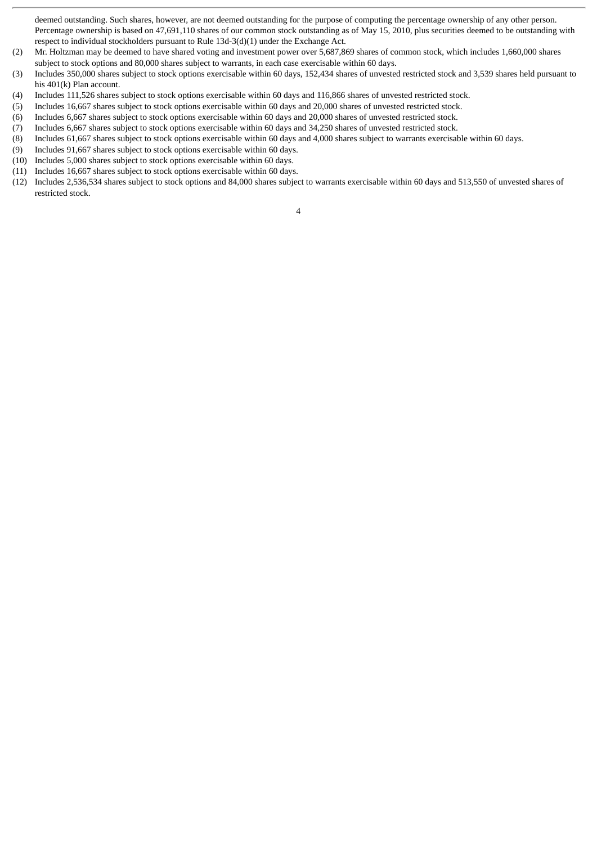deemed outstanding. Such shares, however, are not deemed outstanding for the purpose of computing the percentage ownership of any other person. Percentage ownership is based on 47,691,110 shares of our common stock outstanding as of May 15, 2010, plus securities deemed to be outstanding with respect to individual stockholders pursuant to Rule 13d-3(d)(1) under the Exchange Act.

- (2) Mr. Holtzman may be deemed to have shared voting and investment power over 5,687,869 shares of common stock, which includes 1,660,000 shares subject to stock options and 80,000 shares subject to warrants, in each case exercisable within 60 days.
- (3) Includes 350,000 shares subject to stock options exercisable within 60 days, 152,434 shares of unvested restricted stock and 3,539 shares held pursuant to his 401(k) Plan account.
- (4) Includes 111,526 shares subject to stock options exercisable within 60 days and 116,866 shares of unvested restricted stock.
- (5) Includes 16,667 shares subject to stock options exercisable within 60 days and 20,000 shares of unvested restricted stock.
- (6) Includes 6,667 shares subject to stock options exercisable within 60 days and 20,000 shares of unvested restricted stock.
- (7) Includes 6,667 shares subject to stock options exercisable within 60 days and 34,250 shares of unvested restricted stock.
- (8) Includes 61,667 shares subject to stock options exercisable within 60 days and 4,000 shares subject to warrants exercisable within 60 days.
- (9) Includes 91,667 shares subject to stock options exercisable within 60 days.
- (10) Includes 5,000 shares subject to stock options exercisable within 60 days.
- (11) Includes 16,667 shares subject to stock options exercisable within 60 days.
- (12) Includes 2,536,534 shares subject to stock options and 84,000 shares subject to warrants exercisable within 60 days and 513,550 of unvested shares of restricted stock.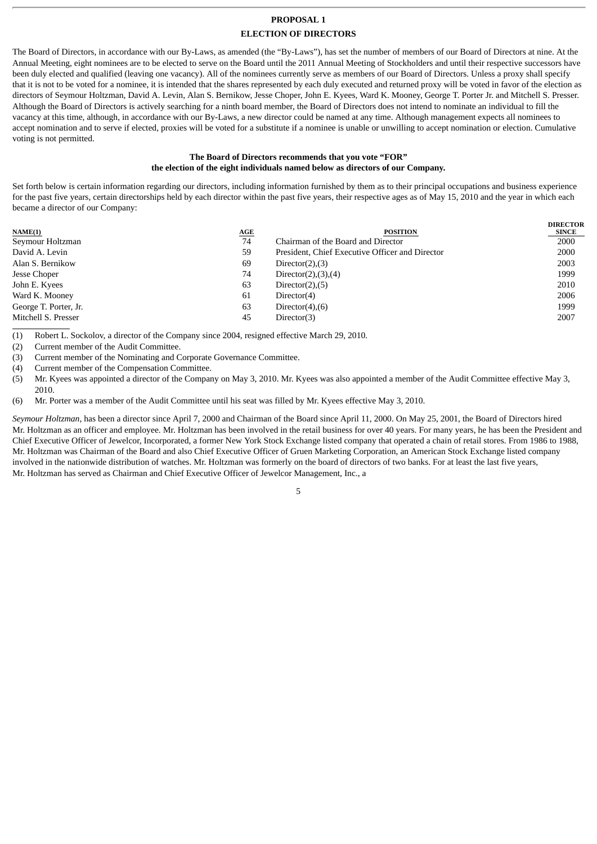# **PROPOSAL 1**

# **ELECTION OF DIRECTORS**

The Board of Directors, in accordance with our By-Laws, as amended (the "By-Laws"), has set the number of members of our Board of Directors at nine. At the Annual Meeting, eight nominees are to be elected to serve on the Board until the 2011 Annual Meeting of Stockholders and until their respective successors have been duly elected and qualified (leaving one vacancy). All of the nominees currently serve as members of our Board of Directors. Unless a proxy shall specify that it is not to be voted for a nominee, it is intended that the shares represented by each duly executed and returned proxy will be voted in favor of the election as directors of Seymour Holtzman, David A. Levin, Alan S. Bernikow, Jesse Choper, John E. Kyees, Ward K. Mooney, George T. Porter Jr. and Mitchell S. Presser. Although the Board of Directors is actively searching for a ninth board member, the Board of Directors does not intend to nominate an individual to fill the vacancy at this time, although, in accordance with our By-Laws, a new director could be named at any time. Although management expects all nominees to accept nomination and to serve if elected, proxies will be voted for a substitute if a nominee is unable or unwilling to accept nomination or election. Cumulative voting is not permitted.

# **The Board of Directors recommends that you vote "FOR" the election of the eight individuals named below as directors of our Company.**

Set forth below is certain information regarding our directors, including information furnished by them as to their principal occupations and business experience for the past five years, certain directorships held by each director within the past five years, their respective ages as of May 15, 2010 and the year in which each became a director of our Company:

|    |                                                 | <b>DIRECTOR</b> |
|----|-------------------------------------------------|-----------------|
|    |                                                 | <b>SINCE</b>    |
| 74 | Chairman of the Board and Director              | 2000            |
| 59 | President, Chief Executive Officer and Director | 2000            |
| 69 | Director $(2), (3)$                             | 2003            |
| 74 | Director $(2)$ , $(3)$ , $(4)$                  | 1999            |
| 63 | Director $(2)$ , $(5)$                          | 2010            |
| 61 | Director(4)                                     | 2006            |
| 63 | Director $(4)$ , $(6)$                          | 1999            |
| 45 | Director(3)                                     | 2007            |
|    | AGE                                             | <b>POSITION</b> |

(1) Robert L. Sockolov, a director of the Company since 2004, resigned effective March 29, 2010.

(2) Current member of the Audit Committee.

(3) Current member of the Nominating and Corporate Governance Committee.

(4) Current member of the Compensation Committee.

(5) Mr. Kyees was appointed a director of the Company on May 3, 2010. Mr. Kyees was also appointed a member of the Audit Committee effective May 3, 2010.

(6) Mr. Porter was a member of the Audit Committee until his seat was filled by Mr. Kyees effective May 3, 2010.

*Seymour Holtzman*, has been a director since April 7, 2000 and Chairman of the Board since April 11, 2000. On May 25, 2001, the Board of Directors hired Mr. Holtzman as an officer and employee. Mr. Holtzman has been involved in the retail business for over 40 years. For many years, he has been the President and Chief Executive Officer of Jewelcor, Incorporated, a former New York Stock Exchange listed company that operated a chain of retail stores. From 1986 to 1988, Mr. Holtzman was Chairman of the Board and also Chief Executive Officer of Gruen Marketing Corporation, an American Stock Exchange listed company involved in the nationwide distribution of watches. Mr. Holtzman was formerly on the board of directors of two banks. For at least the last five years, Mr. Holtzman has served as Chairman and Chief Executive Officer of Jewelcor Management, Inc., a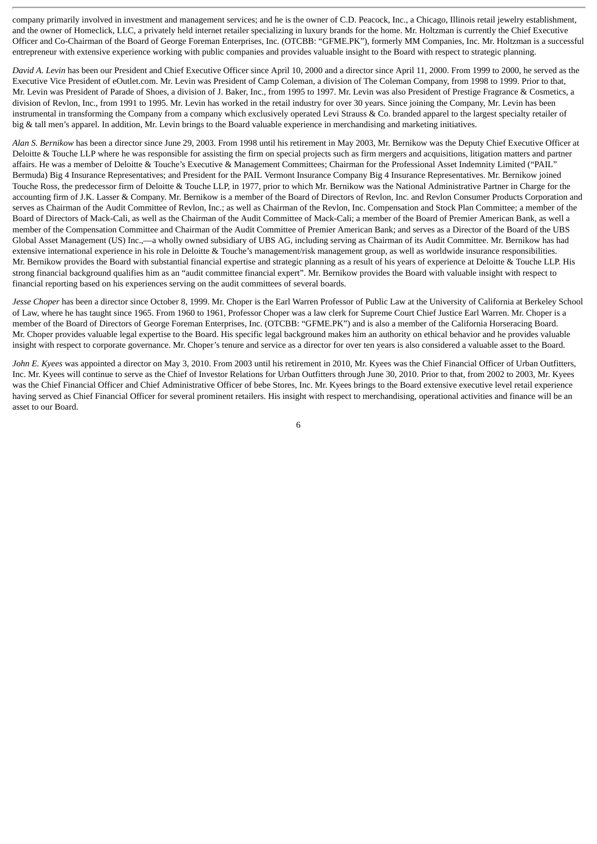company primarily involved in investment and management services; and he is the owner of C.D. Peacock, Inc., a Chicago, Illinois retail jewelry establishment, and the owner of Homeclick, LLC, a privately held internet retailer specializing in luxury brands for the home. Mr. Holtzman is currently the Chief Executive Officer and Co-Chairman of the Board of George Foreman Enterprises, Inc. (OTCBB: "GFME.PK"), formerly MM Companies, Inc. Mr. Holtzman is a successful entrepreneur with extensive experience working with public companies and provides valuable insight to the Board with respect to strategic planning.

*David A. Levin* has been our President and Chief Executive Officer since April 10, 2000 and a director since April 11, 2000. From 1999 to 2000, he served as the Executive Vice President of eOutlet.com. Mr. Levin was President of Camp Coleman, a division of The Coleman Company, from 1998 to 1999. Prior to that, Mr. Levin was President of Parade of Shoes, a division of J. Baker, Inc., from 1995 to 1997. Mr. Levin was also President of Prestige Fragrance & Cosmetics, a division of Revlon, Inc., from 1991 to 1995. Mr. Levin has worked in the retail industry for over 30 years. Since joining the Company, Mr. Levin has been instrumental in transforming the Company from a company which exclusively operated Levi Strauss & Co. branded apparel to the largest specialty retailer of big & tall men's apparel. In addition, Mr. Levin brings to the Board valuable experience in merchandising and marketing initiatives.

*Alan S. Bernikow* has been a director since June 29, 2003. From 1998 until his retirement in May 2003, Mr. Bernikow was the Deputy Chief Executive Officer at Deloitte & Touche LLP where he was responsible for assisting the firm on special projects such as firm mergers and acquisitions, litigation matters and partner affairs. He was a member of Deloitte & Touche's Executive & Management Committees; Chairman for the Professional Asset Indemnity Limited ("PAIL" Bermuda) Big 4 Insurance Representatives; and President for the PAIL Vermont Insurance Company Big 4 Insurance Representatives. Mr. Bernikow joined Touche Ross, the predecessor firm of Deloitte & Touche LLP, in 1977, prior to which Mr. Bernikow was the National Administrative Partner in Charge for the accounting firm of J.K. Lasser & Company. Mr. Bernikow is a member of the Board of Directors of Revlon, Inc. and Revlon Consumer Products Corporation and serves as Chairman of the Audit Committee of Revlon, Inc.; as well as Chairman of the Revlon, Inc. Compensation and Stock Plan Committee; a member of the Board of Directors of Mack-Cali, as well as the Chairman of the Audit Committee of Mack-Cali; a member of the Board of Premier American Bank, as well a member of the Compensation Committee and Chairman of the Audit Committee of Premier American Bank; and serves as a Director of the Board of the UBS Global Asset Management (US) Inc.,—a wholly owned subsidiary of UBS AG, including serving as Chairman of its Audit Committee. Mr. Bernikow has had extensive international experience in his role in Deloitte & Touche's management/risk management group, as well as worldwide insurance responsibilities. Mr. Bernikow provides the Board with substantial financial expertise and strategic planning as a result of his years of experience at Deloitte & Touche LLP. His strong financial background qualifies him as an "audit committee financial expert". Mr. Bernikow provides the Board with valuable insight with respect to financial reporting based on his experiences serving on the audit committees of several boards.

*Jesse Choper* has been a director since October 8, 1999. Mr. Choper is the Earl Warren Professor of Public Law at the University of California at Berkeley School of Law, where he has taught since 1965. From 1960 to 1961, Professor Choper was a law clerk for Supreme Court Chief Justice Earl Warren. Mr. Choper is a member of the Board of Directors of George Foreman Enterprises, Inc. (OTCBB: "GFME.PK") and is also a member of the California Horseracing Board. Mr. Choper provides valuable legal expertise to the Board. His specific legal background makes him an authority on ethical behavior and he provides valuable insight with respect to corporate governance. Mr. Choper's tenure and service as a director for over ten years is also considered a valuable asset to the Board.

*John E. Kyees* was appointed a director on May 3, 2010. From 2003 until his retirement in 2010, Mr. Kyees was the Chief Financial Officer of Urban Outfitters, Inc. Mr. Kyees will continue to serve as the Chief of Investor Relations for Urban Outfitters through June 30, 2010. Prior to that, from 2002 to 2003, Mr. Kyees was the Chief Financial Officer and Chief Administrative Officer of bebe Stores, Inc. Mr. Kyees brings to the Board extensive executive level retail experience having served as Chief Financial Officer for several prominent retailers. His insight with respect to merchandising, operational activities and finance will be an asset to our Board.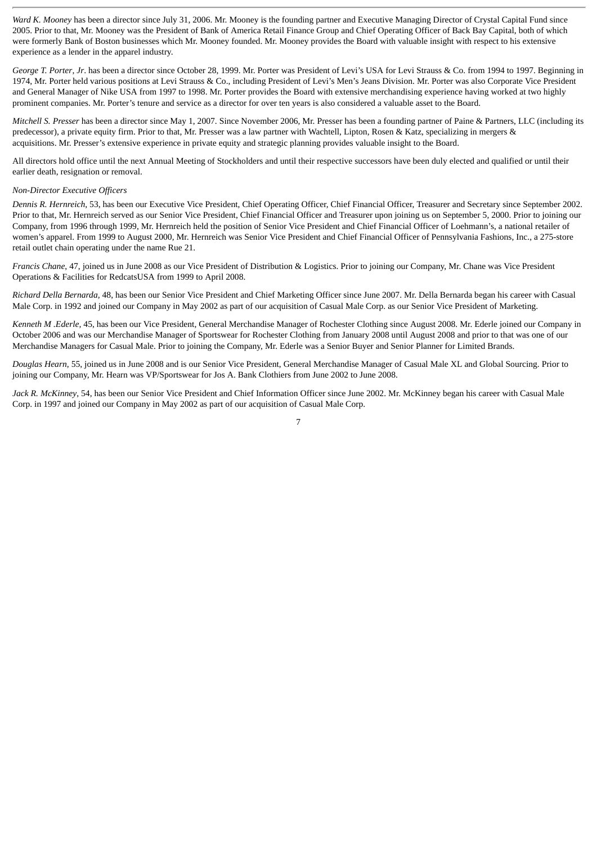*Ward K. Mooney* has been a director since July 31, 2006. Mr. Mooney is the founding partner and Executive Managing Director of Crystal Capital Fund since 2005. Prior to that, Mr. Mooney was the President of Bank of America Retail Finance Group and Chief Operating Officer of Back Bay Capital, both of which were formerly Bank of Boston businesses which Mr. Mooney founded. Mr. Mooney provides the Board with valuable insight with respect to his extensive experience as a lender in the apparel industry.

*George T. Porter*, *Jr*. has been a director since October 28, 1999. Mr. Porter was President of Levi's USA for Levi Strauss & Co. from 1994 to 1997. Beginning in 1974, Mr. Porter held various positions at Levi Strauss & Co., including President of Levi's Men's Jeans Division. Mr. Porter was also Corporate Vice President and General Manager of Nike USA from 1997 to 1998. Mr. Porter provides the Board with extensive merchandising experience having worked at two highly prominent companies. Mr. Porter's tenure and service as a director for over ten years is also considered a valuable asset to the Board.

*Mitchell S. Presser* has been a director since May 1, 2007. Since November 2006, Mr. Presser has been a founding partner of Paine & Partners, LLC (including its predecessor), a private equity firm. Prior to that, Mr. Presser was a law partner with Wachtell, Lipton, Rosen & Katz, specializing in mergers & acquisitions. Mr. Presser's extensive experience in private equity and strategic planning provides valuable insight to the Board.

All directors hold office until the next Annual Meeting of Stockholders and until their respective successors have been duly elected and qualified or until their earlier death, resignation or removal.

#### *Non-Director Executive Officers*

*Dennis R. Hernreich*, 53, has been our Executive Vice President, Chief Operating Officer, Chief Financial Officer, Treasurer and Secretary since September 2002. Prior to that, Mr. Hernreich served as our Senior Vice President, Chief Financial Officer and Treasurer upon joining us on September 5, 2000. Prior to joining our Company, from 1996 through 1999, Mr. Hernreich held the position of Senior Vice President and Chief Financial Officer of Loehmann's, a national retailer of women's apparel. From 1999 to August 2000, Mr. Hernreich was Senior Vice President and Chief Financial Officer of Pennsylvania Fashions, Inc., a 275-store retail outlet chain operating under the name Rue 21.

*Francis Chane*, 47, joined us in June 2008 as our Vice President of Distribution & Logistics. Prior to joining our Company, Mr. Chane was Vice President Operations & Facilities for RedcatsUSA from 1999 to April 2008.

*Richard Della Bernarda,* 48, has been our Senior Vice President and Chief Marketing Officer since June 2007. Mr. Della Bernarda began his career with Casual Male Corp. in 1992 and joined our Company in May 2002 as part of our acquisition of Casual Male Corp. as our Senior Vice President of Marketing.

*Kenneth M .Ederle,* 45, has been our Vice President, General Merchandise Manager of Rochester Clothing since August 2008. Mr. Ederle joined our Company in October 2006 and was our Merchandise Manager of Sportswear for Rochester Clothing from January 2008 until August 2008 and prior to that was one of our Merchandise Managers for Casual Male. Prior to joining the Company, Mr. Ederle was a Senior Buyer and Senior Planner for Limited Brands.

*Douglas Hearn*, 55, joined us in June 2008 and is our Senior Vice President, General Merchandise Manager of Casual Male XL and Global Sourcing. Prior to joining our Company, Mr. Hearn was VP/Sportswear for Jos A. Bank Clothiers from June 2002 to June 2008.

*Jack R. McKinney*, 54, has been our Senior Vice President and Chief Information Officer since June 2002. Mr. McKinney began his career with Casual Male Corp. in 1997 and joined our Company in May 2002 as part of our acquisition of Casual Male Corp.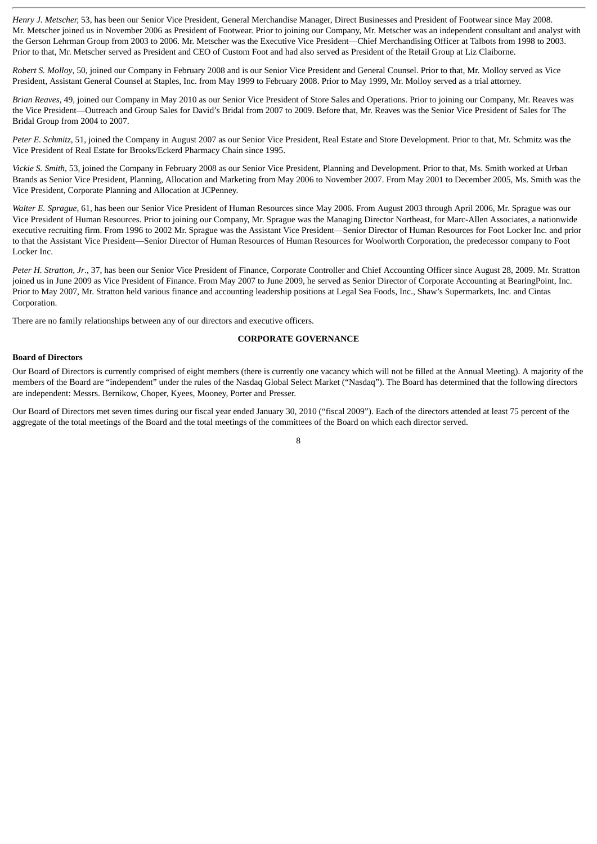*Henry J. Metscher,* 53, has been our Senior Vice President, General Merchandise Manager, Direct Businesses and President of Footwear since May 2008. Mr. Metscher joined us in November 2006 as President of Footwear. Prior to joining our Company, Mr. Metscher was an independent consultant and analyst with the Gerson Lehrman Group from 2003 to 2006. Mr. Metscher was the Executive Vice President—Chief Merchandising Officer at Talbots from 1998 to 2003. Prior to that, Mr. Metscher served as President and CEO of Custom Foot and had also served as President of the Retail Group at Liz Claiborne.

*Robert S. Molloy*, 50, joined our Company in February 2008 and is our Senior Vice President and General Counsel. Prior to that, Mr. Molloy served as Vice President, Assistant General Counsel at Staples, Inc. from May 1999 to February 2008. Prior to May 1999, Mr. Molloy served as a trial attorney.

*Brian Reaves*, 49, joined our Company in May 2010 as our Senior Vice President of Store Sales and Operations. Prior to joining our Company, Mr. Reaves was the Vice President—Outreach and Group Sales for David's Bridal from 2007 to 2009. Before that, Mr. Reaves was the Senior Vice President of Sales for The Bridal Group from 2004 to 2007.

*Peter E. Schmitz*, 51, joined the Company in August 2007 as our Senior Vice President, Real Estate and Store Development. Prior to that, Mr. Schmitz was the Vice President of Real Estate for Brooks/Eckerd Pharmacy Chain since 1995.

*Vickie S. Smith*, 53, joined the Company in February 2008 as our Senior Vice President, Planning and Development. Prior to that, Ms. Smith worked at Urban Brands as Senior Vice President, Planning, Allocation and Marketing from May 2006 to November 2007. From May 2001 to December 2005, Ms. Smith was the Vice President, Corporate Planning and Allocation at JCPenney.

*Walter E. Sprague,* 61, has been our Senior Vice President of Human Resources since May 2006. From August 2003 through April 2006, Mr. Sprague was our Vice President of Human Resources. Prior to joining our Company, Mr. Sprague was the Managing Director Northeast, for Marc-Allen Associates, a nationwide executive recruiting firm. From 1996 to 2002 Mr. Sprague was the Assistant Vice President—Senior Director of Human Resources for Foot Locker Inc. and prior to that the Assistant Vice President—Senior Director of Human Resources of Human Resources for Woolworth Corporation, the predecessor company to Foot Locker Inc.

*Peter H. Stratton, Jr*., 37, has been our Senior Vice President of Finance, Corporate Controller and Chief Accounting Officer since August 28, 2009. Mr. Stratton joined us in June 2009 as Vice President of Finance. From May 2007 to June 2009, he served as Senior Director of Corporate Accounting at BearingPoint, Inc. Prior to May 2007, Mr. Stratton held various finance and accounting leadership positions at Legal Sea Foods, Inc., Shaw's Supermarkets, Inc. and Cintas Corporation.

There are no family relationships between any of our directors and executive officers.

# **CORPORATE GOVERNANCE**

#### **Board of Directors**

Our Board of Directors is currently comprised of eight members (there is currently one vacancy which will not be filled at the Annual Meeting). A majority of the members of the Board are "independent" under the rules of the Nasdaq Global Select Market ("Nasdaq"). The Board has determined that the following directors are independent: Messrs. Bernikow, Choper, Kyees, Mooney, Porter and Presser.

Our Board of Directors met seven times during our fiscal year ended January 30, 2010 ("fiscal 2009"). Each of the directors attended at least 75 percent of the aggregate of the total meetings of the Board and the total meetings of the committees of the Board on which each director served.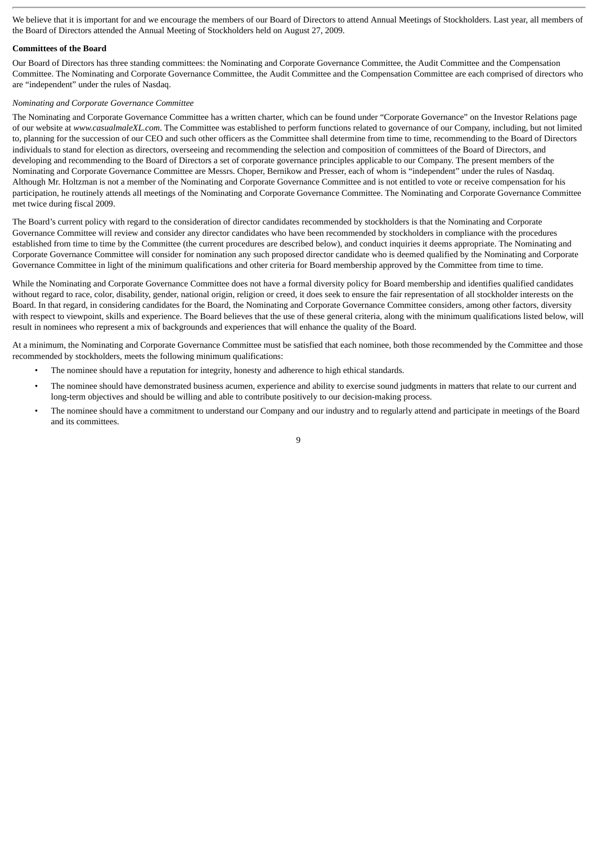We believe that it is important for and we encourage the members of our Board of Directors to attend Annual Meetings of Stockholders. Last year, all members of the Board of Directors attended the Annual Meeting of Stockholders held on August 27, 2009.

#### **Committees of the Board**

Our Board of Directors has three standing committees: the Nominating and Corporate Governance Committee, the Audit Committee and the Compensation Committee. The Nominating and Corporate Governance Committee, the Audit Committee and the Compensation Committee are each comprised of directors who are "independent" under the rules of Nasdaq.

#### *Nominating and Corporate Governance Committee*

The Nominating and Corporate Governance Committee has a written charter, which can be found under "Corporate Governance" on the Investor Relations page of our website at *www.casualmaleXL.com*. The Committee was established to perform functions related to governance of our Company, including, but not limited to, planning for the succession of our CEO and such other officers as the Committee shall determine from time to time, recommending to the Board of Directors individuals to stand for election as directors, overseeing and recommending the selection and composition of committees of the Board of Directors, and developing and recommending to the Board of Directors a set of corporate governance principles applicable to our Company. The present members of the Nominating and Corporate Governance Committee are Messrs. Choper, Bernikow and Presser, each of whom is "independent" under the rules of Nasdaq. Although Mr. Holtzman is not a member of the Nominating and Corporate Governance Committee and is not entitled to vote or receive compensation for his participation, he routinely attends all meetings of the Nominating and Corporate Governance Committee. The Nominating and Corporate Governance Committee met twice during fiscal 2009.

The Board's current policy with regard to the consideration of director candidates recommended by stockholders is that the Nominating and Corporate Governance Committee will review and consider any director candidates who have been recommended by stockholders in compliance with the procedures established from time to time by the Committee (the current procedures are described below), and conduct inquiries it deems appropriate. The Nominating and Corporate Governance Committee will consider for nomination any such proposed director candidate who is deemed qualified by the Nominating and Corporate Governance Committee in light of the minimum qualifications and other criteria for Board membership approved by the Committee from time to time.

While the Nominating and Corporate Governance Committee does not have a formal diversity policy for Board membership and identifies qualified candidates without regard to race, color, disability, gender, national origin, religion or creed, it does seek to ensure the fair representation of all stockholder interests on the Board. In that regard, in considering candidates for the Board, the Nominating and Corporate Governance Committee considers, among other factors, diversity with respect to viewpoint, skills and experience. The Board believes that the use of these general criteria, along with the minimum qualifications listed below, will result in nominees who represent a mix of backgrounds and experiences that will enhance the quality of the Board.

At a minimum, the Nominating and Corporate Governance Committee must be satisfied that each nominee, both those recommended by the Committee and those recommended by stockholders, meets the following minimum qualifications:

- The nominee should have a reputation for integrity, honesty and adherence to high ethical standards.
- The nominee should have demonstrated business acumen, experience and ability to exercise sound judgments in matters that relate to our current and long-term objectives and should be willing and able to contribute positively to our decision-making process.
- The nominee should have a commitment to understand our Company and our industry and to regularly attend and participate in meetings of the Board and its committees.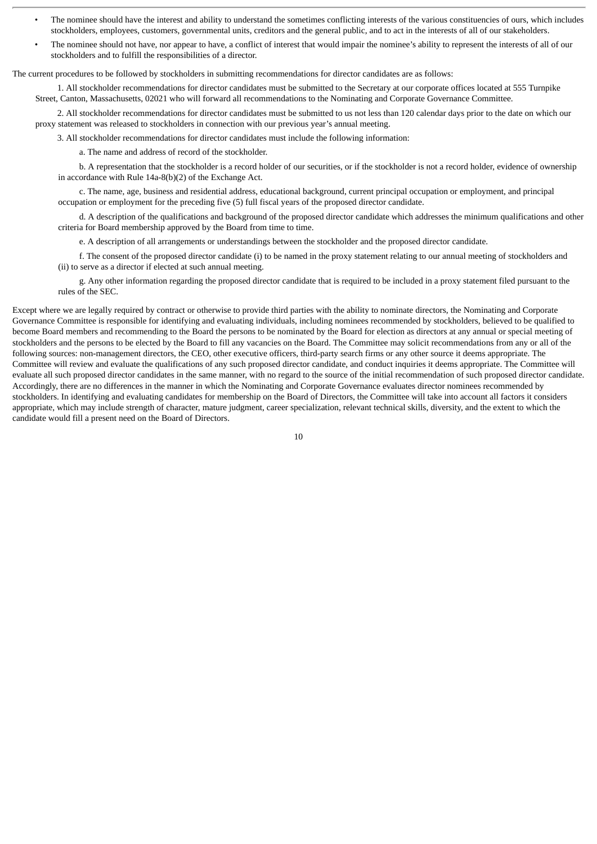- The nominee should have the interest and ability to understand the sometimes conflicting interests of the various constituencies of ours, which includes stockholders, employees, customers, governmental units, creditors and the general public, and to act in the interests of all of our stakeholders.
- The nominee should not have, nor appear to have, a conflict of interest that would impair the nominee's ability to represent the interests of all of our stockholders and to fulfill the responsibilities of a director.

The current procedures to be followed by stockholders in submitting recommendations for director candidates are as follows:

1. All stockholder recommendations for director candidates must be submitted to the Secretary at our corporate offices located at 555 Turnpike Street, Canton, Massachusetts, 02021 who will forward all recommendations to the Nominating and Corporate Governance Committee.

2. All stockholder recommendations for director candidates must be submitted to us not less than 120 calendar days prior to the date on which our proxy statement was released to stockholders in connection with our previous year's annual meeting.

3. All stockholder recommendations for director candidates must include the following information:

a. The name and address of record of the stockholder.

b. A representation that the stockholder is a record holder of our securities, or if the stockholder is not a record holder, evidence of ownership in accordance with Rule 14a-8(b)(2) of the Exchange Act.

c. The name, age, business and residential address, educational background, current principal occupation or employment, and principal occupation or employment for the preceding five (5) full fiscal years of the proposed director candidate.

d. A description of the qualifications and background of the proposed director candidate which addresses the minimum qualifications and other criteria for Board membership approved by the Board from time to time.

e. A description of all arrangements or understandings between the stockholder and the proposed director candidate.

f. The consent of the proposed director candidate (i) to be named in the proxy statement relating to our annual meeting of stockholders and (ii) to serve as a director if elected at such annual meeting.

g. Any other information regarding the proposed director candidate that is required to be included in a proxy statement filed pursuant to the rules of the SEC.

Except where we are legally required by contract or otherwise to provide third parties with the ability to nominate directors, the Nominating and Corporate Governance Committee is responsible for identifying and evaluating individuals, including nominees recommended by stockholders, believed to be qualified to become Board members and recommending to the Board the persons to be nominated by the Board for election as directors at any annual or special meeting of stockholders and the persons to be elected by the Board to fill any vacancies on the Board. The Committee may solicit recommendations from any or all of the following sources: non-management directors, the CEO, other executive officers, third-party search firms or any other source it deems appropriate. The Committee will review and evaluate the qualifications of any such proposed director candidate, and conduct inquiries it deems appropriate. The Committee will evaluate all such proposed director candidates in the same manner, with no regard to the source of the initial recommendation of such proposed director candidate. Accordingly, there are no differences in the manner in which the Nominating and Corporate Governance evaluates director nominees recommended by stockholders. In identifying and evaluating candidates for membership on the Board of Directors, the Committee will take into account all factors it considers appropriate, which may include strength of character, mature judgment, career specialization, relevant technical skills, diversity, and the extent to which the candidate would fill a present need on the Board of Directors.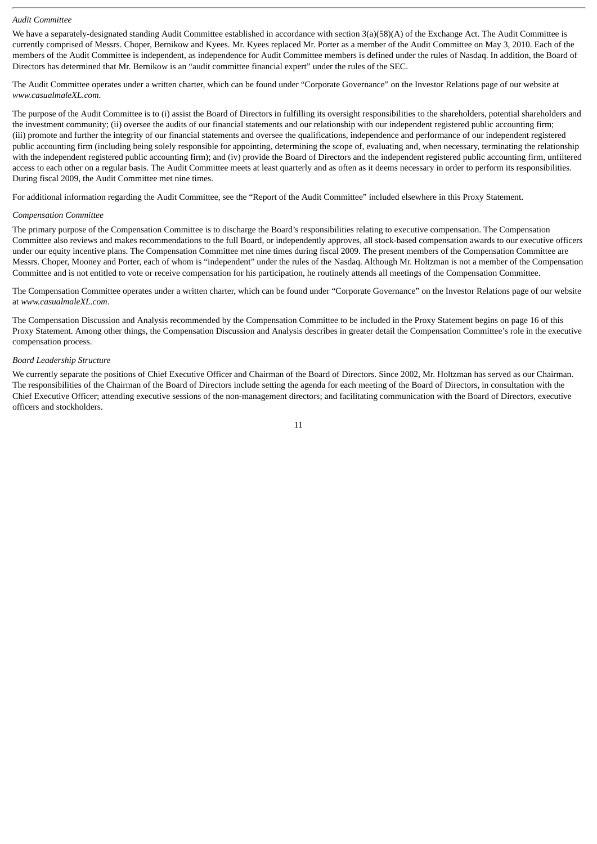#### *Audit Committee*

We have a separately-designated standing Audit Committee established in accordance with section  $3(a)(58)(A)$  of the Exchange Act. The Audit Committee is currently comprised of Messrs. Choper, Bernikow and Kyees. Mr. Kyees replaced Mr. Porter as a member of the Audit Committee on May 3, 2010. Each of the members of the Audit Committee is independent, as independence for Audit Committee members is defined under the rules of Nasdaq. In addition, the Board of Directors has determined that Mr. Bernikow is an "audit committee financial expert" under the rules of the SEC.

The Audit Committee operates under a written charter, which can be found under "Corporate Governance" on the Investor Relations page of our website at *www.casualmaleXL.com*.

The purpose of the Audit Committee is to (i) assist the Board of Directors in fulfilling its oversight responsibilities to the shareholders, potential shareholders and the investment community; (ii) oversee the audits of our financial statements and our relationship with our independent registered public accounting firm; (iii) promote and further the integrity of our financial statements and oversee the qualifications, independence and performance of our independent registered public accounting firm (including being solely responsible for appointing, determining the scope of, evaluating and, when necessary, terminating the relationship with the independent registered public accounting firm); and (iv) provide the Board of Directors and the independent registered public accounting firm, unfiltered access to each other on a regular basis. The Audit Committee meets at least quarterly and as often as it deems necessary in order to perform its responsibilities. During fiscal 2009, the Audit Committee met nine times.

For additional information regarding the Audit Committee, see the "Report of the Audit Committee" included elsewhere in this Proxy Statement.

#### *Compensation Committee*

The primary purpose of the Compensation Committee is to discharge the Board's responsibilities relating to executive compensation. The Compensation Committee also reviews and makes recommendations to the full Board, or independently approves, all stock-based compensation awards to our executive officers under our equity incentive plans. The Compensation Committee met nine times during fiscal 2009. The present members of the Compensation Committee are Messrs. Choper, Mooney and Porter, each of whom is "independent" under the rules of the Nasdaq. Although Mr. Holtzman is not a member of the Compensation Committee and is not entitled to vote or receive compensation for his participation, he routinely attends all meetings of the Compensation Committee.

The Compensation Committee operates under a written charter, which can be found under "Corporate Governance" on the Investor Relations page of our website at *www.casualmaleXL.com*.

The Compensation Discussion and Analysis recommended by the Compensation Committee to be included in the Proxy Statement begins on page 16 of this Proxy Statement. Among other things, the Compensation Discussion and Analysis describes in greater detail the Compensation Committee's role in the executive compensation process.

#### *Board Leadership Structure*

We currently separate the positions of Chief Executive Officer and Chairman of the Board of Directors. Since 2002, Mr. Holtzman has served as our Chairman. The responsibilities of the Chairman of the Board of Directors include setting the agenda for each meeting of the Board of Directors, in consultation with the Chief Executive Officer; attending executive sessions of the non-management directors; and facilitating communication with the Board of Directors, executive officers and stockholders.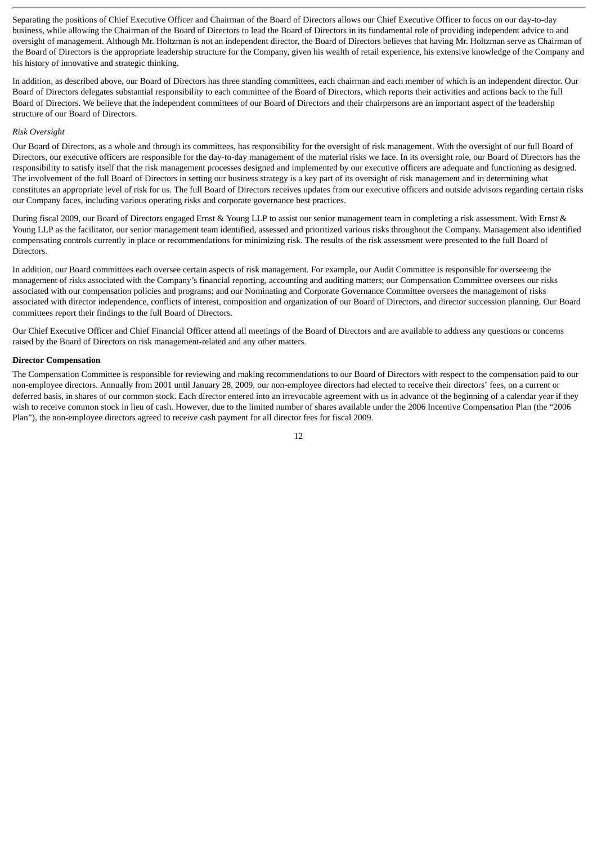Separating the positions of Chief Executive Officer and Chairman of the Board of Directors allows our Chief Executive Officer to focus on our day-to-day business, while allowing the Chairman of the Board of Directors to lead the Board of Directors in its fundamental role of providing independent advice to and oversight of management. Although Mr. Holtzman is not an independent director, the Board of Directors believes that having Mr. Holtzman serve as Chairman of the Board of Directors is the appropriate leadership structure for the Company, given his wealth of retail experience, his extensive knowledge of the Company and his history of innovative and strategic thinking.

In addition, as described above, our Board of Directors has three standing committees, each chairman and each member of which is an independent director. Our Board of Directors delegates substantial responsibility to each committee of the Board of Directors, which reports their activities and actions back to the full Board of Directors. We believe that the independent committees of our Board of Directors and their chairpersons are an important aspect of the leadership structure of our Board of Directors.

# *Risk Oversight*

Our Board of Directors, as a whole and through its committees, has responsibility for the oversight of risk management. With the oversight of our full Board of Directors, our executive officers are responsible for the day-to-day management of the material risks we face. In its oversight role, our Board of Directors has the responsibility to satisfy itself that the risk management processes designed and implemented by our executive officers are adequate and functioning as designed. The involvement of the full Board of Directors in setting our business strategy is a key part of its oversight of risk management and in determining what constitutes an appropriate level of risk for us. The full Board of Directors receives updates from our executive officers and outside advisors regarding certain risks our Company faces, including various operating risks and corporate governance best practices.

During fiscal 2009, our Board of Directors engaged Ernst & Young LLP to assist our senior management team in completing a risk assessment. With Ernst & Young LLP as the facilitator, our senior management team identified, assessed and prioritized various risks throughout the Company. Management also identified compensating controls currently in place or recommendations for minimizing risk. The results of the risk assessment were presented to the full Board of Directors.

In addition, our Board committees each oversee certain aspects of risk management. For example, our Audit Committee is responsible for overseeing the management of risks associated with the Company's financial reporting, accounting and auditing matters; our Compensation Committee oversees our risks associated with our compensation policies and programs; and our Nominating and Corporate Governance Committee oversees the management of risks associated with director independence, conflicts of interest, composition and organization of our Board of Directors, and director succession planning. Our Board committees report their findings to the full Board of Directors.

Our Chief Executive Officer and Chief Financial Officer attend all meetings of the Board of Directors and are available to address any questions or concerns raised by the Board of Directors on risk management-related and any other matters.

#### **Director Compensation**

The Compensation Committee is responsible for reviewing and making recommendations to our Board of Directors with respect to the compensation paid to our non-employee directors. Annually from 2001 until January 28, 2009, our non-employee directors had elected to receive their directors' fees, on a current or deferred basis, in shares of our common stock. Each director entered into an irrevocable agreement with us in advance of the beginning of a calendar year if they wish to receive common stock in lieu of cash. However, due to the limited number of shares available under the 2006 Incentive Compensation Plan (the "2006 Plan"), the non-employee directors agreed to receive cash payment for all director fees for fiscal 2009.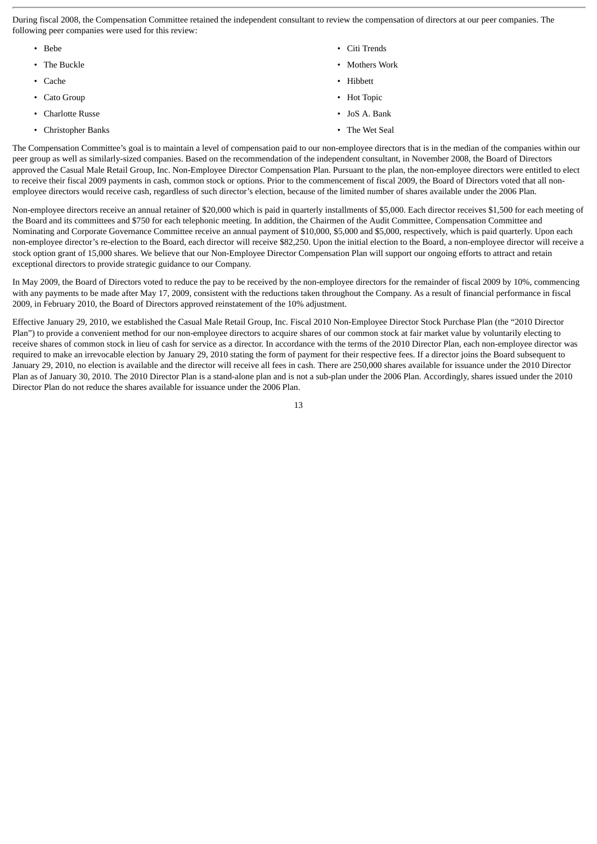During fiscal 2008, the Compensation Committee retained the independent consultant to review the compensation of directors at our peer companies. The following peer companies were used for this review:

- Bebe Citi Trends • The Buckle • Mothers Work • Mothers Work • Mothers Work • Mothers Work • Mothers Work • Mothers Work • Mothers  $\bullet$ • Cache **• Hibbett** • Cato Group • Hot Topic • Charlotte Russe • JoS A. Bank
- Christopher Banks The Wet Seal
- 
- -

The Compensation Committee's goal is to maintain a level of compensation paid to our non-employee directors that is in the median of the companies within our peer group as well as similarly-sized companies. Based on the recommendation of the independent consultant, in November 2008, the Board of Directors approved the Casual Male Retail Group, Inc. Non-Employee Director Compensation Plan. Pursuant to the plan, the non-employee directors were entitled to elect to receive their fiscal 2009 payments in cash, common stock or options. Prior to the commencement of fiscal 2009, the Board of Directors voted that all nonemployee directors would receive cash, regardless of such director's election, because of the limited number of shares available under the 2006 Plan.

Non-employee directors receive an annual retainer of \$20,000 which is paid in quarterly installments of \$5,000. Each director receives \$1,500 for each meeting of the Board and its committees and \$750 for each telephonic meeting. In addition, the Chairmen of the Audit Committee, Compensation Committee and Nominating and Corporate Governance Committee receive an annual payment of \$10,000, \$5,000 and \$5,000, respectively, which is paid quarterly. Upon each non-employee director's re-election to the Board, each director will receive \$82,250. Upon the initial election to the Board, a non-employee director will receive a stock option grant of 15,000 shares. We believe that our Non-Employee Director Compensation Plan will support our ongoing efforts to attract and retain exceptional directors to provide strategic guidance to our Company.

In May 2009, the Board of Directors voted to reduce the pay to be received by the non-employee directors for the remainder of fiscal 2009 by 10%, commencing with any payments to be made after May 17, 2009, consistent with the reductions taken throughout the Company. As a result of financial performance in fiscal 2009, in February 2010, the Board of Directors approved reinstatement of the 10% adjustment.

Effective January 29, 2010, we established the Casual Male Retail Group, Inc. Fiscal 2010 Non-Employee Director Stock Purchase Plan (the "2010 Director Plan") to provide a convenient method for our non-employee directors to acquire shares of our common stock at fair market value by voluntarily electing to receive shares of common stock in lieu of cash for service as a director. In accordance with the terms of the 2010 Director Plan, each non-employee director was required to make an irrevocable election by January 29, 2010 stating the form of payment for their respective fees. If a director joins the Board subsequent to January 29, 2010, no election is available and the director will receive all fees in cash. There are 250,000 shares available for issuance under the 2010 Director Plan as of January 30, 2010. The 2010 Director Plan is a stand-alone plan and is not a sub-plan under the 2006 Plan. Accordingly, shares issued under the 2010 Director Plan do not reduce the shares available for issuance under the 2006 Plan.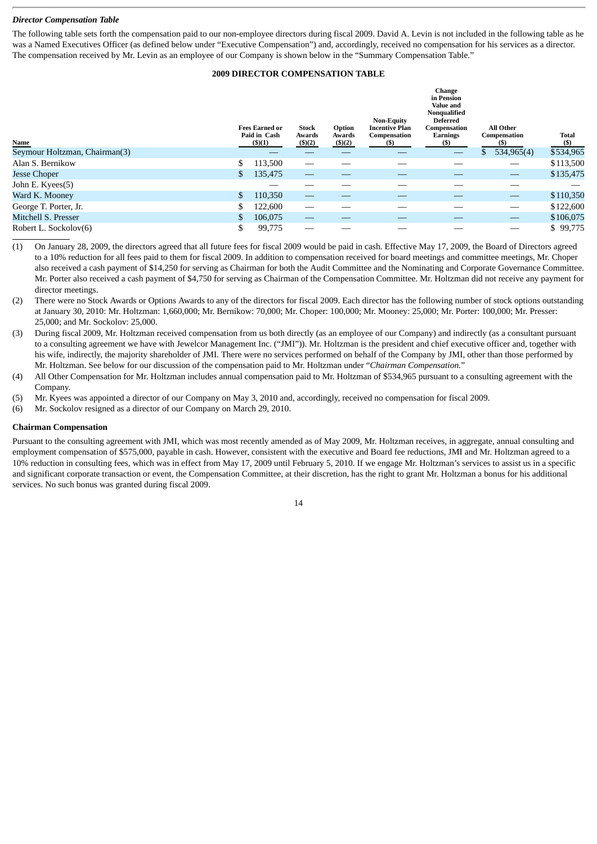### *Director Compensation Table*

The following table sets forth the compensation paid to our non-employee directors during fiscal 2009. David A. Levin is not included in the following table as he was a Named Executives Officer (as defined below under "Executive Compensation") and, accordingly, received no compensation for his services as a director. The compensation received by Mr. Levin as an employee of our Company is shown below in the "Summary Compensation Table."

# **2009 DIRECTOR COMPENSATION TABLE**

|                               | <b>Fees Earned or</b><br>Paid in Cash | Stock<br>Awards | Option<br>Awards | <b>Non-Equity</b><br><b>Incentive Plan</b><br>Compensation | <b>Change</b><br>in Pension<br><b>Value and</b><br>Nonqualified<br><b>Deferred</b><br>Compensation<br><b>Earnings</b> | <b>All Other</b><br>Compensation | Total     |
|-------------------------------|---------------------------------------|-----------------|------------------|------------------------------------------------------------|-----------------------------------------------------------------------------------------------------------------------|----------------------------------|-----------|
| <b>Name</b>                   | $($ \$ $)(1)$                         | (\$)(2)         | (\$)(2)          | (S)                                                        | (S)                                                                                                                   | (S)                              | $($)$     |
| Seymour Holtzman, Chairman(3) |                                       |                 |                  |                                                            | $\hspace{0.05cm}$                                                                                                     | 534,965(4)<br>\$                 | \$534,965 |
| Alan S. Bernikow              | \$<br>113,500                         |                 |                  |                                                            |                                                                                                                       |                                  | \$113,500 |
| Jesse Choper                  | \$<br>135,475                         |                 |                  |                                                            |                                                                                                                       |                                  | \$135,475 |
| John E. Kyees(5)              |                                       |                 |                  |                                                            |                                                                                                                       | __                               |           |
| Ward K. Mooney                | \$<br>110,350                         |                 |                  |                                                            |                                                                                                                       | $\overline{\phantom{0}}$         | \$110,350 |
| George T. Porter, Jr.         | \$<br>122,600                         |                 |                  |                                                            |                                                                                                                       |                                  | \$122,600 |
| Mitchell S. Presser           | \$<br>106,075                         | __              |                  |                                                            |                                                                                                                       | $\qquad \qquad -$                | \$106,075 |
| Robert L. Sockolov(6)         | \$<br>99,775                          |                 |                  |                                                            |                                                                                                                       |                                  | \$99,775  |

<sup>(1)</sup> On January 28, 2009, the directors agreed that all future fees for fiscal 2009 would be paid in cash. Effective May 17, 2009, the Board of Directors agreed to a 10% reduction for all fees paid to them for fiscal 2009. In addition to compensation received for board meetings and committee meetings, Mr. Choper also received a cash payment of \$14,250 for serving as Chairman for both the Audit Committee and the Nominating and Corporate Governance Committee. Mr. Porter also received a cash payment of \$4,750 for serving as Chairman of the Compensation Committee. Mr. Holtzman did not receive any payment for director meetings.

- (2) There were no Stock Awards or Options Awards to any of the directors for fiscal 2009. Each director has the following number of stock options outstanding at January 30, 2010: Mr. Holtzman: 1,660,000; Mr. Bernikow: 70,000; Mr. Choper: 100,000; Mr. Mooney: 25,000; Mr. Porter: 100,000; Mr. Presser: 25,000; and Mr. Sockolov: 25,000.
- (3) During fiscal 2009, Mr. Holtzman received compensation from us both directly (as an employee of our Company) and indirectly (as a consultant pursuant to a consulting agreement we have with Jewelcor Management Inc. ("JMI")). Mr. Holtzman is the president and chief executive officer and, together with his wife, indirectly, the majority shareholder of JMI. There were no services performed on behalf of the Company by JMI, other than those performed by Mr. Holtzman. See below for our discussion of the compensation paid to Mr. Holtzman under "*Chairman Compensation.*"
- (4) All Other Compensation for Mr. Holtzman includes annual compensation paid to Mr. Holtzman of \$534,965 pursuant to a consulting agreement with the Company.
- (5) Mr. Kyees was appointed a director of our Company on May 3, 2010 and, accordingly, received no compensation for fiscal 2009.
- (6) Mr. Sockolov resigned as a director of our Company on March 29, 2010.

#### **Chairman Compensation**

Pursuant to the consulting agreement with JMI, which was most recently amended as of May 2009, Mr. Holtzman receives, in aggregate, annual consulting and employment compensation of \$575,000, payable in cash. However, consistent with the executive and Board fee reductions, JMI and Mr. Holtzman agreed to a 10% reduction in consulting fees, which was in effect from May 17, 2009 until February 5, 2010. If we engage Mr. Holtzman's services to assist us in a specific and significant corporate transaction or event, the Compensation Committee, at their discretion, has the right to grant Mr. Holtzman a bonus for his additional services. No such bonus was granted during fiscal 2009.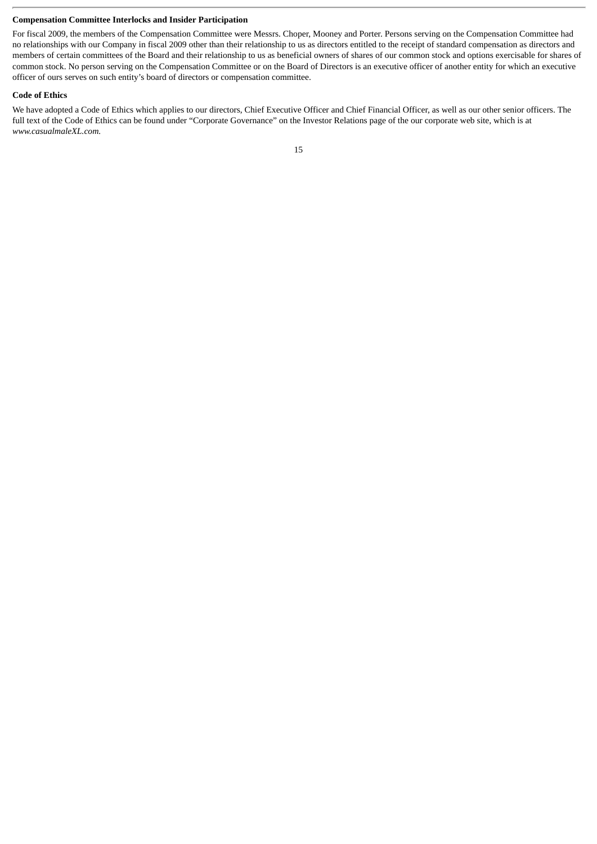# **Compensation Committee Interlocks and Insider Participation**

For fiscal 2009, the members of the Compensation Committee were Messrs. Choper, Mooney and Porter. Persons serving on the Compensation Committee had no relationships with our Company in fiscal 2009 other than their relationship to us as directors entitled to the receipt of standard compensation as directors and members of certain committees of the Board and their relationship to us as beneficial owners of shares of our common stock and options exercisable for shares of common stock. No person serving on the Compensation Committee or on the Board of Directors is an executive officer of another entity for which an executive officer of ours serves on such entity's board of directors or compensation committee.

#### **Code of Ethics**

We have adopted a Code of Ethics which applies to our directors, Chief Executive Officer and Chief Financial Officer, as well as our other senior officers. The full text of the Code of Ethics can be found under "Corporate Governance" on the Investor Relations page of the our corporate web site, which is at *www.casualmaleXL.com.*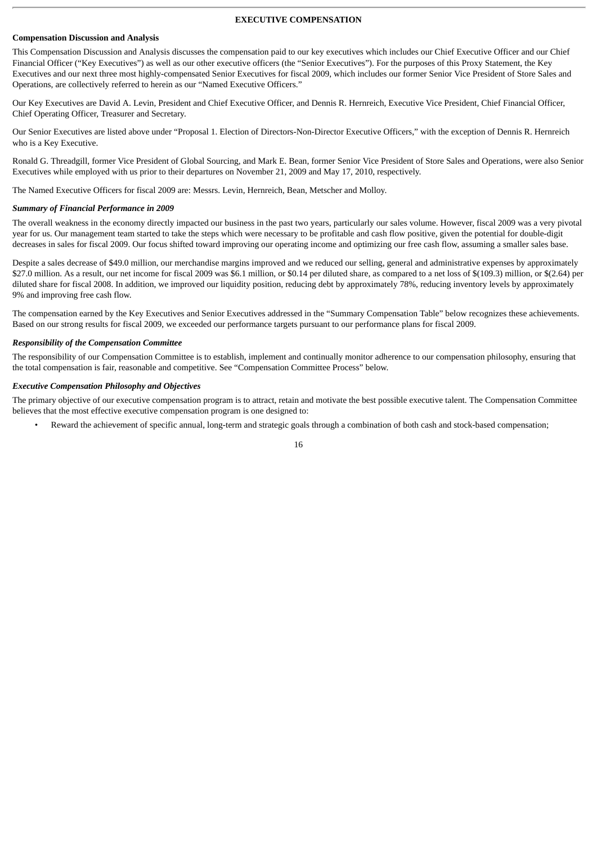#### **EXECUTIVE COMPENSATION**

#### **Compensation Discussion and Analysis**

This Compensation Discussion and Analysis discusses the compensation paid to our key executives which includes our Chief Executive Officer and our Chief Financial Officer ("Key Executives") as well as our other executive officers (the "Senior Executives"). For the purposes of this Proxy Statement, the Key Executives and our next three most highly-compensated Senior Executives for fiscal 2009, which includes our former Senior Vice President of Store Sales and Operations, are collectively referred to herein as our "Named Executive Officers."

Our Key Executives are David A. Levin, President and Chief Executive Officer, and Dennis R. Hernreich, Executive Vice President, Chief Financial Officer, Chief Operating Officer, Treasurer and Secretary.

Our Senior Executives are listed above under "Proposal 1. Election of Directors-Non-Director Executive Officers," with the exception of Dennis R. Hernreich who is a Key Executive.

Ronald G. Threadgill, former Vice President of Global Sourcing, and Mark E. Bean, former Senior Vice President of Store Sales and Operations, were also Senior Executives while employed with us prior to their departures on November 21, 2009 and May 17, 2010, respectively.

The Named Executive Officers for fiscal 2009 are: Messrs. Levin, Hernreich, Bean, Metscher and Molloy.

#### *Summary of Financial Performance in 2009*

The overall weakness in the economy directly impacted our business in the past two years, particularly our sales volume. However, fiscal 2009 was a very pivotal year for us. Our management team started to take the steps which were necessary to be profitable and cash flow positive, given the potential for double-digit decreases in sales for fiscal 2009. Our focus shifted toward improving our operating income and optimizing our free cash flow, assuming a smaller sales base.

Despite a sales decrease of \$49.0 million, our merchandise margins improved and we reduced our selling, general and administrative expenses by approximately \$27.0 million. As a result, our net income for fiscal 2009 was \$6.1 million, or \$0.14 per diluted share, as compared to a net loss of \$(109.3) million, or \$(2.64) per diluted share for fiscal 2008. In addition, we improved our liquidity position, reducing debt by approximately 78%, reducing inventory levels by approximately 9% and improving free cash flow.

The compensation earned by the Key Executives and Senior Executives addressed in the "Summary Compensation Table" below recognizes these achievements. Based on our strong results for fiscal 2009, we exceeded our performance targets pursuant to our performance plans for fiscal 2009.

#### *Responsibility of the Compensation Committee*

The responsibility of our Compensation Committee is to establish, implement and continually monitor adherence to our compensation philosophy, ensuring that the total compensation is fair, reasonable and competitive. See "Compensation Committee Process" below.

#### *Executive Compensation Philosophy and Objectives*

The primary objective of our executive compensation program is to attract, retain and motivate the best possible executive talent. The Compensation Committee believes that the most effective executive compensation program is one designed to:

• Reward the achievement of specific annual, long-term and strategic goals through a combination of both cash and stock-based compensation;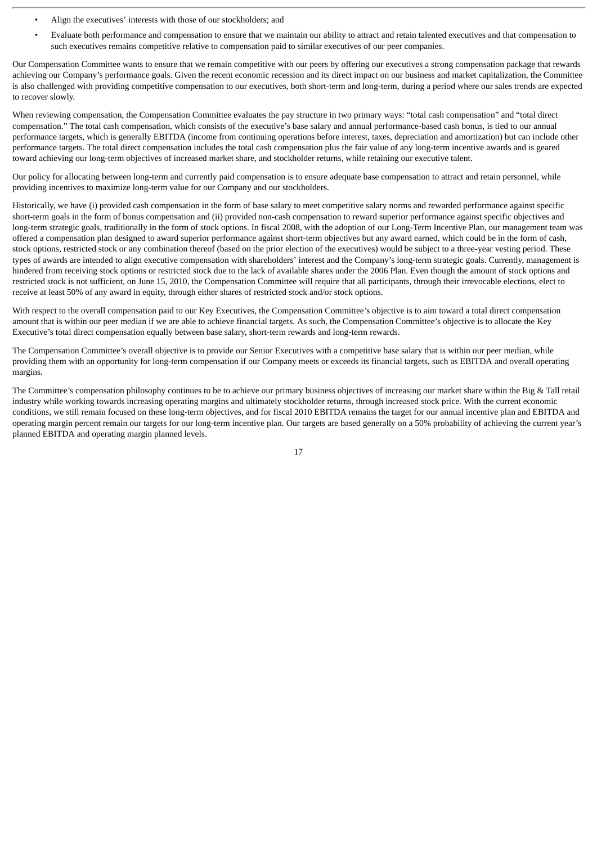- Align the executives' interests with those of our stockholders; and
- Evaluate both performance and compensation to ensure that we maintain our ability to attract and retain talented executives and that compensation to such executives remains competitive relative to compensation paid to similar executives of our peer companies.

Our Compensation Committee wants to ensure that we remain competitive with our peers by offering our executives a strong compensation package that rewards achieving our Company's performance goals. Given the recent economic recession and its direct impact on our business and market capitalization, the Committee is also challenged with providing competitive compensation to our executives, both short-term and long-term, during a period where our sales trends are expected to recover slowly.

When reviewing compensation, the Compensation Committee evaluates the pay structure in two primary ways: "total cash compensation" and "total direct compensation." The total cash compensation, which consists of the executive's base salary and annual performance-based cash bonus, is tied to our annual performance targets, which is generally EBITDA (income from continuing operations before interest, taxes, depreciation and amortization) but can include other performance targets. The total direct compensation includes the total cash compensation plus the fair value of any long-term incentive awards and is geared toward achieving our long-term objectives of increased market share, and stockholder returns, while retaining our executive talent.

Our policy for allocating between long-term and currently paid compensation is to ensure adequate base compensation to attract and retain personnel, while providing incentives to maximize long-term value for our Company and our stockholders.

Historically, we have (i) provided cash compensation in the form of base salary to meet competitive salary norms and rewarded performance against specific short-term goals in the form of bonus compensation and (ii) provided non-cash compensation to reward superior performance against specific objectives and long-term strategic goals, traditionally in the form of stock options. In fiscal 2008, with the adoption of our Long-Term Incentive Plan, our management team was offered a compensation plan designed to award superior performance against short-term objectives but any award earned, which could be in the form of cash, stock options, restricted stock or any combination thereof (based on the prior election of the executives) would be subject to a three-year vesting period. These types of awards are intended to align executive compensation with shareholders' interest and the Company's long-term strategic goals. Currently, management is hindered from receiving stock options or restricted stock due to the lack of available shares under the 2006 Plan. Even though the amount of stock options and restricted stock is not sufficient, on June 15, 2010, the Compensation Committee will require that all participants, through their irrevocable elections, elect to receive at least 50% of any award in equity, through either shares of restricted stock and/or stock options.

With respect to the overall compensation paid to our Key Executives, the Compensation Committee's objective is to aim toward a total direct compensation amount that is within our peer median if we are able to achieve financial targets. As such, the Compensation Committee's objective is to allocate the Key Executive's total direct compensation equally between base salary, short-term rewards and long-term rewards.

The Compensation Committee's overall objective is to provide our Senior Executives with a competitive base salary that is within our peer median, while providing them with an opportunity for long-term compensation if our Company meets or exceeds its financial targets, such as EBITDA and overall operating margins.

The Committee's compensation philosophy continues to be to achieve our primary business objectives of increasing our market share within the Big & Tall retail industry while working towards increasing operating margins and ultimately stockholder returns, through increased stock price. With the current economic conditions, we still remain focused on these long-term objectives, and for fiscal 2010 EBITDA remains the target for our annual incentive plan and EBITDA and operating margin percent remain our targets for our long-term incentive plan. Our targets are based generally on a 50% probability of achieving the current year's planned EBITDA and operating margin planned levels.

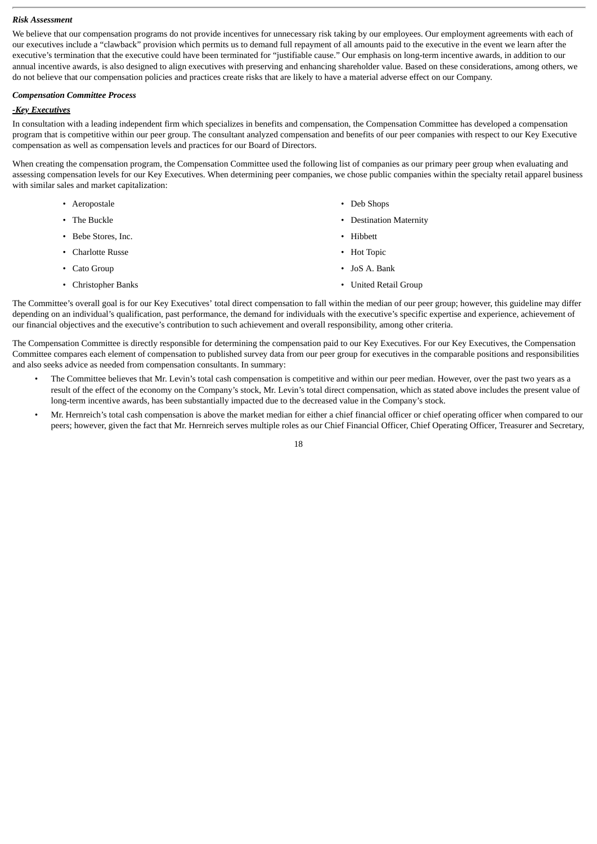#### *Risk Assessment*

We believe that our compensation programs do not provide incentives for unnecessary risk taking by our employees. Our employment agreements with each of our executives include a "clawback" provision which permits us to demand full repayment of all amounts paid to the executive in the event we learn after the executive's termination that the executive could have been terminated for "justifiable cause." Our emphasis on long-term incentive awards, in addition to our annual incentive awards, is also designed to align executives with preserving and enhancing shareholder value. Based on these considerations, among others, we do not believe that our compensation policies and practices create risks that are likely to have a material adverse effect on our Company.

#### *Compensation Committee Process*

# *-Key Executives*

In consultation with a leading independent firm which specializes in benefits and compensation, the Compensation Committee has developed a compensation program that is competitive within our peer group. The consultant analyzed compensation and benefits of our peer companies with respect to our Key Executive compensation as well as compensation levels and practices for our Board of Directors.

When creating the compensation program, the Compensation Committee used the following list of companies as our primary peer group when evaluating and assessing compensation levels for our Key Executives. When determining peer companies, we chose public companies within the specialty retail apparel business with similar sales and market capitalization:

- Aeropostale Deb Shops
- 
- Bebe Stores, Inc.  **Containers Hibbett**
- Charlotte Russe Hot Topic
- 
- 
- 
- The Buckle  **Particular 1999** Destination Maternity
	-
	-
- Cato Group JoS A. Bank
- Christopher Banks United Retail Group

The Committee's overall goal is for our Key Executives' total direct compensation to fall within the median of our peer group; however, this guideline may differ depending on an individual's qualification, past performance, the demand for individuals with the executive's specific expertise and experience, achievement of our financial objectives and the executive's contribution to such achievement and overall responsibility, among other criteria.

The Compensation Committee is directly responsible for determining the compensation paid to our Key Executives. For our Key Executives, the Compensation Committee compares each element of compensation to published survey data from our peer group for executives in the comparable positions and responsibilities and also seeks advice as needed from compensation consultants. In summary:

- The Committee believes that Mr. Levin's total cash compensation is competitive and within our peer median. However, over the past two years as a result of the effect of the economy on the Company's stock, Mr. Levin's total direct compensation, which as stated above includes the present value of long-term incentive awards, has been substantially impacted due to the decreased value in the Company's stock.
- Mr. Hernreich's total cash compensation is above the market median for either a chief financial officer or chief operating officer when compared to our peers; however, given the fact that Mr. Hernreich serves multiple roles as our Chief Financial Officer, Chief Operating Officer, Treasurer and Secretary,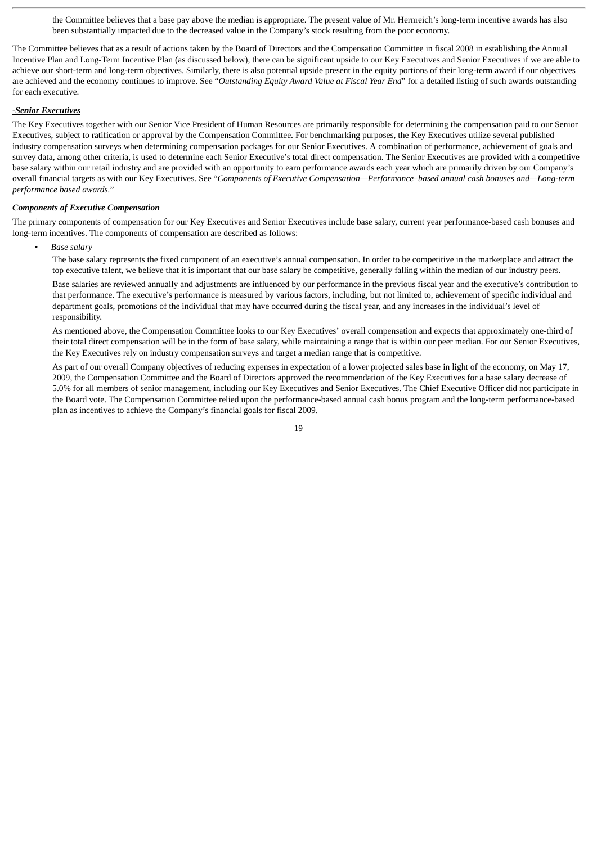the Committee believes that a base pay above the median is appropriate. The present value of Mr. Hernreich's long-term incentive awards has also been substantially impacted due to the decreased value in the Company's stock resulting from the poor economy.

The Committee believes that as a result of actions taken by the Board of Directors and the Compensation Committee in fiscal 2008 in establishing the Annual Incentive Plan and Long-Term Incentive Plan (as discussed below), there can be significant upside to our Key Executives and Senior Executives if we are able to achieve our short-term and long-term objectives. Similarly, there is also potential upside present in the equity portions of their long-term award if our objectives are achieved and the economy continues to improve. See "*Outstanding Equity Award Value at Fiscal Year End*" for a detailed listing of such awards outstanding for each executive.

#### -*Senior Executives*

The Key Executives together with our Senior Vice President of Human Resources are primarily responsible for determining the compensation paid to our Senior Executives, subject to ratification or approval by the Compensation Committee. For benchmarking purposes, the Key Executives utilize several published industry compensation surveys when determining compensation packages for our Senior Executives. A combination of performance, achievement of goals and survey data, among other criteria, is used to determine each Senior Executive's total direct compensation. The Senior Executives are provided with a competitive base salary within our retail industry and are provided with an opportunity to earn performance awards each year which are primarily driven by our Company's overall financial targets as with our Key Executives. See "*Components of Executive Compensation—Performance–based annual cash bonuses and—Long-term performance based awards.*"

#### *Components of Executive Compensation*

The primary components of compensation for our Key Executives and Senior Executives include base salary, current year performance-based cash bonuses and long-term incentives. The components of compensation are described as follows:

*• Base salary*

The base salary represents the fixed component of an executive's annual compensation. In order to be competitive in the marketplace and attract the top executive talent, we believe that it is important that our base salary be competitive, generally falling within the median of our industry peers.

Base salaries are reviewed annually and adjustments are influenced by our performance in the previous fiscal year and the executive's contribution to that performance. The executive's performance is measured by various factors, including, but not limited to, achievement of specific individual and department goals, promotions of the individual that may have occurred during the fiscal year, and any increases in the individual's level of responsibility.

As mentioned above, the Compensation Committee looks to our Key Executives' overall compensation and expects that approximately one-third of their total direct compensation will be in the form of base salary, while maintaining a range that is within our peer median. For our Senior Executives, the Key Executives rely on industry compensation surveys and target a median range that is competitive.

As part of our overall Company objectives of reducing expenses in expectation of a lower projected sales base in light of the economy, on May 17, 2009, the Compensation Committee and the Board of Directors approved the recommendation of the Key Executives for a base salary decrease of 5.0% for all members of senior management, including our Key Executives and Senior Executives. The Chief Executive Officer did not participate in the Board vote. The Compensation Committee relied upon the performance-based annual cash bonus program and the long-term performance-based plan as incentives to achieve the Company's financial goals for fiscal 2009.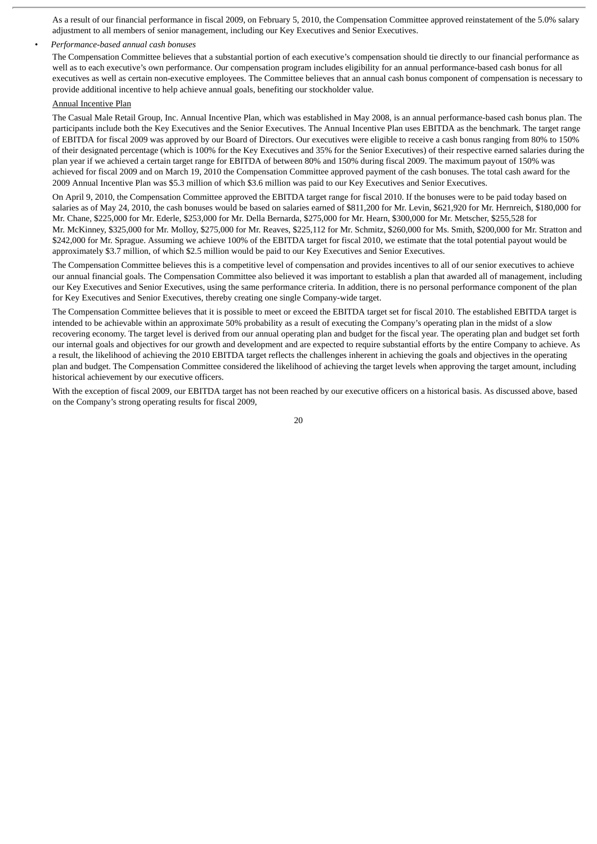As a result of our financial performance in fiscal 2009, on February 5, 2010, the Compensation Committee approved reinstatement of the 5.0% salary adjustment to all members of senior management, including our Key Executives and Senior Executives.

#### *• Performance-based annual cash bonuses*

The Compensation Committee believes that a substantial portion of each executive's compensation should tie directly to our financial performance as well as to each executive's own performance. Our compensation program includes eligibility for an annual performance-based cash bonus for all executives as well as certain non-executive employees. The Committee believes that an annual cash bonus component of compensation is necessary to provide additional incentive to help achieve annual goals, benefiting our stockholder value.

# Annual Incentive Plan

The Casual Male Retail Group, Inc. Annual Incentive Plan, which was established in May 2008, is an annual performance-based cash bonus plan. The participants include both the Key Executives and the Senior Executives. The Annual Incentive Plan uses EBITDA as the benchmark. The target range of EBITDA for fiscal 2009 was approved by our Board of Directors. Our executives were eligible to receive a cash bonus ranging from 80% to 150% of their designated percentage (which is 100% for the Key Executives and 35% for the Senior Executives) of their respective earned salaries during the plan year if we achieved a certain target range for EBITDA of between 80% and 150% during fiscal 2009. The maximum payout of 150% was achieved for fiscal 2009 and on March 19, 2010 the Compensation Committee approved payment of the cash bonuses. The total cash award for the 2009 Annual Incentive Plan was \$5.3 million of which \$3.6 million was paid to our Key Executives and Senior Executives.

On April 9, 2010, the Compensation Committee approved the EBITDA target range for fiscal 2010. If the bonuses were to be paid today based on salaries as of May 24, 2010, the cash bonuses would be based on salaries earned of \$811,200 for Mr. Levin, \$621,920 for Mr. Hernreich, \$180,000 for Mr. Chane, \$225,000 for Mr. Ederle, \$253,000 for Mr. Della Bernarda, \$275,000 for Mr. Hearn, \$300,000 for Mr. Metscher, \$255,528 for Mr. McKinney, \$325,000 for Mr. Molloy, \$275,000 for Mr. Reaves, \$225,112 for Mr. Schmitz, \$260,000 for Ms. Smith, \$200,000 for Mr. Stratton and \$242,000 for Mr. Sprague. Assuming we achieve 100% of the EBITDA target for fiscal 2010, we estimate that the total potential payout would be approximately \$3.7 million, of which \$2.5 million would be paid to our Key Executives and Senior Executives.

The Compensation Committee believes this is a competitive level of compensation and provides incentives to all of our senior executives to achieve our annual financial goals. The Compensation Committee also believed it was important to establish a plan that awarded all of management, including our Key Executives and Senior Executives, using the same performance criteria. In addition, there is no personal performance component of the plan for Key Executives and Senior Executives, thereby creating one single Company-wide target.

The Compensation Committee believes that it is possible to meet or exceed the EBITDA target set for fiscal 2010. The established EBITDA target is intended to be achievable within an approximate 50% probability as a result of executing the Company's operating plan in the midst of a slow recovering economy. The target level is derived from our annual operating plan and budget for the fiscal year. The operating plan and budget set forth our internal goals and objectives for our growth and development and are expected to require substantial efforts by the entire Company to achieve. As a result, the likelihood of achieving the 2010 EBITDA target reflects the challenges inherent in achieving the goals and objectives in the operating plan and budget. The Compensation Committee considered the likelihood of achieving the target levels when approving the target amount, including historical achievement by our executive officers.

With the exception of fiscal 2009, our EBITDA target has not been reached by our executive officers on a historical basis. As discussed above, based on the Company's strong operating results for fiscal 2009,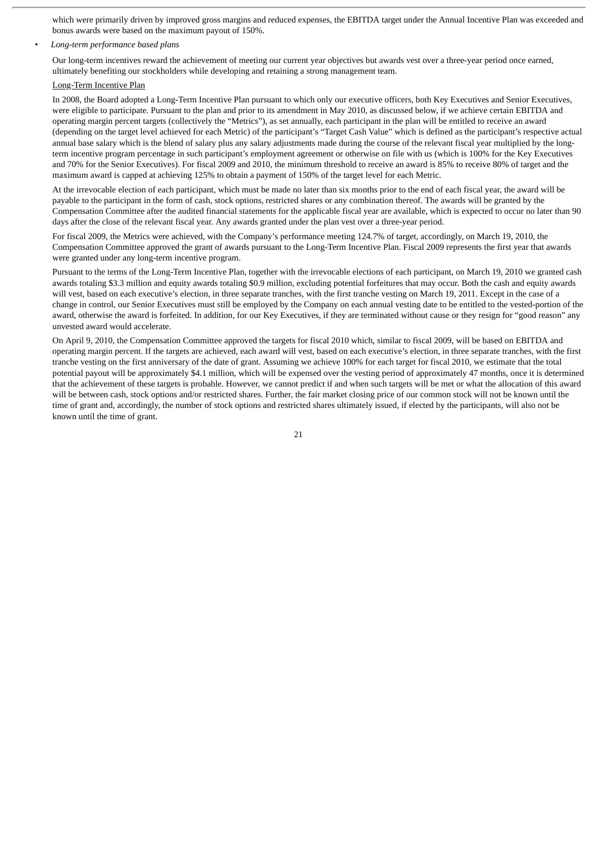which were primarily driven by improved gross margins and reduced expenses, the EBITDA target under the Annual Incentive Plan was exceeded and bonus awards were based on the maximum payout of 150%.

#### *• Long-term performance based plans*

Our long-term incentives reward the achievement of meeting our current year objectives but awards vest over a three-year period once earned, ultimately benefiting our stockholders while developing and retaining a strong management team.

# Long-Term Incentive Plan

In 2008, the Board adopted a Long-Term Incentive Plan pursuant to which only our executive officers, both Key Executives and Senior Executives, were eligible to participate. Pursuant to the plan and prior to its amendment in May 2010, as discussed below, if we achieve certain EBITDA and operating margin percent targets (collectively the "Metrics"), as set annually, each participant in the plan will be entitled to receive an award (depending on the target level achieved for each Metric) of the participant's "Target Cash Value" which is defined as the participant's respective actual annual base salary which is the blend of salary plus any salary adjustments made during the course of the relevant fiscal year multiplied by the longterm incentive program percentage in such participant's employment agreement or otherwise on file with us (which is 100% for the Key Executives and 70% for the Senior Executives). For fiscal 2009 and 2010, the minimum threshold to receive an award is 85% to receive 80% of target and the maximum award is capped at achieving 125% to obtain a payment of 150% of the target level for each Metric.

At the irrevocable election of each participant, which must be made no later than six months prior to the end of each fiscal year, the award will be payable to the participant in the form of cash, stock options, restricted shares or any combination thereof. The awards will be granted by the Compensation Committee after the audited financial statements for the applicable fiscal year are available, which is expected to occur no later than 90 days after the close of the relevant fiscal year. Any awards granted under the plan vest over a three-year period.

For fiscal 2009, the Metrics were achieved, with the Company's performance meeting 124.7% of target, accordingly, on March 19, 2010, the Compensation Committee approved the grant of awards pursuant to the Long-Term Incentive Plan. Fiscal 2009 represents the first year that awards were granted under any long-term incentive program.

Pursuant to the terms of the Long-Term Incentive Plan, together with the irrevocable elections of each participant, on March 19, 2010 we granted cash awards totaling \$3.3 million and equity awards totaling \$0.9 million, excluding potential forfeitures that may occur. Both the cash and equity awards will vest, based on each executive's election, in three separate tranches, with the first tranche vesting on March 19, 2011. Except in the case of a change in control, our Senior Executives must still be employed by the Company on each annual vesting date to be entitled to the vested-portion of the award, otherwise the award is forfeited. In addition, for our Key Executives, if they are terminated without cause or they resign for "good reason" any unvested award would accelerate.

On April 9, 2010, the Compensation Committee approved the targets for fiscal 2010 which, similar to fiscal 2009, will be based on EBITDA and operating margin percent. If the targets are achieved, each award will vest, based on each executive's election, in three separate tranches, with the first tranche vesting on the first anniversary of the date of grant. Assuming we achieve 100% for each target for fiscal 2010, we estimate that the total potential payout will be approximately \$4.1 million, which will be expensed over the vesting period of approximately 47 months, once it is determined that the achievement of these targets is probable. However, we cannot predict if and when such targets will be met or what the allocation of this award will be between cash, stock options and/or restricted shares. Further, the fair market closing price of our common stock will not be known until the time of grant and, accordingly, the number of stock options and restricted shares ultimately issued, if elected by the participants, will also not be known until the time of grant.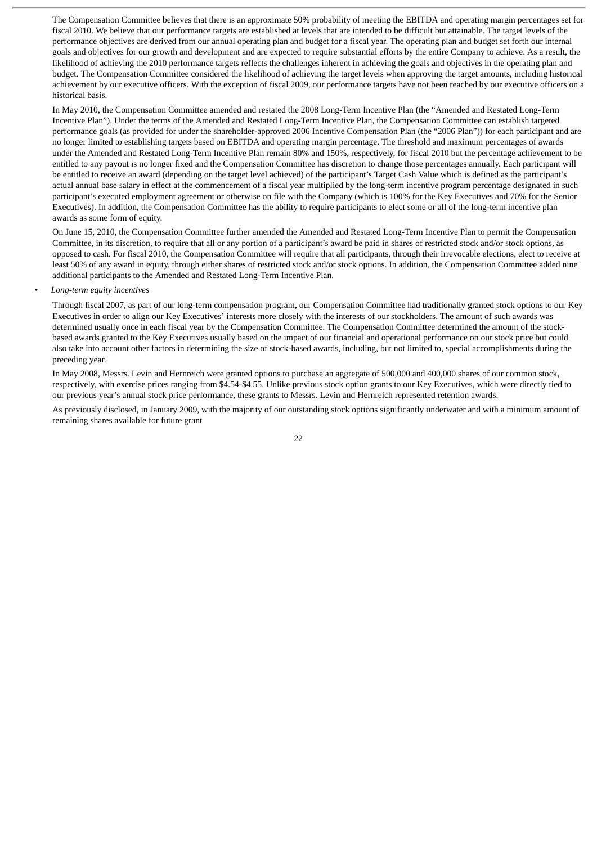The Compensation Committee believes that there is an approximate 50% probability of meeting the EBITDA and operating margin percentages set for fiscal 2010. We believe that our performance targets are established at levels that are intended to be difficult but attainable. The target levels of the performance objectives are derived from our annual operating plan and budget for a fiscal year. The operating plan and budget set forth our internal goals and objectives for our growth and development and are expected to require substantial efforts by the entire Company to achieve. As a result, the likelihood of achieving the 2010 performance targets reflects the challenges inherent in achieving the goals and objectives in the operating plan and budget. The Compensation Committee considered the likelihood of achieving the target levels when approving the target amounts, including historical achievement by our executive officers. With the exception of fiscal 2009, our performance targets have not been reached by our executive officers on a historical basis.

In May 2010, the Compensation Committee amended and restated the 2008 Long-Term Incentive Plan (the "Amended and Restated Long-Term Incentive Plan"). Under the terms of the Amended and Restated Long-Term Incentive Plan, the Compensation Committee can establish targeted performance goals (as provided for under the shareholder-approved 2006 Incentive Compensation Plan (the "2006 Plan")) for each participant and are no longer limited to establishing targets based on EBITDA and operating margin percentage. The threshold and maximum percentages of awards under the Amended and Restated Long-Term Incentive Plan remain 80% and 150%, respectively, for fiscal 2010 but the percentage achievement to be entitled to any payout is no longer fixed and the Compensation Committee has discretion to change those percentages annually. Each participant will be entitled to receive an award (depending on the target level achieved) of the participant's Target Cash Value which is defined as the participant's actual annual base salary in effect at the commencement of a fiscal year multiplied by the long-term incentive program percentage designated in such participant's executed employment agreement or otherwise on file with the Company (which is 100% for the Key Executives and 70% for the Senior Executives). In addition, the Compensation Committee has the ability to require participants to elect some or all of the long-term incentive plan awards as some form of equity.

On June 15, 2010, the Compensation Committee further amended the Amended and Restated Long-Term Incentive Plan to permit the Compensation Committee, in its discretion, to require that all or any portion of a participant's award be paid in shares of restricted stock and/or stock options, as opposed to cash. For fiscal 2010, the Compensation Committee will require that all participants, through their irrevocable elections, elect to receive at least 50% of any award in equity, through either shares of restricted stock and/or stock options. In addition, the Compensation Committee added nine additional participants to the Amended and Restated Long-Term Incentive Plan.

## *• Long-term equity incentives*

Through fiscal 2007, as part of our long-term compensation program, our Compensation Committee had traditionally granted stock options to our Key Executives in order to align our Key Executives' interests more closely with the interests of our stockholders. The amount of such awards was determined usually once in each fiscal year by the Compensation Committee. The Compensation Committee determined the amount of the stockbased awards granted to the Key Executives usually based on the impact of our financial and operational performance on our stock price but could also take into account other factors in determining the size of stock-based awards, including, but not limited to, special accomplishments during the preceding year.

In May 2008, Messrs. Levin and Hernreich were granted options to purchase an aggregate of 500,000 and 400,000 shares of our common stock, respectively, with exercise prices ranging from \$4.54-\$4.55. Unlike previous stock option grants to our Key Executives, which were directly tied to our previous year's annual stock price performance, these grants to Messrs. Levin and Hernreich represented retention awards.

As previously disclosed, in January 2009, with the majority of our outstanding stock options significantly underwater and with a minimum amount of remaining shares available for future grant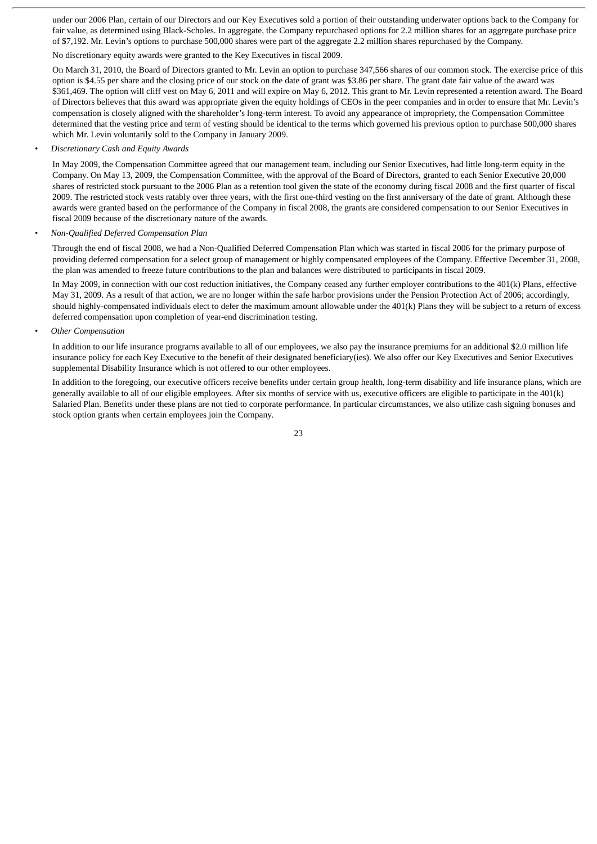under our 2006 Plan, certain of our Directors and our Key Executives sold a portion of their outstanding underwater options back to the Company for fair value, as determined using Black-Scholes. In aggregate, the Company repurchased options for 2.2 million shares for an aggregate purchase price of \$7,192. Mr. Levin's options to purchase 500,000 shares were part of the aggregate 2.2 million shares repurchased by the Company.

No discretionary equity awards were granted to the Key Executives in fiscal 2009.

On March 31, 2010, the Board of Directors granted to Mr. Levin an option to purchase 347,566 shares of our common stock. The exercise price of this option is \$4.55 per share and the closing price of our stock on the date of grant was \$3.86 per share. The grant date fair value of the award was \$361,469. The option will cliff vest on May 6, 2011 and will expire on May 6, 2012. This grant to Mr. Levin represented a retention award. The Board of Directors believes that this award was appropriate given the equity holdings of CEOs in the peer companies and in order to ensure that Mr. Levin's compensation is closely aligned with the shareholder's long-term interest. To avoid any appearance of impropriety, the Compensation Committee determined that the vesting price and term of vesting should be identical to the terms which governed his previous option to purchase 500,000 shares which Mr. Levin voluntarily sold to the Company in January 2009.

# *• Discretionary Cash and Equity Awards*

In May 2009, the Compensation Committee agreed that our management team, including our Senior Executives, had little long-term equity in the Company. On May 13, 2009, the Compensation Committee, with the approval of the Board of Directors, granted to each Senior Executive 20,000 shares of restricted stock pursuant to the 2006 Plan as a retention tool given the state of the economy during fiscal 2008 and the first quarter of fiscal 2009. The restricted stock vests ratably over three years, with the first one-third vesting on the first anniversary of the date of grant. Although these awards were granted based on the performance of the Company in fiscal 2008, the grants are considered compensation to our Senior Executives in fiscal 2009 because of the discretionary nature of the awards.

#### *• Non-Qualified Deferred Compensation Plan*

Through the end of fiscal 2008, we had a Non-Qualified Deferred Compensation Plan which was started in fiscal 2006 for the primary purpose of providing deferred compensation for a select group of management or highly compensated employees of the Company. Effective December 31, 2008, the plan was amended to freeze future contributions to the plan and balances were distributed to participants in fiscal 2009.

In May 2009, in connection with our cost reduction initiatives, the Company ceased any further employer contributions to the 401(k) Plans, effective May 31, 2009. As a result of that action, we are no longer within the safe harbor provisions under the Pension Protection Act of 2006; accordingly, should highly-compensated individuals elect to defer the maximum amount allowable under the 401(k) Plans they will be subject to a return of excess deferred compensation upon completion of year-end discrimination testing.

#### *• Other Compensation*

In addition to our life insurance programs available to all of our employees, we also pay the insurance premiums for an additional \$2.0 million life insurance policy for each Key Executive to the benefit of their designated beneficiary(ies). We also offer our Key Executives and Senior Executives supplemental Disability Insurance which is not offered to our other employees.

In addition to the foregoing, our executive officers receive benefits under certain group health, long-term disability and life insurance plans, which are generally available to all of our eligible employees. After six months of service with us, executive officers are eligible to participate in the 401(k) Salaried Plan. Benefits under these plans are not tied to corporate performance. In particular circumstances, we also utilize cash signing bonuses and stock option grants when certain employees join the Company.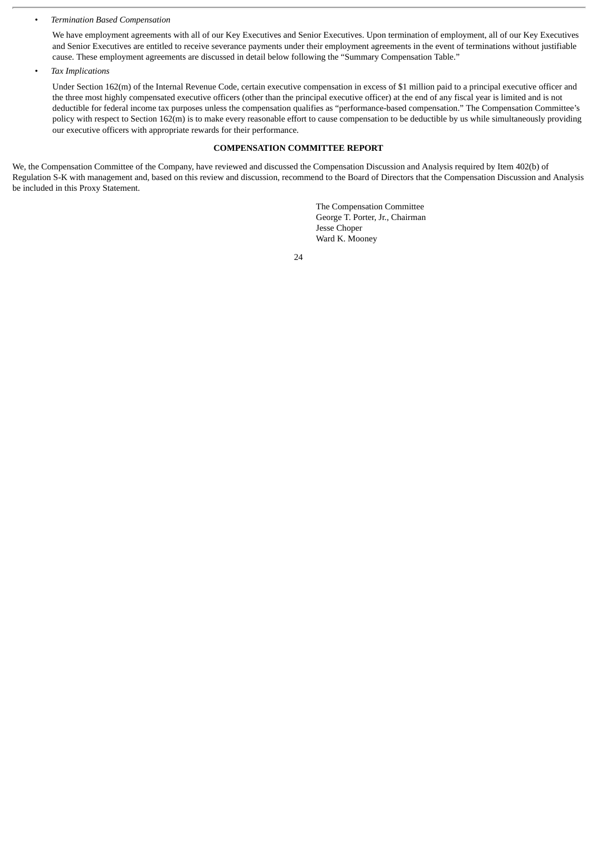# *• Termination Based Compensation*

We have employment agreements with all of our Key Executives and Senior Executives. Upon termination of employment, all of our Key Executives and Senior Executives are entitled to receive severance payments under their employment agreements in the event of terminations without justifiable cause. These employment agreements are discussed in detail below following the "Summary Compensation Table."

*• Tax Implications*

Under Section 162(m) of the Internal Revenue Code, certain executive compensation in excess of \$1 million paid to a principal executive officer and the three most highly compensated executive officers (other than the principal executive officer) at the end of any fiscal year is limited and is not deductible for federal income tax purposes unless the compensation qualifies as "performance-based compensation." The Compensation Committee's policy with respect to Section 162(m) is to make every reasonable effort to cause compensation to be deductible by us while simultaneously providing our executive officers with appropriate rewards for their performance.

# **COMPENSATION COMMITTEE REPORT**

We, the Compensation Committee of the Company, have reviewed and discussed the Compensation Discussion and Analysis required by Item 402(b) of Regulation S-K with management and, based on this review and discussion, recommend to the Board of Directors that the Compensation Discussion and Analysis be included in this Proxy Statement.

> The Compensation Committee George T. Porter, Jr., Chairman Jesse Choper Ward K. Mooney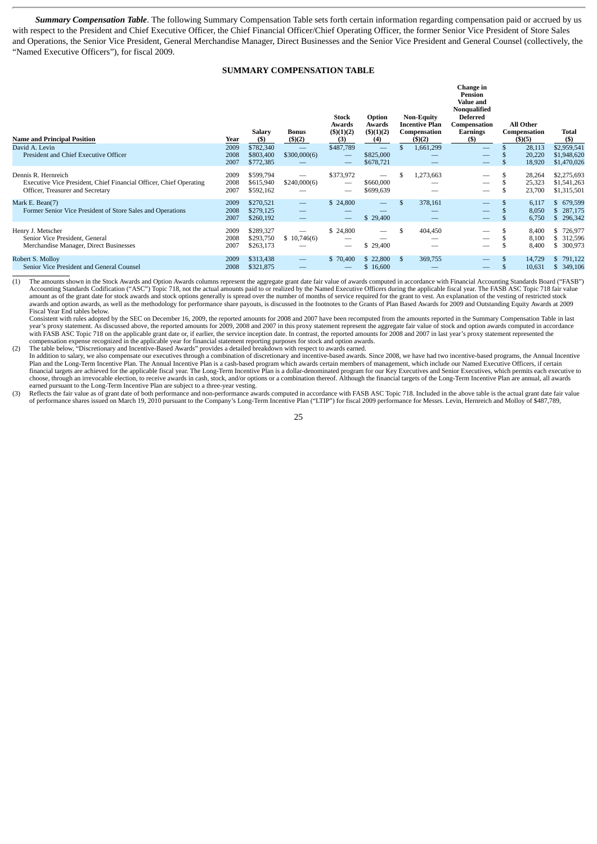*Summary Compensation Table*. The following Summary Compensation Table sets forth certain information regarding compensation paid or accrued by us with respect to the President and Chief Executive Officer, the Chief Financial Officer/Chief Operating Officer, the former Senior Vice President of Store Sales and Operations, the Senior Vice President, General Merchandise Manager, Direct Businesses and the Senior Vice President and General Counsel (collectively, the "Named Executive Officers"), for fiscal 2009.

# **SUMMARY COMPENSATION TABLE**

| <b>Name and Principal Position</b>                                                                                            | Year                 | Salary<br>(5)                       | <b>Bonus</b><br>(5)(2)                               | Stock<br>Awards<br>$($ \$ $)(1)(2)$<br>(3) | Option<br>Awards<br>(5)(1)(2)<br>(4)        |      | <b>Non-Equity</b><br><b>Incentive Plan</b><br>Compensation<br>(3)(2) | Change in<br>Pension<br>Value and<br>Nonqualified<br><b>Deferred</b><br>Compensation<br>Earnings<br>(S) | All Other<br>Compensation<br>$($ \$ $)($ 5 $)$ | Total<br>$($ \$                           |
|-------------------------------------------------------------------------------------------------------------------------------|----------------------|-------------------------------------|------------------------------------------------------|--------------------------------------------|---------------------------------------------|------|----------------------------------------------------------------------|---------------------------------------------------------------------------------------------------------|------------------------------------------------|-------------------------------------------|
| David A. Levin<br>President and Chief Executive Officer                                                                       | 2009<br>2008<br>2007 | \$782,340<br>\$803,400<br>\$772,385 | —<br>\$300,000(6)                                    | \$487,789<br>$\overline{\phantom{m}}$      | —<br>\$825,000<br>\$678,721                 |      | 1,661,299                                                            |                                                                                                         | 28,113<br>20,220<br>18,920                     | \$2,959,541<br>\$1,948,620<br>\$1,470,026 |
| Dennis R. Hernreich<br>Executive Vice President, Chief Financial Officer, Chief Operating<br>Officer, Treasurer and Secretary | 2009<br>2008<br>2007 | \$599,794<br>\$615,940<br>\$592,162 | —<br>\$240,000(6)                                    | \$373,972                                  | —<br>\$660,000<br>\$699,639                 | S    | 1,273,663                                                            |                                                                                                         | 28,264<br>25,323<br>23,700                     | \$2,275,693<br>\$1,541,263<br>\$1,315,501 |
| Mark E. Bean(7)<br>Former Senior Vice President of Store Sales and Operations                                                 | 2009<br>2008<br>2007 | \$270,521<br>\$279,125<br>\$260,192 | $\overline{\phantom{0}}$                             | \$24,800<br>$\sim$                         | $\qquad \qquad \longleftarrow$<br>\$ 29,400 | \$.  | 378,161                                                              |                                                                                                         | 6,117<br>8,050<br>6,750                        | 679,599<br>$-5$<br>287,175<br>296,342     |
| Henry J. Metscher<br>Senior Vice President, General<br>Merchandise Manager, Direct Businesses                                 | 2009<br>2008<br>2007 | \$289,327<br>\$293,750<br>\$263,173 | _<br>\$10,746(6)                                     | \$24,800                                   | $\overline{\phantom{0}}$<br>\$29,400        | S    | 404,450                                                              |                                                                                                         | 8,400<br>8,100<br>8,400                        | \$726,977<br>\$ 312,596<br>300,973        |
| Robert S. Mollov<br>Senior Vice President and General Counsel                                                                 | 2009<br>2008         | \$313,438<br>\$321,875              | $\overline{\phantom{0}}$<br>$\overline{\phantom{a}}$ | \$70,400                                   | \$22,800<br>\$16,600                        | - \$ | 369,755                                                              |                                                                                                         | 14,729<br>10,631                               | 791,122<br>S.<br>349,106<br>S.            |

(1) The amounts shown in the Stock Awards and Option Awards columns represent the aggregate grant date fair value of awards computed in accordance with Financial Accounting Standards Board ("FASB") Accounting Standards Codification ("ASC") Topic 718, not the actual amounts paid to or realized by the Named Executive Officers during the applicable fiscal year. The FASB ASC Topic 718 fair value amount as of the grant date for stock awards and stock options generally is spread over the number of months of service required for the grant to vest. An explanation of the vesting of restricted stock<br>awards and option aw Fiscal Year End tables below.

 Consistent with rules adopted by the SEC on December 16, 2009, the reported amounts for 2008 and 2007 have been recomputed from the amounts reported in the Summary Compensation Table in last year's proxy statement. As discussed above, the reported amounts for 2009, 2008 and 2007 in this proxy statement represent the aggregate fair value of stock and option awards computed in accordance with FASB ASC Topic 718 on the applicable grant date or, if earlier, the service inception date. In contrast, the reported amounts for 2008 and 2007 in last year's proxy statement represented the compensation expense recognized in the applicable year for financial statement reporting purposes for stock and option awards.

(2) The table below, "Discretionary and Incentive-Based Awards" provides a detailed breakdown with respect to awards earned.

 In addition to salary, we also compensate our executives through a combination of discretionary and incentive-based awards. Since 2008, we have had two incentive-based programs, the Annual Incentive Plan and the Long-Term Incentive Plan. The Annual Incentive Plan is a cash-based program which awards certain members of management, which include our Named Executive Officers, if certain financial targets are achieved for the applicable fiscal year. The Long-Term Incentive Plan is a dollar-denominated program for our Key Executives and Senior Executives, which permits each executive to choose, through an irrevocable election, to receive awards in cash, stock, and/or options or a combination thereof. Although the financial targets of the Long-Term Incentive Plan are annual, all awards<br>earned pursuant to t

(3) Reflects the fair value as of grant date of both performance and non-performance awards computed in accordance with FASB ASC Topic 718. Included in the above table is the actual grant date fair value of performance shares issued on March 19, 2010 pursuant to the Company's Long-Term Incentive Plan ("LTIP") for fiscal 2009 performance for Messrs. Levin, Hernreich and Molloy of \$487,789,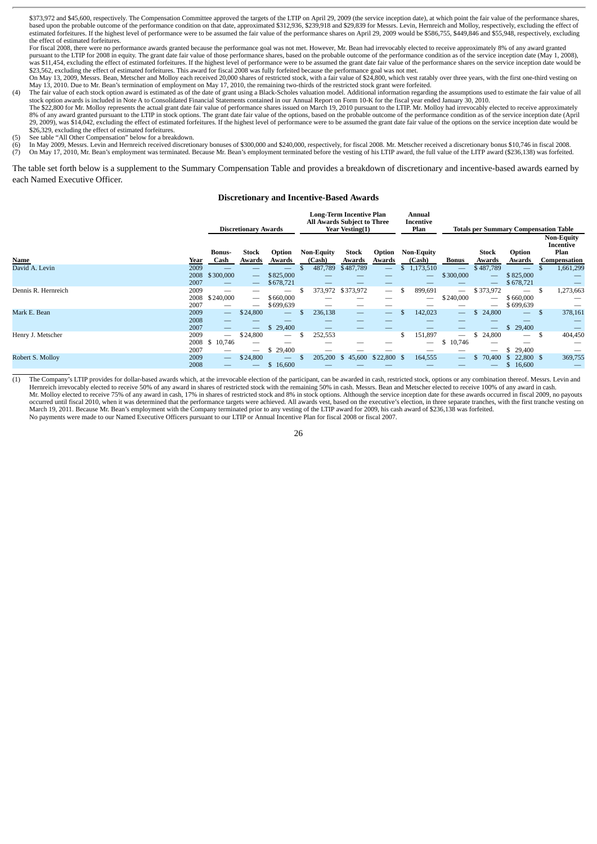\$373,972 and \$45,600, respectively. The Compensation Committee approved the targets of the LTIP on April 29, 2009 (the service inception date), at which point the fair value of the performance shares, based upon the probable outcome of the performance condition on that date, approximated \$312,936, \$239,918 and \$29,839 for Messrs. Levin, Hernreich and Molloy, respectively, excluding the effect of estimated forfeitures. If the highest level of performance were to be assumed the fair value of the performance shares on April 29, 2009 would be \$586,755, \$449,846 and \$55,948, respectively, excluding the effect of estimated forfeitures.

For fiscal 2008, there were no performance awards granted because the performance goal was not met. However, Mr. Bean had irrevocably elected to receive approximately 8% of any award granted pursuant to the LTIP for 2008 in equity. The grant date fair value of those performance shares, based on the probable outcome of the performance condition as of the service inception date (May 1, 2008), was \$11,454, excluding the effect of estimated forfeitures. If the highest level of performance were to be assumed the grant date fair value of the performance shares on the service inception date would be \$23,562, excluding the effect of estimated forfeitures. This award for fiscal 2008 was fully forfeited because the performance goal was not met.

On May 13, 2009, Messrs. Bean, Metscher and Molloy each received 20,000 shares of restricted stock, with a fair value of \$24,800, which vest ratably over three years, with the first one-third vesting on May 13, 2010. Due to Mr. Bean's termination of employment on May 17, 2010, the remaining two-thirds of the restricted stock grant were forfeited.<br>(4) The fair value of each stock option award is estimated as of the date of

- stock option awards is included in Note A to Consolidated Financial Statements contained in our Annual Report on Form 10-K for the fiscal year ended January 30, 2010. The \$22,800 for Mr. Molloy represents the actual grant date fair value of performance shares issued on March 19, 2010 pursuant to the LTIP. Mr. Molloy had irrevocably elected to receive approximately 8% of any award granted pursuant to the LTIP in stock options. The grant date fair value of the options, based on the probable outcome of the performance condition as of the service inception date (April 29, 2009), was \$14,042, excluding the effect of estimated forfeitures. If the highest level of performance were to be assumed the grant date fair value of the options on the service inception date would be \$26,329, excluding the effect of estimated forfeitures.
- See table "All Other Compensation" below for a breakdown.
- (6) In May 2009, Messrs. Levin and Hernreich received discretionary bonuses of \$300,000 and \$240,000, respectively, for fiscal 2008. Mr. Metscher received a discretionary bonus \$10,746 in fiscal 2008. (7) On May 17, 2010, Mr. Bean's employment was terminated. Because Mr. Bean's employment terminated before the vesting of his LTIP award, the full value of the LITP award (\$236,138) was forfeited.

The table set forth below is a supplement to the Summary Compensation Table and provides a breakdown of discretionary and incentive-based awards earned by each Named Executive Officer.

#### **Discretionary and Incentive-Based Awards**

|                     |                      | <b>Discretionary Awards</b>                                               |                                 | <b>Long-Term Incentive Plan</b><br>All Awards Subject to Three<br>Year Vesting(1) |  |                             | Annual<br>Incentive<br>Plan | <b>Totals per Summary Compensation Table</b> |                                                  |                                             |                                            |                                                    |               |                                                        |
|---------------------|----------------------|---------------------------------------------------------------------------|---------------------------------|-----------------------------------------------------------------------------------|--|-----------------------------|-----------------------------|----------------------------------------------|--------------------------------------------------|---------------------------------------------|--------------------------------------------|----------------------------------------------------|---------------|--------------------------------------------------------|
| Name                | Year                 | <b>Bonus-</b><br>Cash                                                     | <b>Stock</b><br>Awards          | Option<br>Awards                                                                  |  | <b>Non-Equity</b><br>(Cash) | Stock<br>Awards             | Option<br>Awards                             | <b>Non-Equity</b><br>(Cash)                      | <b>Bonus</b>                                | <b>Stock</b><br>Awards                     | Option<br>Awards                                   |               | <b>Non-Equity</b><br>Incentive<br>Plan<br>Compensation |
| David A. Levin      | 2009<br>2008<br>2007 | \$300,000<br>$\overline{\phantom{0}}$                                     | $\hspace{0.05cm}$               | —<br>——<br>\$825,000<br>\$678,721                                                 |  | 487,789                     | \$487,789                   | $\overline{\phantom{m}}$                     | \$<br>1,173,510<br>$\overline{\phantom{0}}$<br>_ | $\overline{\phantom{0}}$<br>\$300,000       | \$487,789<br>$\overline{\phantom{m}}$<br>— | $\overline{\phantom{0}}$<br>\$825,000<br>\$678,721 |               | 1,661,299                                              |
| Dennis R. Hernreich | 2009<br>2008<br>2007 | \$240,000                                                                 | $\hspace{0.1mm}-\hspace{0.1mm}$ | \$660,000<br>\$699,639                                                            |  | 373,972                     | \$373,972<br>_              | $\overline{\phantom{m}}$                     | \$<br>899,691<br>—                               | $\overline{\phantom{0}}$<br>\$240,000       | \$373,972<br>$\overline{\phantom{0}}$      | \$660,000<br>\$699,639                             | £.            | 1,273,663                                              |
| Mark E. Bean        | 2009<br>2008<br>2007 | $\qquad \qquad -$<br>$\overline{\phantom{a}}$<br>$\overline{\phantom{0}}$ | \$24,800                        | \$29,400                                                                          |  | 236,138                     | -                           | $\overline{\phantom{0}}$                     | 142,023                                          | $\hspace{0.05cm}$                           | 24,800                                     | \$29,400                                           | <sup>\$</sup> | 378,161                                                |
| Henry J. Metscher   | 2009<br>2008<br>2007 | $\overline{\phantom{0}}$<br>\$10,746<br>$\overline{\phantom{0}}$          | \$24,800                        | 29,400<br>S.                                                                      |  | 252,553                     |                             |                                              | \$<br>151,897                                    | $\overbrace{\qquad \qquad }^{}$<br>\$10,746 | 24,800                                     | $\overline{\phantom{m}}$<br>\$ 29,400              | .S            | 404,450                                                |
| Robert S. Mollov    | 2009<br>2008         | $\qquad \qquad -$<br>$\overline{\phantom{0}}$                             | \$24,800                        | $\qquad \qquad -$<br>16,600<br>\$                                                 |  | 205,200                     | 45,600<br>-S                | $$22,800$ \$                                 | 164,555                                          | $\hspace{0.05cm}$                           | 70,400<br>ъ.                               | 22,800 \$<br><sup>\$</sup><br>16,600<br>\$.        |               | 369,755                                                |

(1) The Company's LTIP provides for dollar-based awards which, at the irrevocable election of the participant, can be awarded in cash, restricted stock, options or any combination thereof. Messrs. Levin and Hernreich irrevocably elected to receive 50% of any award in shares of restricted stock with the remaining 50% in cash. Messrs. Bean and Metscher elected to receive 100% of any award in cash.<br>Mr. Molloy elected to receive occurred until fiscal 2010, when it was determined that the performance targets were achieved. All awards vest, based on the executive's election, in three separate tranches, with the first tranche vesting on March 19, 2011. Because Mr. Bean's employment with the Company terminated prior to any vesting of the LTIP award for 2009, his cash award of \$236,138 was forfeited.<br>No payments were made to our Named Executive Officers pur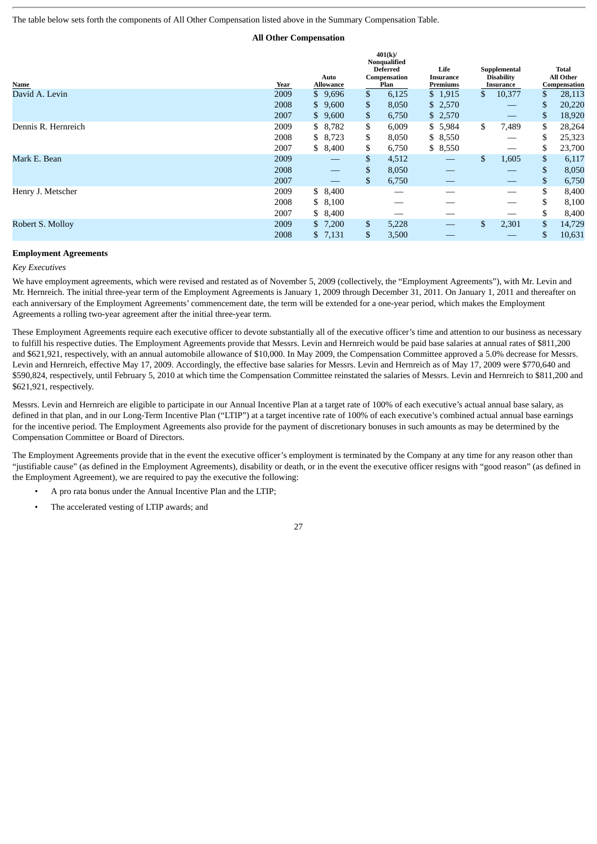The table below sets forth the components of All Other Compensation listed above in the Summary Compensation Table.

# **All Other Compensation**

**401(k)/**

| Name                | Year | Auto<br>Allowance        | Nonqualified<br><b>Deferred</b><br>Compensation<br>Plan | Life<br>Insurance<br>Premiums | Supplemental<br><b>Disability</b><br>Insurance |    | <b>Total</b><br><b>All Other</b><br>Compensation |
|---------------------|------|--------------------------|---------------------------------------------------------|-------------------------------|------------------------------------------------|----|--------------------------------------------------|
| David A. Levin      | 2009 | \$9,696                  | \$<br>6,125                                             | \$1,915                       | \$<br>10,377                                   | \$ | 28,113                                           |
|                     | 2008 | \$9,600                  | \$<br>8,050                                             | \$2,570                       |                                                | \$ | 20,220                                           |
|                     | 2007 | \$9,600                  | \$<br>6,750                                             | \$2,570                       |                                                | \$ | 18,920                                           |
| Dennis R. Hernreich | 2009 | \$8,782                  | \$<br>6,009                                             | \$5,984                       | \$<br>7,489                                    | \$ | 28,264                                           |
|                     | 2008 | \$8,723                  | \$<br>8,050                                             | \$8,550                       |                                                | \$ | 25,323                                           |
|                     | 2007 | \$8,400                  | \$<br>6,750                                             | \$8,550                       |                                                | \$ | 23,700                                           |
| Mark E. Bean        | 2009 | $\overline{\phantom{0}}$ | \$<br>4,512                                             |                               | \$<br>1,605                                    | \$ | 6,117                                            |
|                     | 2008 |                          | \$<br>8,050                                             |                               |                                                | S. | 8,050                                            |
|                     | 2007 |                          | \$<br>6,750                                             |                               |                                                | \$ | 6,750                                            |
| Henry J. Metscher   | 2009 | \$8,400                  | __                                                      |                               |                                                | \$ | 8,400                                            |
|                     | 2008 | \$8,100                  |                                                         |                               |                                                |    | 8,100                                            |
|                     | 2007 | \$8,400                  |                                                         |                               |                                                | \$ | 8,400                                            |
| Robert S. Mollov    | 2009 | \$7,200                  | \$<br>5,228                                             |                               | \$<br>2,301                                    | \$ | 14,729                                           |
|                     | 2008 | \$7,131                  | \$<br>3,500                                             |                               |                                                | \$ | 10,631                                           |

#### **Employment Agreements**

#### *Key Executives*

We have employment agreements, which were revised and restated as of November 5, 2009 (collectively, the "Employment Agreements"), with Mr. Levin and Mr. Hernreich. The initial three-year term of the Employment Agreements is January 1, 2009 through December 31, 2011. On January 1, 2011 and thereafter on each anniversary of the Employment Agreements' commencement date, the term will be extended for a one-year period, which makes the Employment Agreements a rolling two-year agreement after the initial three-year term.

These Employment Agreements require each executive officer to devote substantially all of the executive officer's time and attention to our business as necessary to fulfill his respective duties. The Employment Agreements provide that Messrs. Levin and Hernreich would be paid base salaries at annual rates of \$811,200 and \$621,921, respectively, with an annual automobile allowance of \$10,000. In May 2009, the Compensation Committee approved a 5.0% decrease for Messrs. Levin and Hernreich, effective May 17, 2009. Accordingly, the effective base salaries for Messrs. Levin and Hernreich as of May 17, 2009 were \$770,640 and \$590,824, respectively, until February 5, 2010 at which time the Compensation Committee reinstated the salaries of Messrs. Levin and Hernreich to \$811,200 and \$621,921, respectively.

Messrs. Levin and Hernreich are eligible to participate in our Annual Incentive Plan at a target rate of 100% of each executive's actual annual base salary, as defined in that plan, and in our Long-Term Incentive Plan ("LTIP") at a target incentive rate of 100% of each executive's combined actual annual base earnings for the incentive period. The Employment Agreements also provide for the payment of discretionary bonuses in such amounts as may be determined by the Compensation Committee or Board of Directors.

The Employment Agreements provide that in the event the executive officer's employment is terminated by the Company at any time for any reason other than "justifiable cause" (as defined in the Employment Agreements), disability or death, or in the event the executive officer resigns with "good reason" (as defined in the Employment Agreement), we are required to pay the executive the following:

- A pro rata bonus under the Annual Incentive Plan and the LTIP;
- The accelerated vesting of LTIP awards; and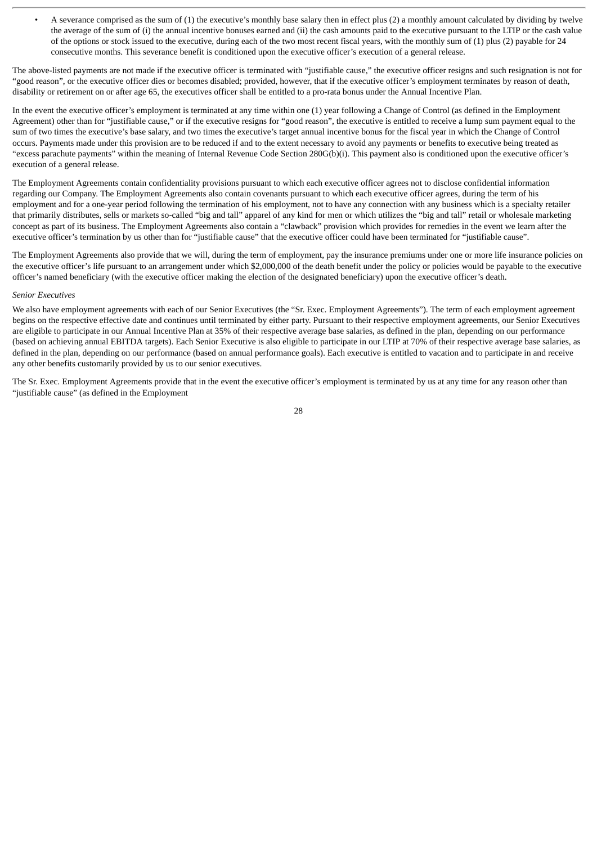• A severance comprised as the sum of (1) the executive's monthly base salary then in effect plus (2) a monthly amount calculated by dividing by twelve the average of the sum of (i) the annual incentive bonuses earned and (ii) the cash amounts paid to the executive pursuant to the LTIP or the cash value of the options or stock issued to the executive, during each of the two most recent fiscal years, with the monthly sum of (1) plus (2) payable for 24 consecutive months. This severance benefit is conditioned upon the executive officer's execution of a general release.

The above-listed payments are not made if the executive officer is terminated with "justifiable cause," the executive officer resigns and such resignation is not for "good reason", or the executive officer dies or becomes disabled; provided, however, that if the executive officer's employment terminates by reason of death, disability or retirement on or after age 65, the executives officer shall be entitled to a pro-rata bonus under the Annual Incentive Plan.

In the event the executive officer's employment is terminated at any time within one (1) year following a Change of Control (as defined in the Employment Agreement) other than for "justifiable cause," or if the executive resigns for "good reason", the executive is entitled to receive a lump sum payment equal to the sum of two times the executive's base salary, and two times the executive's target annual incentive bonus for the fiscal year in which the Change of Control occurs. Payments made under this provision are to be reduced if and to the extent necessary to avoid any payments or benefits to executive being treated as "excess parachute payments" within the meaning of Internal Revenue Code Section 280G(b)(i). This payment also is conditioned upon the executive officer's execution of a general release.

The Employment Agreements contain confidentiality provisions pursuant to which each executive officer agrees not to disclose confidential information regarding our Company. The Employment Agreements also contain covenants pursuant to which each executive officer agrees, during the term of his employment and for a one-year period following the termination of his employment, not to have any connection with any business which is a specialty retailer that primarily distributes, sells or markets so-called "big and tall" apparel of any kind for men or which utilizes the "big and tall" retail or wholesale marketing concept as part of its business. The Employment Agreements also contain a "clawback" provision which provides for remedies in the event we learn after the executive officer's termination by us other than for "justifiable cause" that the executive officer could have been terminated for "justifiable cause".

The Employment Agreements also provide that we will, during the term of employment, pay the insurance premiums under one or more life insurance policies on the executive officer's life pursuant to an arrangement under which \$2,000,000 of the death benefit under the policy or policies would be payable to the executive officer's named beneficiary (with the executive officer making the election of the designated beneficiary) upon the executive officer's death.

#### *Senior Executives*

We also have employment agreements with each of our Senior Executives (the "Sr. Exec. Employment Agreements"). The term of each employment agreement begins on the respective effective date and continues until terminated by either party. Pursuant to their respective employment agreements, our Senior Executives are eligible to participate in our Annual Incentive Plan at 35% of their respective average base salaries, as defined in the plan, depending on our performance (based on achieving annual EBITDA targets). Each Senior Executive is also eligible to participate in our LTIP at 70% of their respective average base salaries, as defined in the plan, depending on our performance (based on annual performance goals). Each executive is entitled to vacation and to participate in and receive any other benefits customarily provided by us to our senior executives.

The Sr. Exec. Employment Agreements provide that in the event the executive officer's employment is terminated by us at any time for any reason other than "justifiable cause" (as defined in the Employment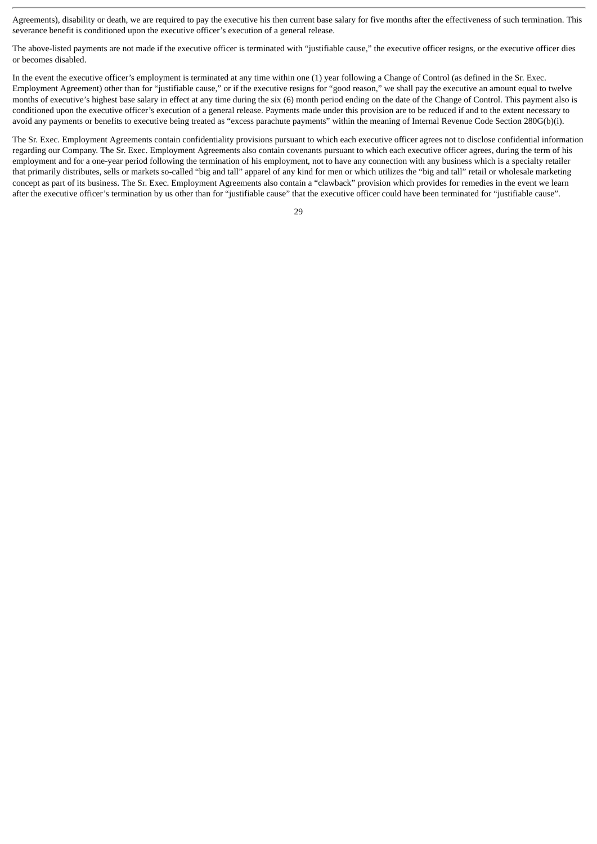Agreements), disability or death, we are required to pay the executive his then current base salary for five months after the effectiveness of such termination. This severance benefit is conditioned upon the executive officer's execution of a general release.

The above-listed payments are not made if the executive officer is terminated with "justifiable cause," the executive officer resigns, or the executive officer dies or becomes disabled.

In the event the executive officer's employment is terminated at any time within one (1) year following a Change of Control (as defined in the Sr. Exec. Employment Agreement) other than for "justifiable cause," or if the executive resigns for "good reason," we shall pay the executive an amount equal to twelve months of executive's highest base salary in effect at any time during the six (6) month period ending on the date of the Change of Control. This payment also is conditioned upon the executive officer's execution of a general release. Payments made under this provision are to be reduced if and to the extent necessary to avoid any payments or benefits to executive being treated as "excess parachute payments" within the meaning of Internal Revenue Code Section 280G(b)(i).

The Sr. Exec. Employment Agreements contain confidentiality provisions pursuant to which each executive officer agrees not to disclose confidential information regarding our Company. The Sr. Exec. Employment Agreements also contain covenants pursuant to which each executive officer agrees, during the term of his employment and for a one-year period following the termination of his employment, not to have any connection with any business which is a specialty retailer that primarily distributes, sells or markets so-called "big and tall" apparel of any kind for men or which utilizes the "big and tall" retail or wholesale marketing concept as part of its business. The Sr. Exec. Employment Agreements also contain a "clawback" provision which provides for remedies in the event we learn after the executive officer's termination by us other than for "justifiable cause" that the executive officer could have been terminated for "justifiable cause".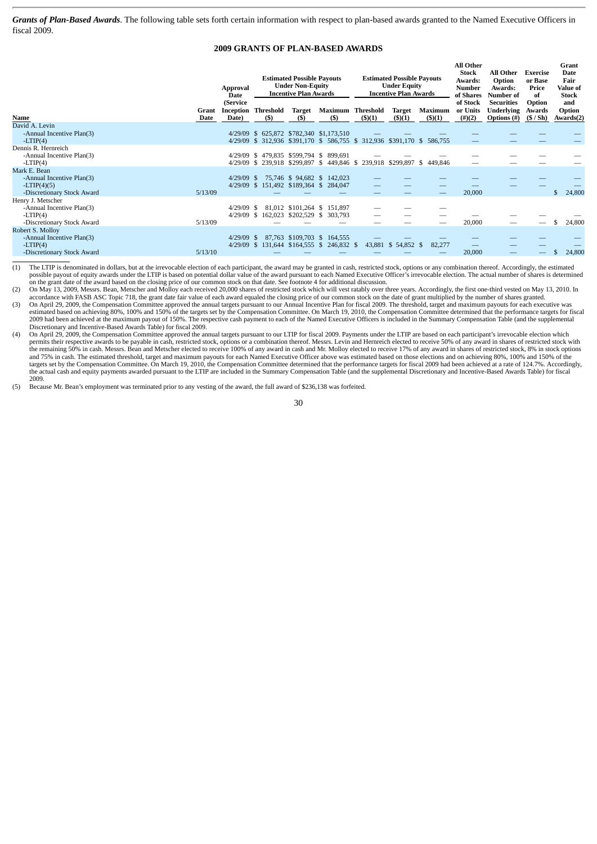*Grants of Plan-Based Awards*. The following table sets forth certain information with respect to plan-based awards granted to the Named Executive Officers in fiscal 2009.

# **2009 GRANTS OF PLAN-BASED AWARDS**

|                                                                                            |               | Approval<br>Date<br>(Service |                                   | <b>Estimated Possible Payouts</b><br><b>Under Non-Equity</b><br><b>Incentive Plan Awards</b> |                                                                                                                     |               | <b>Estimated Possible Payouts</b><br><b>Under Equity</b><br><b>Incentive Plan Awards</b> |                          | <b>All Other</b><br><b>Stock</b><br>Awards:<br><b>Number</b><br>of Shares<br>of Stock | <b>All Other</b><br>Option<br>Awards:<br>Number of<br><b>Securities</b> | Exercise<br>or Base<br>Price<br>of<br>Option | Grant<br><b>Date</b><br>Fair<br>Value of<br><b>Stock</b><br>and |
|--------------------------------------------------------------------------------------------|---------------|------------------------------|-----------------------------------|----------------------------------------------------------------------------------------------|---------------------------------------------------------------------------------------------------------------------|---------------|------------------------------------------------------------------------------------------|--------------------------|---------------------------------------------------------------------------------------|-------------------------------------------------------------------------|----------------------------------------------|-----------------------------------------------------------------|
| Name                                                                                       | Grant<br>Date | Date)                        | <b>Inception Threshold</b><br>(5) | Target<br>(S)                                                                                | Maximum Threshold<br>(S)                                                                                            | $($ \$ $)(1)$ | Target<br>$($ \$ $)(1)$                                                                  | Maximum<br>$($ \$ $)(1)$ | or Units<br>$(\#)(2)$                                                                 | <b>Underlying</b><br>Options (#)                                        | Awards<br>(S / Sh)                           | Option<br>Awards(2)                                             |
| David A. Levin<br>-Annual Incentive Plan(3)<br>$-LTIP(4)$                                  |               |                              |                                   |                                                                                              | 4/29/09 \$ 625,872 \$782,340 \$1,173,510<br>4/29/09 \$ 312,936 \$391,170 \$ 586,755 \$ 312,936 \$391,170 \$ 586,755 |               |                                                                                          |                          |                                                                                       |                                                                         |                                              |                                                                 |
| Dennis R. Hernreich<br>-Annual Incentive Plan(3)<br>$-LTIP(4)$                             |               |                              |                                   |                                                                                              | 4/29/09 \$ 479,835 \$599,794 \$ 899,691<br>4/29/09 \$ 239,918 \$299,897 \$ 449,846 \$ 239,918 \$299,897 \$          |               |                                                                                          | 449.846                  |                                                                                       |                                                                         |                                              |                                                                 |
| Mark E. Bean<br>-Annual Incentive Plan(3)<br>$-LTIP(4)(5)$<br>-Discretionary Stock Award   | 5/13/09       | $4/29/09$ \$                 |                                   |                                                                                              | 75,746 \$ 94,682 \$ 142,023<br>4/29/09 \$ 151,492 \$189,364 \$ 284,047                                              |               |                                                                                          | $\overline{\phantom{0}}$ | 20,000                                                                                |                                                                         |                                              | 24,800                                                          |
| Henry J. Metscher<br>-Annual Incentive Plan(3)<br>$-LTIP(4)$<br>-Discretionary Stock Award | 5/13/09       | $4/29/09$ \$                 |                                   |                                                                                              | 81,012 \$101,264 \$ 151,897<br>4/29/09 \$ 162,023 \$202,529 \$ 303,793                                              |               |                                                                                          | —                        | 20,000                                                                                | $\overline{\phantom{0}}$                                                |                                              | 24,800                                                          |
| Robert S. Molloy<br>-Annual Incentive Plan(3)<br>$-LTIP(4)$<br>-Discretionary Stock Award  | 5/13/10       | $4/29/09$ \$                 |                                   |                                                                                              | 87,763 \$109,703 \$ 164,555<br>4/29/09 \$ 131,644 \$164,555 \$ 246,832 \$                                           |               | 43,881 \$ 54,852 \$                                                                      | 82,277                   | 20,000                                                                                |                                                                         |                                              | 24,800                                                          |

(1) The LTIP is denominated in dollars, but at the irrevocable election of each participant, the award may be granted in cash, restricted stock, options or any combination thereof. Accordingly, the estimated possible payout of equity awards under the LTIP is based on potential dollar value of the award pursuant to each Named Executive Officer's irrevocable election. The actual number of shares is determined on the grant date of the award based on the closing price of our common stock on that date. See footnote 4 for additional discussion.<br>(2) On May 13, 2009, Messrs. Bean, Metscher and Molloy each received 20,000 shares of re

accordance with FASB ASC Topic 718, the grant date fair value of each award equaled the closing price of our common stock on the date of grant multiplied by the number of shares granted.<br>(3) On April 29, 2009, the Compensa

estimated based on achieving 80%, 100% and 150% of the targets set by the Compensation Committee. On March 19, 2010, the Compensation Committee determined that the performance targets for fiscal 2009 had been achieved at the maximum payout of 150%. The respective cash payment to each of the Named Executive Officers is included in the Summary Compensation Table (and the supplemental<br>Discretionary and Incentive-Base

(4) On April 29, 2009, the Compensation Committee approved the annual targets pursuant to our LTIP for fiscal 2009. Payments under the LTIP are based on each participant's irrevocable election which permits their respective awards to be payable in cash, restricted stock, options or a combination thereof. Messrs. Levin and Hernreich elected to receive 50% of any award in shares of restricted stock with<br>the remaining 50 and 75% in cash. The estimated threshold, target and maximum payouts for each Named Executive Officer above was estimated based on those elections and on achieving 80%, 100% and 150% of the targets set by the Compensation Committee. On March 19, 2010, the Compensation Committee determined that the performance targets for fiscal 2009 had been achieved at a rate of 124.7%. Accordingly,<br>the actual cash and equit 2009.

(5) Because Mr. Bean's employment was terminated prior to any vesting of the award, the full award of \$236,138 was forfeited.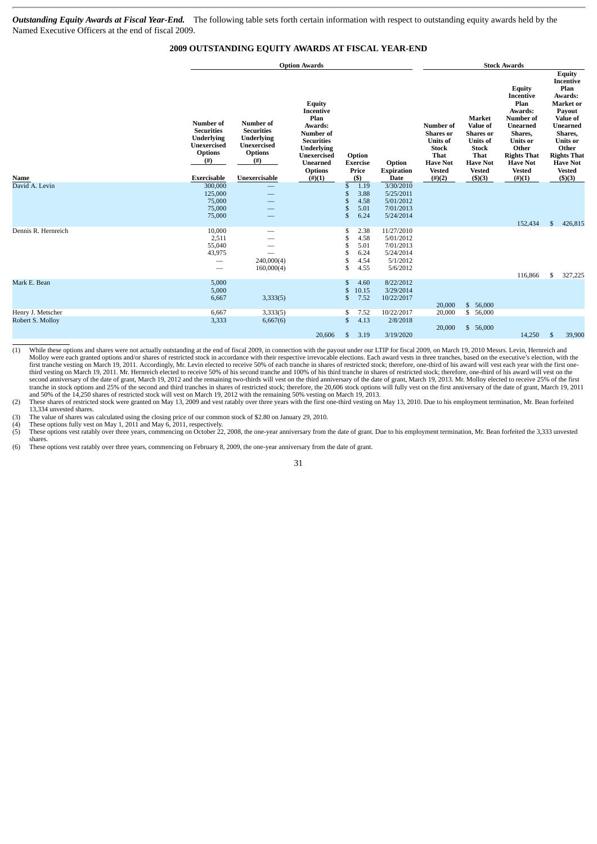*Outstanding Equity Awards at Fiscal Year-End.* The following table sets forth certain information with respect to outstanding equity awards held by the Named Executive Officers at the end of fiscal 2009.

# **2009 OUTSTANDING EQUITY AWARDS AT FISCAL YEAR-END**

|                     |                                                                                                        |                                                                                                            | <b>Option Awards</b>                                                                                                                                                  | <b>Stock Awards</b>                                                                                    |                                                                           |                                                                                                                                  |                                                                                                                                                          |                                                                                                                                                                                   |                                                                                                                                                                                                                       |
|---------------------|--------------------------------------------------------------------------------------------------------|------------------------------------------------------------------------------------------------------------|-----------------------------------------------------------------------------------------------------------------------------------------------------------------------|--------------------------------------------------------------------------------------------------------|---------------------------------------------------------------------------|----------------------------------------------------------------------------------------------------------------------------------|----------------------------------------------------------------------------------------------------------------------------------------------------------|-----------------------------------------------------------------------------------------------------------------------------------------------------------------------------------|-----------------------------------------------------------------------------------------------------------------------------------------------------------------------------------------------------------------------|
| Name                | Number of<br><b>Securities</b><br>Underlying<br>Unexercised<br><b>Options</b><br>$($ #)<br>Exercisable | Number of<br><b>Securities</b><br>Underlying<br>Unexercised<br><b>Options</b><br>$^{(#)}$<br>Unexercisable | <b>Equity</b><br>Incentive<br>Plan<br>Awards:<br>Number of<br><b>Securities</b><br>Underlying<br><b>Unexercised</b><br><b>Unearned</b><br><b>Options</b><br>$(\#)(1)$ | Option<br><b>Exercise</b><br>Price<br>(5)                                                              | Option<br><b>Expiration</b><br>Date                                       | Number of<br><b>Shares</b> or<br><b>Units of</b><br><b>Stock</b><br><b>That</b><br><b>Have Not</b><br><b>Vested</b><br>$(\#)(2)$ | <b>Market</b><br><b>Value of</b><br><b>Shares</b> or<br><b>Units of</b><br><b>Stock</b><br><b>That</b><br><b>Have Not</b><br><b>Vested</b><br>$($ \$)(3) | Equity<br>Incentive<br>Plan<br>Awards:<br>Number of<br><b>Unearned</b><br>Shares,<br><b>Units or</b><br>Other<br><b>Rights That</b><br><b>Have Not</b><br><b>Vested</b><br>(#)(1) | <b>Equity</b><br>Incentive<br>Plan<br>Awards:<br>Market or<br>Payout<br><b>Value of</b><br><b>Unearned</b><br>Shares,<br><b>Units</b> or<br>Other<br><b>Rights That</b><br><b>Have Not</b><br><b>Vested</b><br>\$)(3) |
| David A. Levin      | 300,000<br>125,000<br>75,000<br>75,000<br>75,000                                                       |                                                                                                            |                                                                                                                                                                       | 1.19<br>\$<br>3.88<br>£<br>4.58<br>£<br>$\mathfrak{s}$<br>5.01<br>6.24<br>$\mathfrak{s}$               | 3/30/2010<br>5/25/2011<br>5/01/2012<br>7/01/2013<br>5/24/2014             |                                                                                                                                  |                                                                                                                                                          | 152,434                                                                                                                                                                           | \$<br>426,815                                                                                                                                                                                                         |
| Dennis R. Hernreich | 10,000<br>2,511<br>55,040<br>43,975<br>$\overline{\phantom{0}}$<br>$\qquad \qquad$                     | —<br>–<br>240,000(4)<br>160,000(4)                                                                         |                                                                                                                                                                       | \$<br>2.38<br>\$<br>4.58<br><sup>\$</sup><br>5.01<br>6.24<br><sup>\$</sup><br>\$<br>4.54<br>\$<br>4.55 | 11/27/2010<br>5/01/2012<br>7/01/2013<br>5/24/2014<br>5/1/2012<br>5/6/2012 |                                                                                                                                  |                                                                                                                                                          | 116,866                                                                                                                                                                           | 327,225<br>\$                                                                                                                                                                                                         |
| Mark E. Bean        | 5,000<br>5,000<br>6,667                                                                                | 3,333(5)                                                                                                   |                                                                                                                                                                       | $\mathfrak{s}$<br>4.60<br>$\mathfrak{s}$<br>10.15<br>$\mathbf{s}$<br>7.52                              | 8/22/2012<br>3/29/2014<br>10/22/2017                                      | 20,000                                                                                                                           | \$<br>56,000                                                                                                                                             |                                                                                                                                                                                   |                                                                                                                                                                                                                       |
| Henry J. Metscher   | 6,667                                                                                                  | 3,333(5)                                                                                                   |                                                                                                                                                                       | \$<br>7.52                                                                                             | 10/22/2017                                                                | 20,000                                                                                                                           | \$<br>56,000                                                                                                                                             |                                                                                                                                                                                   |                                                                                                                                                                                                                       |
| Robert S. Molloy    | 3,333                                                                                                  | 6,667(6)                                                                                                   | 20,606                                                                                                                                                                | $\mathfrak{S}$<br>4.13<br>3.19<br>$\mathbf{s}$                                                         | 2/8/2018<br>3/19/2020                                                     | 20,000                                                                                                                           | \$<br>56,000                                                                                                                                             | 14,250                                                                                                                                                                            | 39,900<br>\$                                                                                                                                                                                                          |

(1) While these options and shares were not actually outstanding at the end of fiscal 2009, in connection with the payout under our LTIP for fiscal 2009, on March 19, 2010 Messrs. Levin, Hernreich and Molloy were each gran first tranche vesting on March 19, 2011. Accordingly, Mr. Levin elected to receive 50% of each tranche in shares of restricted stock; therefore, one-third of his award will vest each year with the first one-<br>third vesting second anniversary of the date of grant, March 19, 2012 and the remaining two-thirds will vest on the third anniversary of the date of grant, March 19, 2013. Mr. Molloy elected to receive 25% of the first tranche in stock options and 25% of the second and third tranches in shares of restricted stock; therefore, the 20,606 stock options will fully vest on the first anniversary of the date of grant, March 19, 2011<br>and 50% of

(2) These shares of restricted stock were granted on May 13, 2009 and vest ratably over three years with the first one-third vesting on May 13, 2010. Due to his employment termination, Mr. Bean forfeited 13,334 unvested shares.

(3) The value of shares was calculated using the closing price of our common stock of \$2.80 on January 29, 2010. (4) These options fully vest on May 1, 2011 and May 6, 2011, respectively.

(5) These options vest ratably over three years, commencing on October 22, 2008, the one-year anniversary from the date of grant. Due to his employment termination, Mr. Bean forfeited the 3,333 unvested shares.

(6) These options vest ratably over three years, commencing on February 8, 2009, the one-year anniversary from the date of grant.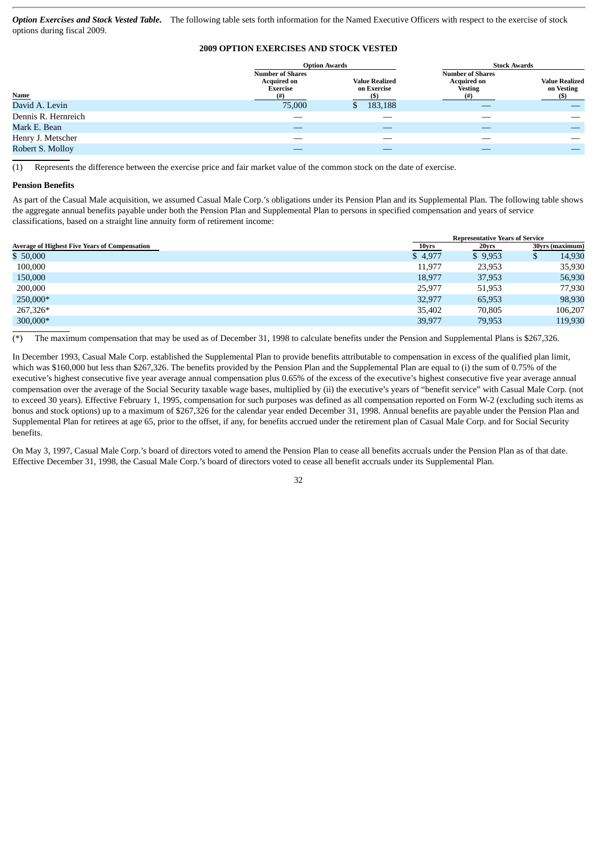*Option Exercises and Stock Vested Table***.** The following table sets forth information for the Named Executive Officers with respect to the exercise of stock options during fiscal 2009.

# **2009 OPTION EXERCISES AND STOCK VESTED**

|                     | <b>Option Awards</b>                                      |                                      | <b>Stock Awards</b>                                             |                                     |  |  |
|---------------------|-----------------------------------------------------------|--------------------------------------|-----------------------------------------------------------------|-------------------------------------|--|--|
|                     | <b>Number of Shares</b><br><b>Acquired on</b><br>Exercise | <b>Value Realized</b><br>on Exercise | <b>Number of Shares</b><br><b>Acquired on</b><br><b>Vesting</b> | <b>Value Realized</b><br>on Vesting |  |  |
| <b>Name</b>         |                                                           |                                      | (#)                                                             | (S)                                 |  |  |
| David A. Levin      | 75,000                                                    | 183,188<br>$\mathbf{D}$              |                                                                 |                                     |  |  |
| Dennis R. Hernreich |                                                           |                                      |                                                                 |                                     |  |  |
| Mark E. Bean        |                                                           |                                      |                                                                 |                                     |  |  |
| Henry J. Metscher   |                                                           |                                      |                                                                 |                                     |  |  |
| Robert S. Mollov    |                                                           |                                      |                                                                 |                                     |  |  |

(1) Represents the difference between the exercise price and fair market value of the common stock on the date of exercise.

#### **Pension Benefits**

As part of the Casual Male acquisition, we assumed Casual Male Corp.'s obligations under its Pension Plan and its Supplemental Plan. The following table shows the aggregate annual benefits payable under both the Pension Plan and Supplemental Plan to persons in specified compensation and years of service classifications, based on a straight line annuity form of retirement income:

|                                                      |         | <b>Representative Years of Service</b> |                 |  |  |  |  |
|------------------------------------------------------|---------|----------------------------------------|-----------------|--|--|--|--|
| <b>Average of Highest Five Years of Compensation</b> | 10yrs   | 20yrs                                  | 30yrs (maximum) |  |  |  |  |
| \$50,000                                             | \$4,977 | \$9,953                                | 14,930          |  |  |  |  |
| 100,000                                              | 11.977  | 23,953                                 | 35,930          |  |  |  |  |
| 150,000                                              | 18,977  | 37,953                                 | 56,930          |  |  |  |  |
| 200,000                                              | 25,977  | 51,953                                 | 77,930          |  |  |  |  |
| 250,000*                                             | 32,977  | 65,953                                 | 98,930          |  |  |  |  |
| 267,326*                                             | 35.402  | 70.805                                 | 106,207         |  |  |  |  |
| 300,000*                                             | 39,977  | 79,953                                 | 119,930         |  |  |  |  |

(\*) The maximum compensation that may be used as of December 31, 1998 to calculate benefits under the Pension and Supplemental Plans is \$267,326.

In December 1993, Casual Male Corp. established the Supplemental Plan to provide benefits attributable to compensation in excess of the qualified plan limit, which was \$160,000 but less than \$267,326. The benefits provided by the Pension Plan and the Supplemental Plan are equal to (i) the sum of 0.75% of the executive's highest consecutive five year average annual compensation plus 0.65% of the excess of the executive's highest consecutive five year average annual compensation over the average of the Social Security taxable wage bases, multiplied by (ii) the executive's years of "benefit service" with Casual Male Corp. (not to exceed 30 years). Effective February 1, 1995, compensation for such purposes was defined as all compensation reported on Form W-2 (excluding such items as bonus and stock options) up to a maximum of \$267,326 for the calendar year ended December 31, 1998. Annual benefits are payable under the Pension Plan and Supplemental Plan for retirees at age 65, prior to the offset, if any, for benefits accrued under the retirement plan of Casual Male Corp. and for Social Security benefits.

On May 3, 1997, Casual Male Corp.'s board of directors voted to amend the Pension Plan to cease all benefits accruals under the Pension Plan as of that date. Effective December 31, 1998, the Casual Male Corp.'s board of directors voted to cease all benefit accruals under its Supplemental Plan.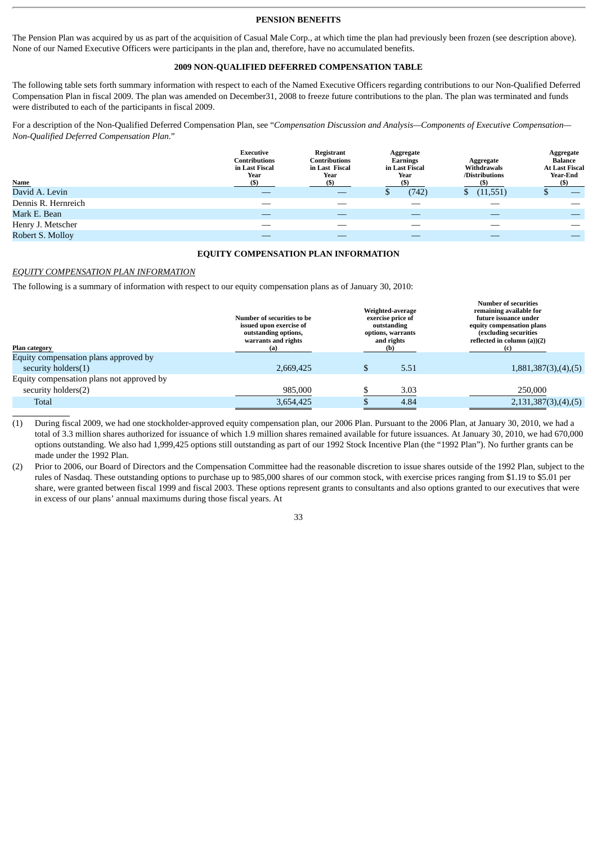#### **PENSION BENEFITS**

The Pension Plan was acquired by us as part of the acquisition of Casual Male Corp., at which time the plan had previously been frozen (see description above). None of our Named Executive Officers were participants in the plan and, therefore, have no accumulated benefits.

#### **2009 NON-QUALIFIED DEFERRED COMPENSATION TABLE**

The following table sets forth summary information with respect to each of the Named Executive Officers regarding contributions to our Non-Qualified Deferred Compensation Plan in fiscal 2009. The plan was amended on December31, 2008 to freeze future contributions to the plan. The plan was terminated and funds were distributed to each of the participants in fiscal 2009.

For a description of the Non-Qualified Deferred Compensation Plan, see "*Compensation Discussion and Analysis—Components of Executive Compensation— Non-Qualified Deferred Compensation Plan*."

| Name                | Executive<br>Contributions<br>in Last Fiscal<br>Year | Registrant<br><b>Contributions</b><br>in Last Fiscal<br>Year<br>(S) | Aggregate<br>Earnings<br>in Last Fiscal<br>Year<br>(\$) | Aggregate<br><b>Withdrawals</b><br>/Distributions | Aggregate<br>Balance<br><b>At Last Fiscal</b><br>Year-End<br>(S) |
|---------------------|------------------------------------------------------|---------------------------------------------------------------------|---------------------------------------------------------|---------------------------------------------------|------------------------------------------------------------------|
| David A. Levin      |                                                      |                                                                     | (742)                                                   | (11,551)<br>S.                                    |                                                                  |
| Dennis R. Hernreich |                                                      |                                                                     |                                                         |                                                   |                                                                  |
| Mark E. Bean        |                                                      |                                                                     |                                                         |                                                   |                                                                  |
| Henry J. Metscher   |                                                      |                                                                     |                                                         |                                                   |                                                                  |
| Robert S. Molloy    |                                                      |                                                                     |                                                         |                                                   |                                                                  |

#### **EQUITY COMPENSATION PLAN INFORMATION**

**Number of securities**

## *EQUITY COMPENSATION PLAN INFORMATION*

The following is a summary of information with respect to our equity compensation plans as of January 30, 2010:

| issued upon exercise of<br>outstanding options,<br>warrants and rights<br>(a) | Weighted-average<br>exercise price of<br>outstanding<br>options, warrants<br>and rights<br>(b) |      | remaining available for<br>future issuance under<br>equity compensation plans<br>(excluding securities<br>reflected in column (a))(2) |
|-------------------------------------------------------------------------------|------------------------------------------------------------------------------------------------|------|---------------------------------------------------------------------------------------------------------------------------------------|
|                                                                               |                                                                                                |      |                                                                                                                                       |
| 2.669.425                                                                     | \$                                                                                             | 5.51 | 1,881,387(3),(4),(5)                                                                                                                  |
|                                                                               |                                                                                                |      |                                                                                                                                       |
| 985,000                                                                       |                                                                                                | 3.03 | 250,000                                                                                                                               |
| 3,654,425                                                                     |                                                                                                | 4.84 | 2,131,387(3),(4),(5)                                                                                                                  |
|                                                                               | Number of securities to be                                                                     |      |                                                                                                                                       |

(1) During fiscal 2009, we had one stockholder-approved equity compensation plan, our 2006 Plan. Pursuant to the 2006 Plan, at January 30, 2010, we had a total of 3.3 million shares authorized for issuance of which 1.9 million shares remained available for future issuances. At January 30, 2010, we had 670,000 options outstanding. We also had 1,999,425 options still outstanding as part of our 1992 Stock Incentive Plan (the "1992 Plan"). No further grants can be made under the 1992 Plan.

(2) Prior to 2006, our Board of Directors and the Compensation Committee had the reasonable discretion to issue shares outside of the 1992 Plan, subject to the rules of Nasdaq. These outstanding options to purchase up to 985,000 shares of our common stock, with exercise prices ranging from \$1.19 to \$5.01 per share, were granted between fiscal 1999 and fiscal 2003. These options represent grants to consultants and also options granted to our executives that were in excess of our plans' annual maximums during those fiscal years. At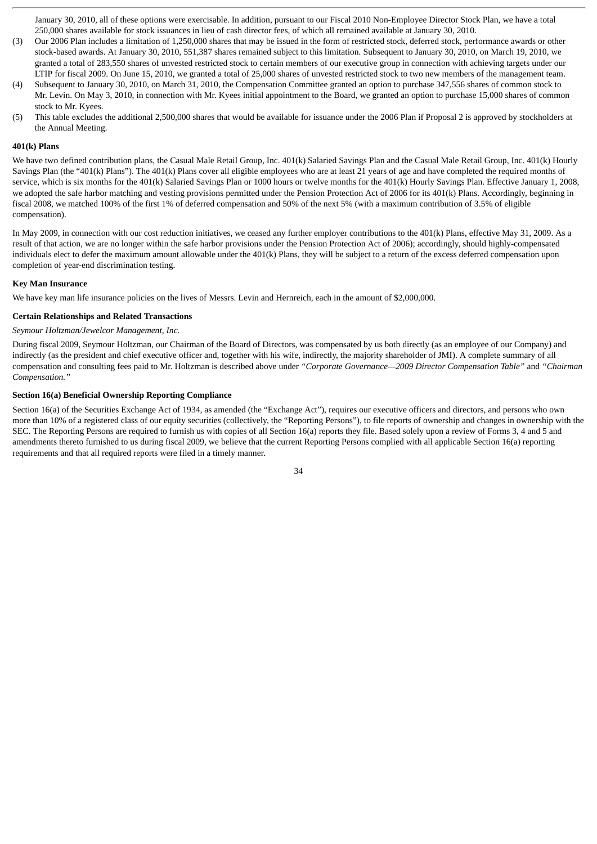January 30, 2010, all of these options were exercisable. In addition, pursuant to our Fiscal 2010 Non-Employee Director Stock Plan, we have a total 250,000 shares available for stock issuances in lieu of cash director fees, of which all remained available at January 30, 2010.

- (3) Our 2006 Plan includes a limitation of 1,250,000 shares that may be issued in the form of restricted stock, deferred stock, performance awards or other stock-based awards. At January 30, 2010, 551,387 shares remained subject to this limitation. Subsequent to January 30, 2010, on March 19, 2010, we granted a total of 283,550 shares of unvested restricted stock to certain members of our executive group in connection with achieving targets under our LTIP for fiscal 2009. On June 15, 2010, we granted a total of 25,000 shares of unvested restricted stock to two new members of the management team.
- (4) Subsequent to January 30, 2010, on March 31, 2010, the Compensation Committee granted an option to purchase 347,556 shares of common stock to Mr. Levin. On May 3, 2010, in connection with Mr. Kyees initial appointment to the Board, we granted an option to purchase 15,000 shares of common stock to Mr. Kyees.
- (5) This table excludes the additional 2,500,000 shares that would be available for issuance under the 2006 Plan if Proposal 2 is approved by stockholders at the Annual Meeting.

#### **401(k) Plans**

We have two defined contribution plans, the Casual Male Retail Group, Inc. 401(k) Salaried Savings Plan and the Casual Male Retail Group, Inc. 401(k) Hourly Savings Plan (the "401(k) Plans"). The 401(k) Plans cover all eligible employees who are at least 21 years of age and have completed the required months of service, which is six months for the 401(k) Salaried Savings Plan or 1000 hours or twelve months for the 401(k) Hourly Savings Plan. Effective January 1, 2008, we adopted the safe harbor matching and vesting provisions permitted under the Pension Protection Act of 2006 for its 401(k) Plans. Accordingly, beginning in fiscal 2008, we matched 100% of the first 1% of deferred compensation and 50% of the next 5% (with a maximum contribution of 3.5% of eligible compensation).

In May 2009, in connection with our cost reduction initiatives, we ceased any further employer contributions to the 401(k) Plans, effective May 31, 2009. As a result of that action, we are no longer within the safe harbor provisions under the Pension Protection Act of 2006); accordingly, should highly-compensated individuals elect to defer the maximum amount allowable under the 401(k) Plans, they will be subject to a return of the excess deferred compensation upon completion of year-end discrimination testing.

#### **Key Man Insurance**

We have key man life insurance policies on the lives of Messrs. Levin and Hernreich, each in the amount of \$2,000,000.

#### **Certain Relationships and Related Transactions**

# *Seymour Holtzman/Jewelcor Management, Inc.*

During fiscal 2009, Seymour Holtzman, our Chairman of the Board of Directors, was compensated by us both directly (as an employee of our Company) and indirectly (as the president and chief executive officer and, together with his wife, indirectly, the majority shareholder of JMI). A complete summary of all compensation and consulting fees paid to Mr. Holtzman is described above under *"Corporate Governance—2009 Director Compensation Table"* and *"Chairman Compensation."*

#### **Section 16(a) Beneficial Ownership Reporting Compliance**

Section 16(a) of the Securities Exchange Act of 1934, as amended (the "Exchange Act"), requires our executive officers and directors, and persons who own more than 10% of a registered class of our equity securities (collectively, the "Reporting Persons"), to file reports of ownership and changes in ownership with the SEC. The Reporting Persons are required to furnish us with copies of all Section 16(a) reports they file. Based solely upon a review of Forms 3, 4 and 5 and amendments thereto furnished to us during fiscal 2009, we believe that the current Reporting Persons complied with all applicable Section 16(a) reporting requirements and that all required reports were filed in a timely manner.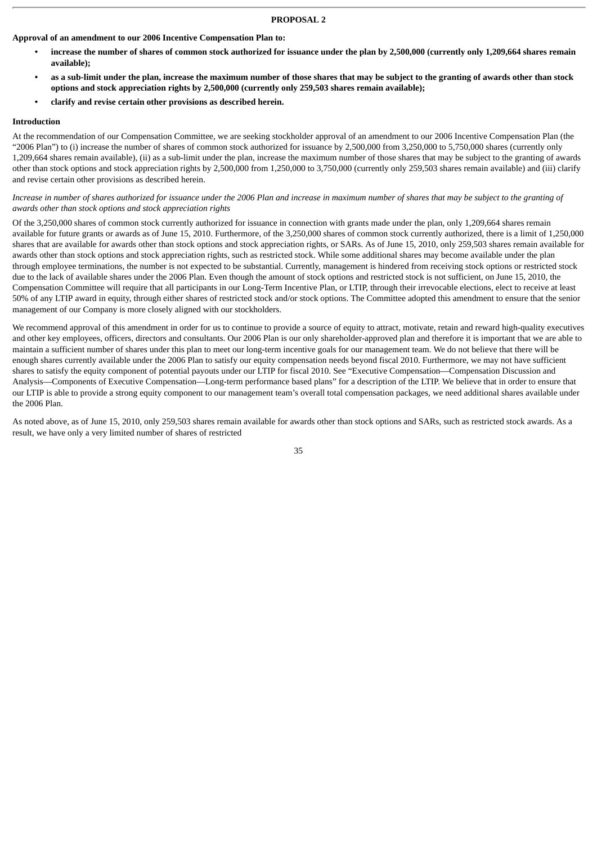# **PROPOSAL 2**

**Approval of an amendment to our 2006 Incentive Compensation Plan to:**

- **• increase the number of shares of common stock authorized for issuance under the plan by 2,500,000 (currently only 1,209,664 shares remain available);**
- **• as a sub-limit under the plan, increase the maximum number of those shares that may be subject to the granting of awards other than stock options and stock appreciation rights by 2,500,000 (currently only 259,503 shares remain available);**
- **• clarify and revise certain other provisions as described herein.**

#### **Introduction**

At the recommendation of our Compensation Committee, we are seeking stockholder approval of an amendment to our 2006 Incentive Compensation Plan (the "2006 Plan") to (i) increase the number of shares of common stock authorized for issuance by 2,500,000 from 3,250,000 to 5,750,000 shares (currently only 1,209,664 shares remain available), (ii) as a sub-limit under the plan, increase the maximum number of those shares that may be subject to the granting of awards other than stock options and stock appreciation rights by 2,500,000 from 1,250,000 to 3,750,000 (currently only 259,503 shares remain available) and (iii) clarify and revise certain other provisions as described herein.

### *Increase in number of shares authorized for issuance under the 2006 Plan and increase in maximum number of shares that may be subject to the granting of awards other than stock options and stock appreciation rights*

Of the 3,250,000 shares of common stock currently authorized for issuance in connection with grants made under the plan, only 1,209,664 shares remain available for future grants or awards as of June 15, 2010. Furthermore, of the 3,250,000 shares of common stock currently authorized, there is a limit of 1,250,000 shares that are available for awards other than stock options and stock appreciation rights, or SARs. As of June 15, 2010, only 259,503 shares remain available for awards other than stock options and stock appreciation rights, such as restricted stock. While some additional shares may become available under the plan through employee terminations, the number is not expected to be substantial. Currently, management is hindered from receiving stock options or restricted stock due to the lack of available shares under the 2006 Plan. Even though the amount of stock options and restricted stock is not sufficient, on June 15, 2010, the Compensation Committee will require that all participants in our Long-Term Incentive Plan, or LTIP, through their irrevocable elections, elect to receive at least 50% of any LTIP award in equity, through either shares of restricted stock and/or stock options. The Committee adopted this amendment to ensure that the senior management of our Company is more closely aligned with our stockholders.

We recommend approval of this amendment in order for us to continue to provide a source of equity to attract, motivate, retain and reward high-quality executives and other key employees, officers, directors and consultants. Our 2006 Plan is our only shareholder-approved plan and therefore it is important that we are able to maintain a sufficient number of shares under this plan to meet our long-term incentive goals for our management team. We do not believe that there will be enough shares currently available under the 2006 Plan to satisfy our equity compensation needs beyond fiscal 2010. Furthermore, we may not have sufficient shares to satisfy the equity component of potential payouts under our LTIP for fiscal 2010. See "Executive Compensation—Compensation Discussion and Analysis—Components of Executive Compensation—Long-term performance based plans" for a description of the LTIP. We believe that in order to ensure that our LTIP is able to provide a strong equity component to our management team's overall total compensation packages, we need additional shares available under the 2006 Plan.

As noted above, as of June 15, 2010, only 259,503 shares remain available for awards other than stock options and SARs, such as restricted stock awards. As a result, we have only a very limited number of shares of restricted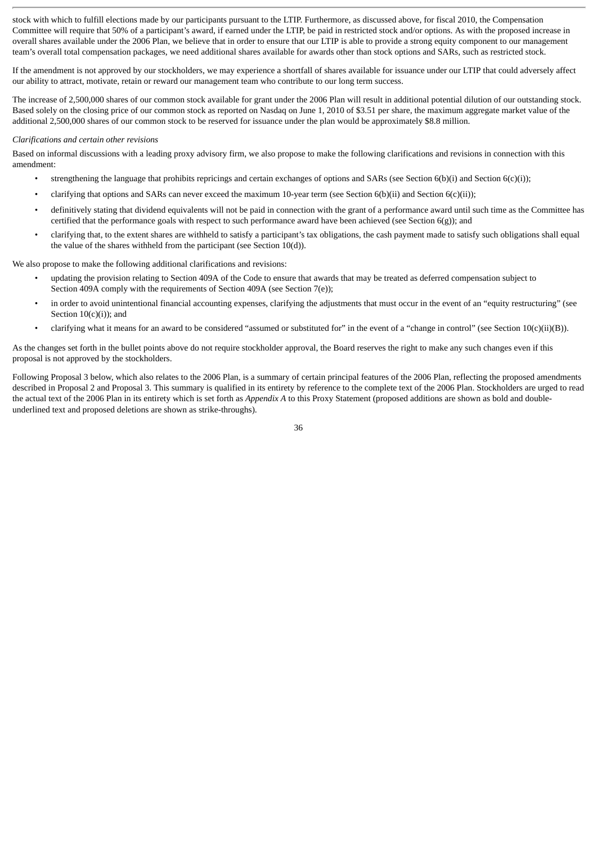stock with which to fulfill elections made by our participants pursuant to the LTIP. Furthermore, as discussed above, for fiscal 2010, the Compensation Committee will require that 50% of a participant's award, if earned under the LTIP, be paid in restricted stock and/or options. As with the proposed increase in overall shares available under the 2006 Plan, we believe that in order to ensure that our LTIP is able to provide a strong equity component to our management team's overall total compensation packages, we need additional shares available for awards other than stock options and SARs, such as restricted stock.

If the amendment is not approved by our stockholders, we may experience a shortfall of shares available for issuance under our LTIP that could adversely affect our ability to attract, motivate, retain or reward our management team who contribute to our long term success.

The increase of 2,500,000 shares of our common stock available for grant under the 2006 Plan will result in additional potential dilution of our outstanding stock. Based solely on the closing price of our common stock as reported on Nasdaq on June 1, 2010 of \$3.51 per share, the maximum aggregate market value of the additional 2,500,000 shares of our common stock to be reserved for issuance under the plan would be approximately \$8.8 million.

#### *Clarifications and certain other revisions*

Based on informal discussions with a leading proxy advisory firm, we also propose to make the following clarifications and revisions in connection with this amendment:

- strengthening the language that prohibits repricings and certain exchanges of options and SARs (see Section 6(b)(i) and Section 6(c)(i));
- clarifying that options and SARs can never exceed the maximum 10-year term (see Section 6(b)(ii) and Section 6(c)(ii));
- definitively stating that dividend equivalents will not be paid in connection with the grant of a performance award until such time as the Committee has certified that the performance goals with respect to such performance award have been achieved (see Section 6(g)); and
- clarifying that, to the extent shares are withheld to satisfy a participant's tax obligations, the cash payment made to satisfy such obligations shall equal the value of the shares withheld from the participant (see Section 10(d)).

We also propose to make the following additional clarifications and revisions:

- updating the provision relating to Section 409A of the Code to ensure that awards that may be treated as deferred compensation subject to Section 409A comply with the requirements of Section 409A (see Section 7(e));
- in order to avoid unintentional financial accounting expenses, clarifying the adjustments that must occur in the event of an "equity restructuring" (see Section 10(c)(i)); and
- clarifying what it means for an award to be considered "assumed or substituted for" in the event of a "change in control" (see Section 10(c)(ii)(B)).

As the changes set forth in the bullet points above do not require stockholder approval, the Board reserves the right to make any such changes even if this proposal is not approved by the stockholders.

Following Proposal 3 below, which also relates to the 2006 Plan, is a summary of certain principal features of the 2006 Plan, reflecting the proposed amendments described in Proposal 2 and Proposal 3. This summary is qualified in its entirety by reference to the complete text of the 2006 Plan. Stockholders are urged to read the actual text of the 2006 Plan in its entirety which is set forth as *Appendix A* to this Proxy Statement (proposed additions are shown as bold and doubleunderlined text and proposed deletions are shown as strike-throughs).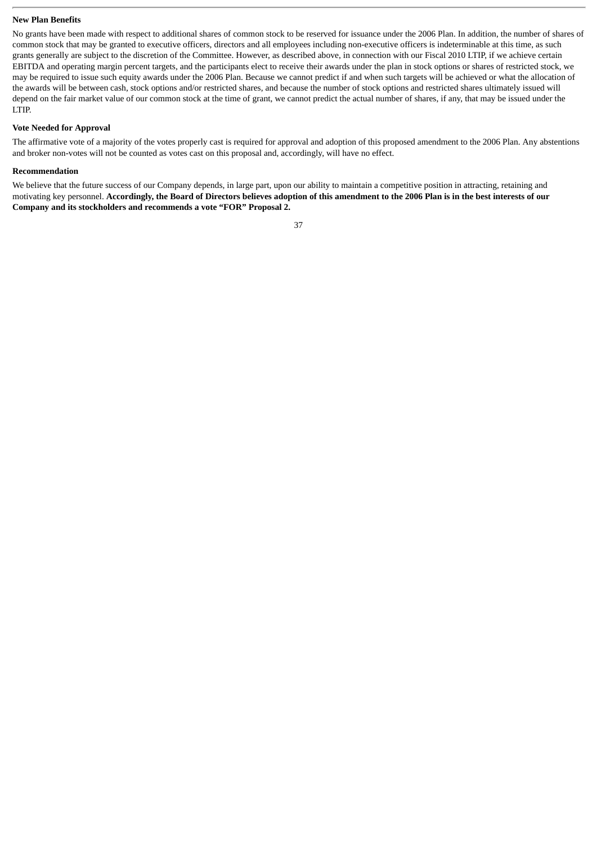# **New Plan Benefits**

No grants have been made with respect to additional shares of common stock to be reserved for issuance under the 2006 Plan. In addition, the number of shares of common stock that may be granted to executive officers, directors and all employees including non-executive officers is indeterminable at this time, as such grants generally are subject to the discretion of the Committee. However, as described above, in connection with our Fiscal 2010 LTIP, if we achieve certain EBITDA and operating margin percent targets, and the participants elect to receive their awards under the plan in stock options or shares of restricted stock, we may be required to issue such equity awards under the 2006 Plan. Because we cannot predict if and when such targets will be achieved or what the allocation of the awards will be between cash, stock options and/or restricted shares, and because the number of stock options and restricted shares ultimately issued will depend on the fair market value of our common stock at the time of grant, we cannot predict the actual number of shares, if any, that may be issued under the LTIP.

#### **Vote Needed for Approval**

The affirmative vote of a majority of the votes properly cast is required for approval and adoption of this proposed amendment to the 2006 Plan. Any abstentions and broker non-votes will not be counted as votes cast on this proposal and, accordingly, will have no effect.

# **Recommendation**

We believe that the future success of our Company depends, in large part, upon our ability to maintain a competitive position in attracting, retaining and motivating key personnel. **Accordingly, the Board of Directors believes adoption of this amendment to the 2006 Plan is in the best interests of our Company and its stockholders and recommends a vote "FOR" Proposal 2.**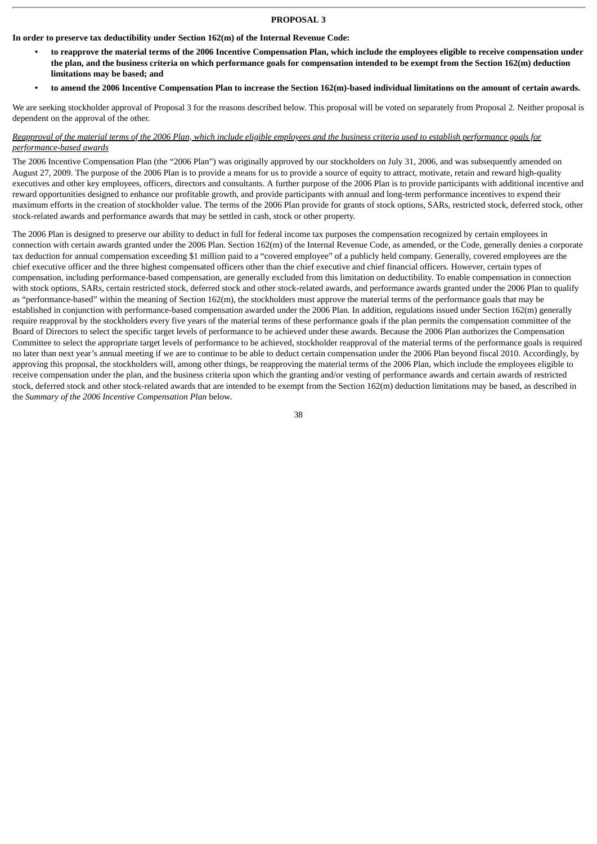# **PROPOSAL 3**

# **In order to preserve tax deductibility under Section 162(m) of the Internal Revenue Code:**

- **• to reapprove the material terms of the 2006 Incentive Compensation Plan, which include the employees eligible to receive compensation under the plan, and the business criteria on which performance goals for compensation intended to be exempt from the Section 162(m) deduction limitations may be based; and**
- **• to amend the 2006 Incentive Compensation Plan to increase the Section 162(m)-based individual limitations on the amount of certain awards.**

We are seeking stockholder approval of Proposal 3 for the reasons described below. This proposal will be voted on separately from Proposal 2. Neither proposal is dependent on the approval of the other.

# *Reapproval of the material terms of the 2006 Plan, which include eligible employees and the business criteria used to establish performance goals for performance-based awards*

The 2006 Incentive Compensation Plan (the "2006 Plan") was originally approved by our stockholders on July 31, 2006, and was subsequently amended on August 27, 2009. The purpose of the 2006 Plan is to provide a means for us to provide a source of equity to attract, motivate, retain and reward high-quality executives and other key employees, officers, directors and consultants. A further purpose of the 2006 Plan is to provide participants with additional incentive and reward opportunities designed to enhance our profitable growth, and provide participants with annual and long-term performance incentives to expend their maximum efforts in the creation of stockholder value. The terms of the 2006 Plan provide for grants of stock options, SARs, restricted stock, deferred stock, other stock-related awards and performance awards that may be settled in cash, stock or other property.

The 2006 Plan is designed to preserve our ability to deduct in full for federal income tax purposes the compensation recognized by certain employees in connection with certain awards granted under the 2006 Plan. Section 162(m) of the Internal Revenue Code, as amended, or the Code, generally denies a corporate tax deduction for annual compensation exceeding \$1 million paid to a "covered employee" of a publicly held company. Generally, covered employees are the chief executive officer and the three highest compensated officers other than the chief executive and chief financial officers. However, certain types of compensation, including performance-based compensation, are generally excluded from this limitation on deductibility. To enable compensation in connection with stock options, SARs, certain restricted stock, deferred stock and other stock-related awards, and performance awards granted under the 2006 Plan to qualify as "performance-based" within the meaning of Section 162(m), the stockholders must approve the material terms of the performance goals that may be established in conjunction with performance-based compensation awarded under the 2006 Plan. In addition, regulations issued under Section 162(m) generally require reapproval by the stockholders every five years of the material terms of these performance goals if the plan permits the compensation committee of the Board of Directors to select the specific target levels of performance to be achieved under these awards. Because the 2006 Plan authorizes the Compensation Committee to select the appropriate target levels of performance to be achieved, stockholder reapproval of the material terms of the performance goals is required no later than next year's annual meeting if we are to continue to be able to deduct certain compensation under the 2006 Plan beyond fiscal 2010. Accordingly, by approving this proposal, the stockholders will, among other things, be reapproving the material terms of the 2006 Plan, which include the employees eligible to receive compensation under the plan, and the business criteria upon which the granting and/or vesting of performance awards and certain awards of restricted stock, deferred stock and other stock-related awards that are intended to be exempt from the Section 162(m) deduction limitations may be based, as described in the *Summary of the 2006 Incentive Compensation Plan* below.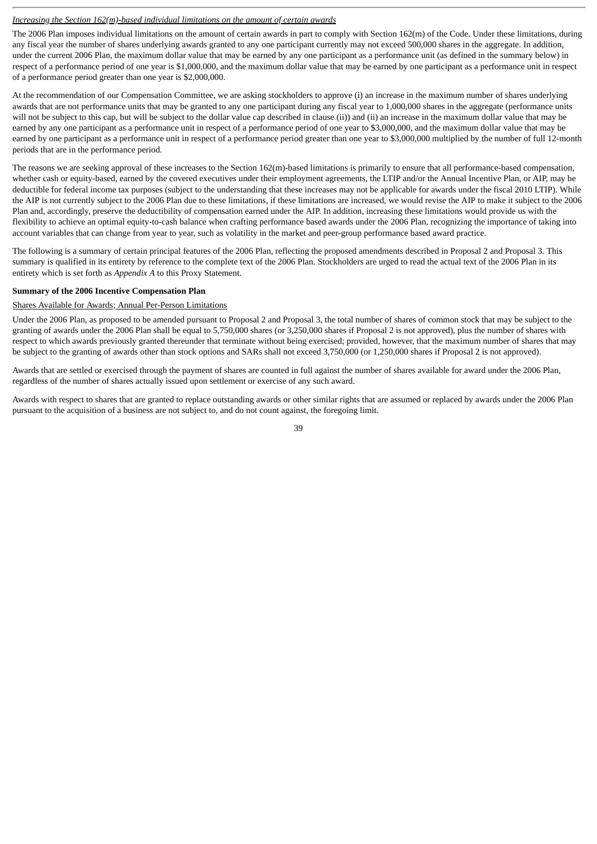# *Increasing the Section 162(m)-based individual limitations on the amount of certain awards*

The 2006 Plan imposes individual limitations on the amount of certain awards in part to comply with Section 162(m) of the Code. Under these limitations, during any fiscal year the number of shares underlying awards granted to any one participant currently may not exceed 500,000 shares in the aggregate. In addition, under the current 2006 Plan, the maximum dollar value that may be earned by any one participant as a performance unit (as defined in the summary below) in respect of a performance period of one year is \$1,000,000, and the maximum dollar value that may be earned by one participant as a performance unit in respect of a performance period greater than one year is \$2,000,000.

At the recommendation of our Compensation Committee, we are asking stockholders to approve (i) an increase in the maximum number of shares underlying awards that are not performance units that may be granted to any one participant during any fiscal year to 1,000,000 shares in the aggregate (performance units will not be subject to this cap, but will be subject to the dollar value cap described in clause (ii)) and (ii) an increase in the maximum dollar value that may be earned by any one participant as a performance unit in respect of a performance period of one year to \$3,000,000, and the maximum dollar value that may be earned by one participant as a performance unit in respect of a performance period greater than one year to \$3,000,000 multiplied by the number of full 12-month periods that are in the performance period.

The reasons we are seeking approval of these increases to the Section  $162(m)$ -based limitations is primarily to ensure that all performance-based compensation, whether cash or equity-based, earned by the covered executives under their employment agreements, the LTIP and/or the Annual Incentive Plan, or AIP, may be deductible for federal income tax purposes (subject to the understanding that these increases may not be applicable for awards under the fiscal 2010 LTIP). While the AIP is not currently subject to the 2006 Plan due to these limitations, if these limitations are increased, we would revise the AIP to make it subject to the 2006 Plan and, accordingly, preserve the deductibility of compensation earned under the AIP. In addition, increasing these limitations would provide us with the flexibility to achieve an optimal equity-to-cash balance when crafting performance based awards under the 2006 Plan, recognizing the importance of taking into account variables that can change from year to year, such as volatility in the market and peer-group performance based award practice.

The following is a summary of certain principal features of the 2006 Plan, reflecting the proposed amendments described in Proposal 2 and Proposal 3. This summary is qualified in its entirety by reference to the complete text of the 2006 Plan. Stockholders are urged to read the actual text of the 2006 Plan in its entirety which is set forth as *Appendix A* to this Proxy Statement.

#### **Summary of the 2006 Incentive Compensation Plan**

#### Shares Available for Awards; Annual Per-Person Limitations

Under the 2006 Plan, as proposed to be amended pursuant to Proposal 2 and Proposal 3, the total number of shares of common stock that may be subject to the granting of awards under the 2006 Plan shall be equal to 5,750,000 shares (or 3,250,000 shares if Proposal 2 is not approved), plus the number of shares with respect to which awards previously granted thereunder that terminate without being exercised; provided, however, that the maximum number of shares that may be subject to the granting of awards other than stock options and SARs shall not exceed 3,750,000 (or 1,250,000 shares if Proposal 2 is not approved).

Awards that are settled or exercised through the payment of shares are counted in full against the number of shares available for award under the 2006 Plan, regardless of the number of shares actually issued upon settlement or exercise of any such award.

Awards with respect to shares that are granted to replace outstanding awards or other similar rights that are assumed or replaced by awards under the 2006 Plan pursuant to the acquisition of a business are not subject to, and do not count against, the foregoing limit.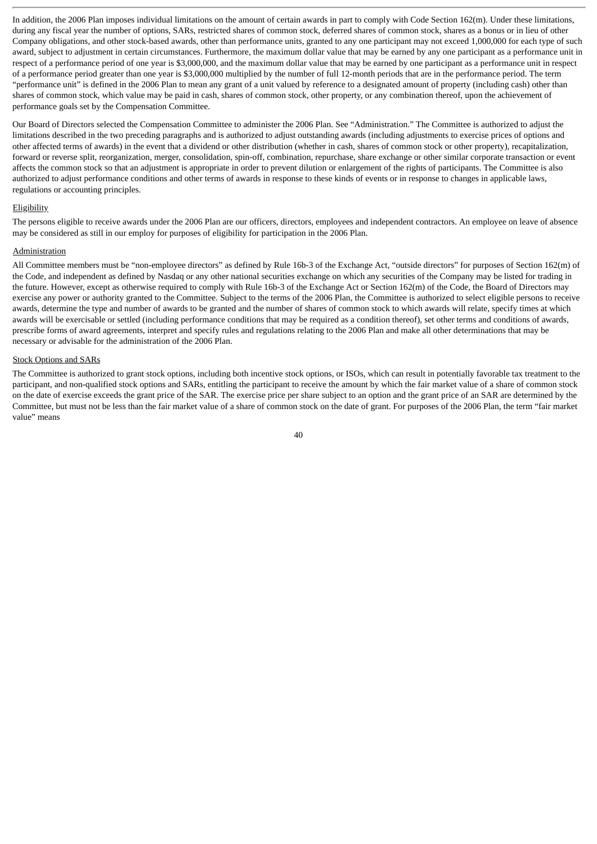In addition, the 2006 Plan imposes individual limitations on the amount of certain awards in part to comply with Code Section 162(m). Under these limitations, during any fiscal year the number of options, SARs, restricted shares of common stock, deferred shares of common stock, shares as a bonus or in lieu of other Company obligations, and other stock-based awards, other than performance units, granted to any one participant may not exceed 1,000,000 for each type of such award, subject to adjustment in certain circumstances. Furthermore, the maximum dollar value that may be earned by any one participant as a performance unit in respect of a performance period of one year is \$3,000,000, and the maximum dollar value that may be earned by one participant as a performance unit in respect of a performance period greater than one year is \$3,000,000 multiplied by the number of full 12-month periods that are in the performance period. The term "performance unit" is defined in the 2006 Plan to mean any grant of a unit valued by reference to a designated amount of property (including cash) other than shares of common stock, which value may be paid in cash, shares of common stock, other property, or any combination thereof, upon the achievement of performance goals set by the Compensation Committee.

Our Board of Directors selected the Compensation Committee to administer the 2006 Plan. See "Administration." The Committee is authorized to adjust the limitations described in the two preceding paragraphs and is authorized to adjust outstanding awards (including adjustments to exercise prices of options and other affected terms of awards) in the event that a dividend or other distribution (whether in cash, shares of common stock or other property), recapitalization, forward or reverse split, reorganization, merger, consolidation, spin-off, combination, repurchase, share exchange or other similar corporate transaction or event affects the common stock so that an adjustment is appropriate in order to prevent dilution or enlargement of the rights of participants. The Committee is also authorized to adjust performance conditions and other terms of awards in response to these kinds of events or in response to changes in applicable laws, regulations or accounting principles.

#### Eligibility

The persons eligible to receive awards under the 2006 Plan are our officers, directors, employees and independent contractors. An employee on leave of absence may be considered as still in our employ for purposes of eligibility for participation in the 2006 Plan.

#### **Administration**

All Committee members must be "non-employee directors" as defined by Rule 16b-3 of the Exchange Act, "outside directors" for purposes of Section 162(m) of the Code, and independent as defined by Nasdaq or any other national securities exchange on which any securities of the Company may be listed for trading in the future. However, except as otherwise required to comply with Rule 16b-3 of the Exchange Act or Section 162(m) of the Code, the Board of Directors may exercise any power or authority granted to the Committee. Subject to the terms of the 2006 Plan, the Committee is authorized to select eligible persons to receive awards, determine the type and number of awards to be granted and the number of shares of common stock to which awards will relate, specify times at which awards will be exercisable or settled (including performance conditions that may be required as a condition thereof), set other terms and conditions of awards, prescribe forms of award agreements, interpret and specify rules and regulations relating to the 2006 Plan and make all other determinations that may be necessary or advisable for the administration of the 2006 Plan.

#### Stock Options and SARs

The Committee is authorized to grant stock options, including both incentive stock options, or ISOs, which can result in potentially favorable tax treatment to the participant, and non-qualified stock options and SARs, entitling the participant to receive the amount by which the fair market value of a share of common stock on the date of exercise exceeds the grant price of the SAR. The exercise price per share subject to an option and the grant price of an SAR are determined by the Committee, but must not be less than the fair market value of a share of common stock on the date of grant. For purposes of the 2006 Plan, the term "fair market value" means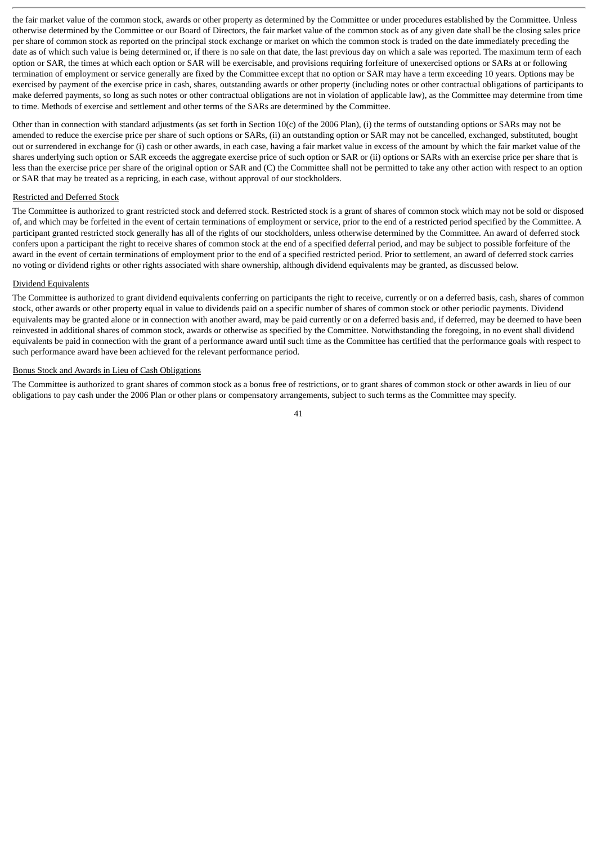the fair market value of the common stock, awards or other property as determined by the Committee or under procedures established by the Committee. Unless otherwise determined by the Committee or our Board of Directors, the fair market value of the common stock as of any given date shall be the closing sales price per share of common stock as reported on the principal stock exchange or market on which the common stock is traded on the date immediately preceding the date as of which such value is being determined or, if there is no sale on that date, the last previous day on which a sale was reported. The maximum term of each option or SAR, the times at which each option or SAR will be exercisable, and provisions requiring forfeiture of unexercised options or SARs at or following termination of employment or service generally are fixed by the Committee except that no option or SAR may have a term exceeding 10 years. Options may be exercised by payment of the exercise price in cash, shares, outstanding awards or other property (including notes or other contractual obligations of participants to make deferred payments, so long as such notes or other contractual obligations are not in violation of applicable law), as the Committee may determine from time to time. Methods of exercise and settlement and other terms of the SARs are determined by the Committee.

Other than in connection with standard adjustments (as set forth in Section 10(c) of the 2006 Plan), (i) the terms of outstanding options or SARs may not be amended to reduce the exercise price per share of such options or SARs, (ii) an outstanding option or SAR may not be cancelled, exchanged, substituted, bought out or surrendered in exchange for (i) cash or other awards, in each case, having a fair market value in excess of the amount by which the fair market value of the shares underlying such option or SAR exceeds the aggregate exercise price of such option or SAR or (ii) options or SARs with an exercise price per share that is less than the exercise price per share of the original option or SAR and (C) the Committee shall not be permitted to take any other action with respect to an option or SAR that may be treated as a repricing, in each case, without approval of our stockholders.

# Restricted and Deferred Stock

The Committee is authorized to grant restricted stock and deferred stock. Restricted stock is a grant of shares of common stock which may not be sold or disposed of, and which may be forfeited in the event of certain terminations of employment or service, prior to the end of a restricted period specified by the Committee. A participant granted restricted stock generally has all of the rights of our stockholders, unless otherwise determined by the Committee. An award of deferred stock confers upon a participant the right to receive shares of common stock at the end of a specified deferral period, and may be subject to possible forfeiture of the award in the event of certain terminations of employment prior to the end of a specified restricted period. Prior to settlement, an award of deferred stock carries no voting or dividend rights or other rights associated with share ownership, although dividend equivalents may be granted, as discussed below.

# Dividend Equivalents

The Committee is authorized to grant dividend equivalents conferring on participants the right to receive, currently or on a deferred basis, cash, shares of common stock, other awards or other property equal in value to dividends paid on a specific number of shares of common stock or other periodic payments. Dividend equivalents may be granted alone or in connection with another award, may be paid currently or on a deferred basis and, if deferred, may be deemed to have been reinvested in additional shares of common stock, awards or otherwise as specified by the Committee. Notwithstanding the foregoing, in no event shall dividend equivalents be paid in connection with the grant of a performance award until such time as the Committee has certified that the performance goals with respect to such performance award have been achieved for the relevant performance period.

#### Bonus Stock and Awards in Lieu of Cash Obligations

The Committee is authorized to grant shares of common stock as a bonus free of restrictions, or to grant shares of common stock or other awards in lieu of our obligations to pay cash under the 2006 Plan or other plans or compensatory arrangements, subject to such terms as the Committee may specify.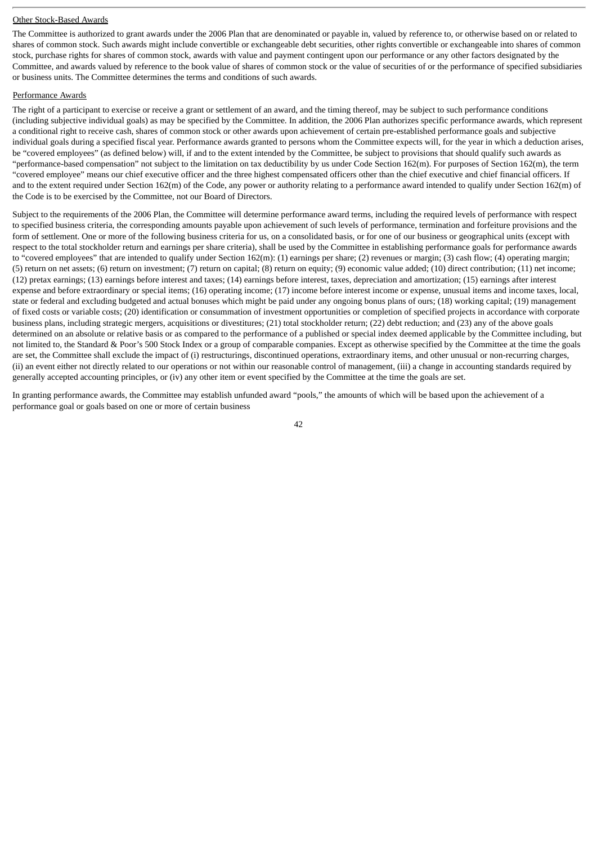#### Other Stock-Based Awards

The Committee is authorized to grant awards under the 2006 Plan that are denominated or payable in, valued by reference to, or otherwise based on or related to shares of common stock. Such awards might include convertible or exchangeable debt securities, other rights convertible or exchangeable into shares of common stock, purchase rights for shares of common stock, awards with value and payment contingent upon our performance or any other factors designated by the Committee, and awards valued by reference to the book value of shares of common stock or the value of securities of or the performance of specified subsidiaries or business units. The Committee determines the terms and conditions of such awards.

#### Performance Awards

The right of a participant to exercise or receive a grant or settlement of an award, and the timing thereof, may be subject to such performance conditions (including subjective individual goals) as may be specified by the Committee. In addition, the 2006 Plan authorizes specific performance awards, which represent a conditional right to receive cash, shares of common stock or other awards upon achievement of certain pre-established performance goals and subjective individual goals during a specified fiscal year. Performance awards granted to persons whom the Committee expects will, for the year in which a deduction arises, be "covered employees" (as defined below) will, if and to the extent intended by the Committee, be subject to provisions that should qualify such awards as "performance-based compensation" not subject to the limitation on tax deductibility by us under Code Section 162(m). For purposes of Section 162(m), the term "covered employee" means our chief executive officer and the three highest compensated officers other than the chief executive and chief financial officers. If and to the extent required under Section 162(m) of the Code, any power or authority relating to a performance award intended to qualify under Section 162(m) of the Code is to be exercised by the Committee, not our Board of Directors.

Subject to the requirements of the 2006 Plan, the Committee will determine performance award terms, including the required levels of performance with respect to specified business criteria, the corresponding amounts payable upon achievement of such levels of performance, termination and forfeiture provisions and the form of settlement. One or more of the following business criteria for us, on a consolidated basis, or for one of our business or geographical units (except with respect to the total stockholder return and earnings per share criteria), shall be used by the Committee in establishing performance goals for performance awards to "covered employees" that are intended to qualify under Section 162(m): (1) earnings per share; (2) revenues or margin; (3) cash flow; (4) operating margin; (5) return on net assets; (6) return on investment; (7) return on capital; (8) return on equity; (9) economic value added; (10) direct contribution; (11) net income; (12) pretax earnings; (13) earnings before interest and taxes; (14) earnings before interest, taxes, depreciation and amortization; (15) earnings after interest expense and before extraordinary or special items; (16) operating income; (17) income before interest income or expense, unusual items and income taxes, local, state or federal and excluding budgeted and actual bonuses which might be paid under any ongoing bonus plans of ours; (18) working capital; (19) management of fixed costs or variable costs; (20) identification or consummation of investment opportunities or completion of specified projects in accordance with corporate business plans, including strategic mergers, acquisitions or divestitures; (21) total stockholder return; (22) debt reduction; and (23) any of the above goals determined on an absolute or relative basis or as compared to the performance of a published or special index deemed applicable by the Committee including, but not limited to, the Standard & Poor's 500 Stock Index or a group of comparable companies. Except as otherwise specified by the Committee at the time the goals are set, the Committee shall exclude the impact of (i) restructurings, discontinued operations, extraordinary items, and other unusual or non-recurring charges, (ii) an event either not directly related to our operations or not within our reasonable control of management, (iii) a change in accounting standards required by generally accepted accounting principles, or (iv) any other item or event specified by the Committee at the time the goals are set.

In granting performance awards, the Committee may establish unfunded award "pools," the amounts of which will be based upon the achievement of a performance goal or goals based on one or more of certain business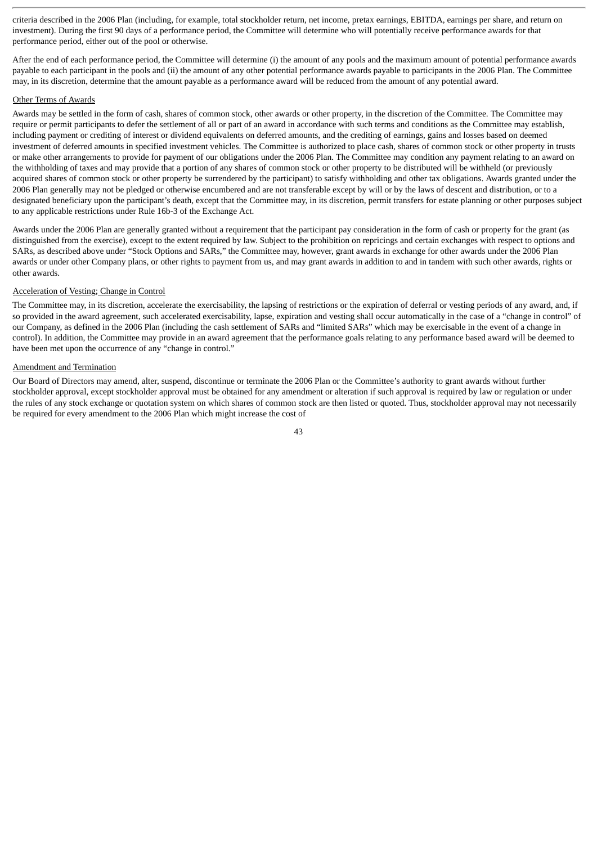criteria described in the 2006 Plan (including, for example, total stockholder return, net income, pretax earnings, EBITDA, earnings per share, and return on investment). During the first 90 days of a performance period, the Committee will determine who will potentially receive performance awards for that performance period, either out of the pool or otherwise.

After the end of each performance period, the Committee will determine (i) the amount of any pools and the maximum amount of potential performance awards payable to each participant in the pools and (ii) the amount of any other potential performance awards payable to participants in the 2006 Plan. The Committee may, in its discretion, determine that the amount payable as a performance award will be reduced from the amount of any potential award.

# Other Terms of Awards

Awards may be settled in the form of cash, shares of common stock, other awards or other property, in the discretion of the Committee. The Committee may require or permit participants to defer the settlement of all or part of an award in accordance with such terms and conditions as the Committee may establish, including payment or crediting of interest or dividend equivalents on deferred amounts, and the crediting of earnings, gains and losses based on deemed investment of deferred amounts in specified investment vehicles. The Committee is authorized to place cash, shares of common stock or other property in trusts or make other arrangements to provide for payment of our obligations under the 2006 Plan. The Committee may condition any payment relating to an award on the withholding of taxes and may provide that a portion of any shares of common stock or other property to be distributed will be withheld (or previously acquired shares of common stock or other property be surrendered by the participant) to satisfy withholding and other tax obligations. Awards granted under the 2006 Plan generally may not be pledged or otherwise encumbered and are not transferable except by will or by the laws of descent and distribution, or to a designated beneficiary upon the participant's death, except that the Committee may, in its discretion, permit transfers for estate planning or other purposes subject to any applicable restrictions under Rule 16b-3 of the Exchange Act.

Awards under the 2006 Plan are generally granted without a requirement that the participant pay consideration in the form of cash or property for the grant (as distinguished from the exercise), except to the extent required by law. Subject to the prohibition on repricings and certain exchanges with respect to options and SARs, as described above under "Stock Options and SARs," the Committee may, however, grant awards in exchange for other awards under the 2006 Plan awards or under other Company plans, or other rights to payment from us, and may grant awards in addition to and in tandem with such other awards, rights or other awards.

#### Acceleration of Vesting; Change in Control

The Committee may, in its discretion, accelerate the exercisability, the lapsing of restrictions or the expiration of deferral or vesting periods of any award, and, if so provided in the award agreement, such accelerated exercisability, lapse, expiration and vesting shall occur automatically in the case of a "change in control" of our Company, as defined in the 2006 Plan (including the cash settlement of SARs and "limited SARs" which may be exercisable in the event of a change in control). In addition, the Committee may provide in an award agreement that the performance goals relating to any performance based award will be deemed to have been met upon the occurrence of any "change in control."

# Amendment and Termination

Our Board of Directors may amend, alter, suspend, discontinue or terminate the 2006 Plan or the Committee's authority to grant awards without further stockholder approval, except stockholder approval must be obtained for any amendment or alteration if such approval is required by law or regulation or under the rules of any stock exchange or quotation system on which shares of common stock are then listed or quoted. Thus, stockholder approval may not necessarily be required for every amendment to the 2006 Plan which might increase the cost of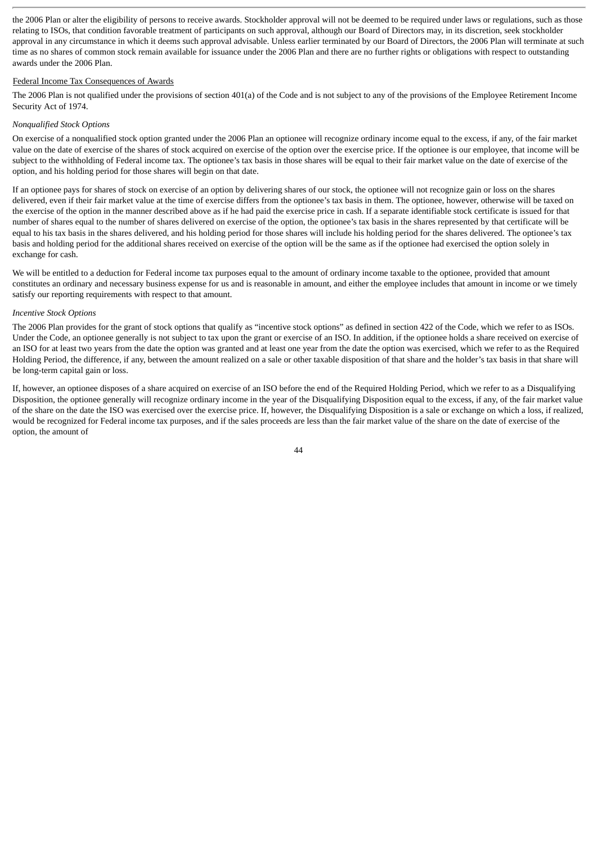the 2006 Plan or alter the eligibility of persons to receive awards. Stockholder approval will not be deemed to be required under laws or regulations, such as those relating to ISOs, that condition favorable treatment of participants on such approval, although our Board of Directors may, in its discretion, seek stockholder approval in any circumstance in which it deems such approval advisable. Unless earlier terminated by our Board of Directors, the 2006 Plan will terminate at such time as no shares of common stock remain available for issuance under the 2006 Plan and there are no further rights or obligations with respect to outstanding awards under the 2006 Plan.

# Federal Income Tax Consequences of Awards

The 2006 Plan is not qualified under the provisions of section 401(a) of the Code and is not subject to any of the provisions of the Employee Retirement Income Security Act of 1974.

# *Nonqualified Stock Options*

On exercise of a nonqualified stock option granted under the 2006 Plan an optionee will recognize ordinary income equal to the excess, if any, of the fair market value on the date of exercise of the shares of stock acquired on exercise of the option over the exercise price. If the optionee is our employee, that income will be subject to the withholding of Federal income tax. The optionee's tax basis in those shares will be equal to their fair market value on the date of exercise of the option, and his holding period for those shares will begin on that date.

If an optionee pays for shares of stock on exercise of an option by delivering shares of our stock, the optionee will not recognize gain or loss on the shares delivered, even if their fair market value at the time of exercise differs from the optionee's tax basis in them. The optionee, however, otherwise will be taxed on the exercise of the option in the manner described above as if he had paid the exercise price in cash. If a separate identifiable stock certificate is issued for that number of shares equal to the number of shares delivered on exercise of the option, the optionee's tax basis in the shares represented by that certificate will be equal to his tax basis in the shares delivered, and his holding period for those shares will include his holding period for the shares delivered. The optionee's tax basis and holding period for the additional shares received on exercise of the option will be the same as if the optionee had exercised the option solely in exchange for cash.

We will be entitled to a deduction for Federal income tax purposes equal to the amount of ordinary income taxable to the optionee, provided that amount constitutes an ordinary and necessary business expense for us and is reasonable in amount, and either the employee includes that amount in income or we timely satisfy our reporting requirements with respect to that amount.

# *Incentive Stock Options*

The 2006 Plan provides for the grant of stock options that qualify as "incentive stock options" as defined in section 422 of the Code, which we refer to as ISOs. Under the Code, an optionee generally is not subject to tax upon the grant or exercise of an ISO. In addition, if the optionee holds a share received on exercise of an ISO for at least two years from the date the option was granted and at least one year from the date the option was exercised, which we refer to as the Required Holding Period, the difference, if any, between the amount realized on a sale or other taxable disposition of that share and the holder's tax basis in that share will be long-term capital gain or loss.

If, however, an optionee disposes of a share acquired on exercise of an ISO before the end of the Required Holding Period, which we refer to as a Disqualifying Disposition, the optionee generally will recognize ordinary income in the year of the Disqualifying Disposition equal to the excess, if any, of the fair market value of the share on the date the ISO was exercised over the exercise price. If, however, the Disqualifying Disposition is a sale or exchange on which a loss, if realized, would be recognized for Federal income tax purposes, and if the sales proceeds are less than the fair market value of the share on the date of exercise of the option, the amount of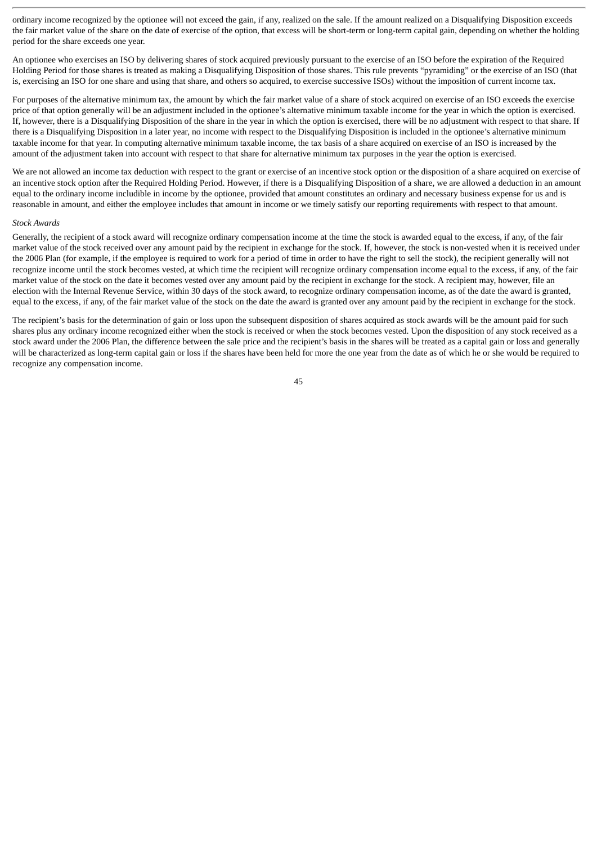ordinary income recognized by the optionee will not exceed the gain, if any, realized on the sale. If the amount realized on a Disqualifying Disposition exceeds the fair market value of the share on the date of exercise of the option, that excess will be short-term or long-term capital gain, depending on whether the holding period for the share exceeds one year.

An optionee who exercises an ISO by delivering shares of stock acquired previously pursuant to the exercise of an ISO before the expiration of the Required Holding Period for those shares is treated as making a Disqualifying Disposition of those shares. This rule prevents "pyramiding" or the exercise of an ISO (that is, exercising an ISO for one share and using that share, and others so acquired, to exercise successive ISOs) without the imposition of current income tax.

For purposes of the alternative minimum tax, the amount by which the fair market value of a share of stock acquired on exercise of an ISO exceeds the exercise price of that option generally will be an adjustment included in the optionee's alternative minimum taxable income for the year in which the option is exercised. If, however, there is a Disqualifying Disposition of the share in the year in which the option is exercised, there will be no adjustment with respect to that share. If there is a Disqualifying Disposition in a later year, no income with respect to the Disqualifying Disposition is included in the optionee's alternative minimum taxable income for that year. In computing alternative minimum taxable income, the tax basis of a share acquired on exercise of an ISO is increased by the amount of the adjustment taken into account with respect to that share for alternative minimum tax purposes in the year the option is exercised.

We are not allowed an income tax deduction with respect to the grant or exercise of an incentive stock option or the disposition of a share acquired on exercise of an incentive stock option after the Required Holding Period. However, if there is a Disqualifying Disposition of a share, we are allowed a deduction in an amount equal to the ordinary income includible in income by the optionee, provided that amount constitutes an ordinary and necessary business expense for us and is reasonable in amount, and either the employee includes that amount in income or we timely satisfy our reporting requirements with respect to that amount.

#### *Stock Awards*

Generally, the recipient of a stock award will recognize ordinary compensation income at the time the stock is awarded equal to the excess, if any, of the fair market value of the stock received over any amount paid by the recipient in exchange for the stock. If, however, the stock is non-vested when it is received under the 2006 Plan (for example, if the employee is required to work for a period of time in order to have the right to sell the stock), the recipient generally will not recognize income until the stock becomes vested, at which time the recipient will recognize ordinary compensation income equal to the excess, if any, of the fair market value of the stock on the date it becomes vested over any amount paid by the recipient in exchange for the stock. A recipient may, however, file an election with the Internal Revenue Service, within 30 days of the stock award, to recognize ordinary compensation income, as of the date the award is granted, equal to the excess, if any, of the fair market value of the stock on the date the award is granted over any amount paid by the recipient in exchange for the stock.

The recipient's basis for the determination of gain or loss upon the subsequent disposition of shares acquired as stock awards will be the amount paid for such shares plus any ordinary income recognized either when the stock is received or when the stock becomes vested. Upon the disposition of any stock received as a stock award under the 2006 Plan, the difference between the sale price and the recipient's basis in the shares will be treated as a capital gain or loss and generally will be characterized as long-term capital gain or loss if the shares have been held for more the one year from the date as of which he or she would be required to recognize any compensation income.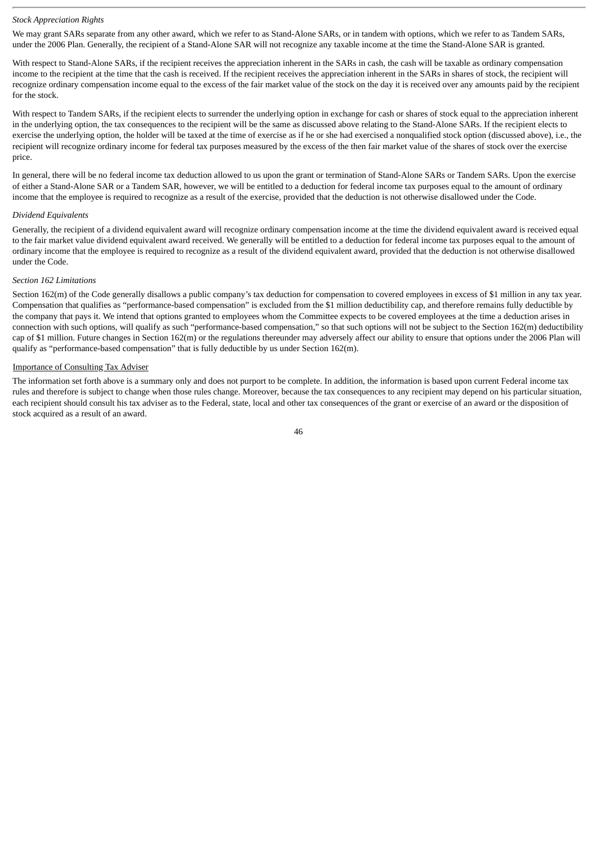#### *Stock Appreciation Rights*

We may grant SARs separate from any other award, which we refer to as Stand-Alone SARs, or in tandem with options, which we refer to as Tandem SARs, under the 2006 Plan. Generally, the recipient of a Stand-Alone SAR will not recognize any taxable income at the time the Stand-Alone SAR is granted.

With respect to Stand-Alone SARs, if the recipient receives the appreciation inherent in the SARs in cash, the cash will be taxable as ordinary compensation income to the recipient at the time that the cash is received. If the recipient receives the appreciation inherent in the SARs in shares of stock, the recipient will recognize ordinary compensation income equal to the excess of the fair market value of the stock on the day it is received over any amounts paid by the recipient for the stock.

With respect to Tandem SARs, if the recipient elects to surrender the underlying option in exchange for cash or shares of stock equal to the appreciation inherent in the underlying option, the tax consequences to the recipient will be the same as discussed above relating to the Stand-Alone SARs. If the recipient elects to exercise the underlying option, the holder will be taxed at the time of exercise as if he or she had exercised a nonqualified stock option (discussed above), i.e., the recipient will recognize ordinary income for federal tax purposes measured by the excess of the then fair market value of the shares of stock over the exercise price.

In general, there will be no federal income tax deduction allowed to us upon the grant or termination of Stand-Alone SARs or Tandem SARs. Upon the exercise of either a Stand-Alone SAR or a Tandem SAR, however, we will be entitled to a deduction for federal income tax purposes equal to the amount of ordinary income that the employee is required to recognize as a result of the exercise, provided that the deduction is not otherwise disallowed under the Code.

#### *Dividend Equivalents*

Generally, the recipient of a dividend equivalent award will recognize ordinary compensation income at the time the dividend equivalent award is received equal to the fair market value dividend equivalent award received. We generally will be entitled to a deduction for federal income tax purposes equal to the amount of ordinary income that the employee is required to recognize as a result of the dividend equivalent award, provided that the deduction is not otherwise disallowed under the Code.

### *Section 162 Limitations*

Section 162(m) of the Code generally disallows a public company's tax deduction for compensation to covered employees in excess of \$1 million in any tax year. Compensation that qualifies as "performance-based compensation" is excluded from the \$1 million deductibility cap, and therefore remains fully deductible by the company that pays it. We intend that options granted to employees whom the Committee expects to be covered employees at the time a deduction arises in connection with such options, will qualify as such "performance-based compensation," so that such options will not be subject to the Section 162(m) deductibility cap of \$1 million. Future changes in Section 162(m) or the regulations thereunder may adversely affect our ability to ensure that options under the 2006 Plan will qualify as "performance-based compensation" that is fully deductible by us under Section 162(m).

#### Importance of Consulting Tax Adviser

The information set forth above is a summary only and does not purport to be complete. In addition, the information is based upon current Federal income tax rules and therefore is subject to change when those rules change. Moreover, because the tax consequences to any recipient may depend on his particular situation, each recipient should consult his tax adviser as to the Federal, state, local and other tax consequences of the grant or exercise of an award or the disposition of stock acquired as a result of an award.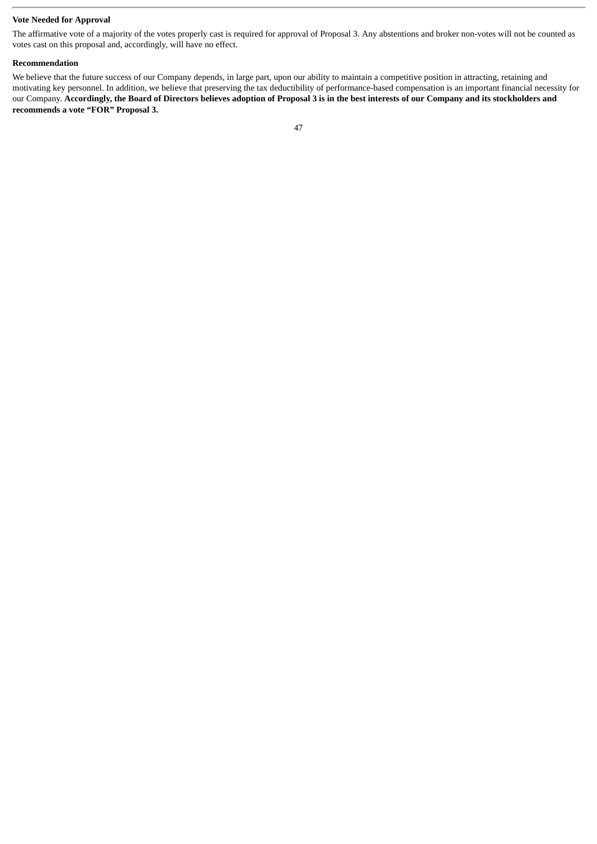# **Vote Needed for Approval**

The affirmative vote of a majority of the votes properly cast is required for approval of Proposal 3. Any abstentions and broker non-votes will not be counted as votes cast on this proposal and, accordingly, will have no effect.

#### **Recommendation**

We believe that the future success of our Company depends, in large part, upon our ability to maintain a competitive position in attracting, retaining and motivating key personnel. In addition, we believe that preserving the tax deductibility of performance-based compensation is an important financial necessity for our Company. **Accordingly, the Board of Directors believes adoption of Proposal 3 is in the best interests of our Company and its stockholders and recommends a vote "FOR" Proposal 3.**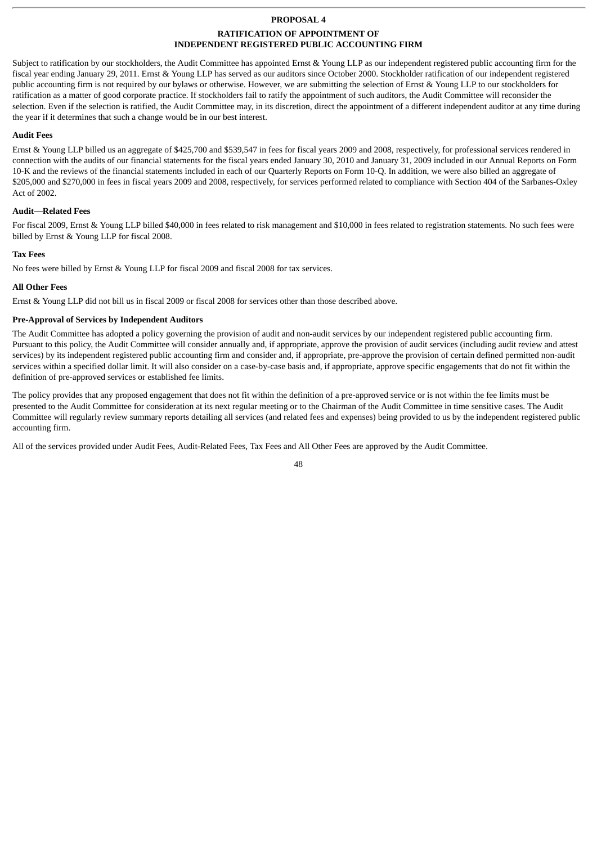# **PROPOSAL 4**

### **RATIFICATION OF APPOINTMENT OF INDEPENDENT REGISTERED PUBLIC ACCOUNTING FIRM**

Subject to ratification by our stockholders, the Audit Committee has appointed Ernst & Young LLP as our independent registered public accounting firm for the fiscal year ending January 29, 2011. Ernst & Young LLP has served as our auditors since October 2000. Stockholder ratification of our independent registered public accounting firm is not required by our bylaws or otherwise. However, we are submitting the selection of Ernst & Young LLP to our stockholders for ratification as a matter of good corporate practice. If stockholders fail to ratify the appointment of such auditors, the Audit Committee will reconsider the selection. Even if the selection is ratified, the Audit Committee may, in its discretion, direct the appointment of a different independent auditor at any time during the year if it determines that such a change would be in our best interest.

# **Audit Fees**

Ernst & Young LLP billed us an aggregate of \$425,700 and \$539,547 in fees for fiscal years 2009 and 2008, respectively, for professional services rendered in connection with the audits of our financial statements for the fiscal years ended January 30, 2010 and January 31, 2009 included in our Annual Reports on Form 10-K and the reviews of the financial statements included in each of our Quarterly Reports on Form 10-Q. In addition, we were also billed an aggregate of \$205,000 and \$270,000 in fees in fiscal years 2009 and 2008, respectively, for services performed related to compliance with Section 404 of the Sarbanes-Oxley Act of 2002.

# **Audit—Related Fees**

For fiscal 2009, Ernst & Young LLP billed \$40,000 in fees related to risk management and \$10,000 in fees related to registration statements. No such fees were billed by Ernst & Young LLP for fiscal 2008.

# **Tax Fees**

No fees were billed by Ernst & Young LLP for fiscal 2009 and fiscal 2008 for tax services.

# **All Other Fees**

Ernst & Young LLP did not bill us in fiscal 2009 or fiscal 2008 for services other than those described above.

# **Pre-Approval of Services by Independent Auditors**

The Audit Committee has adopted a policy governing the provision of audit and non-audit services by our independent registered public accounting firm. Pursuant to this policy, the Audit Committee will consider annually and, if appropriate, approve the provision of audit services (including audit review and attest services) by its independent registered public accounting firm and consider and, if appropriate, pre-approve the provision of certain defined permitted non-audit services within a specified dollar limit. It will also consider on a case-by-case basis and, if appropriate, approve specific engagements that do not fit within the definition of pre-approved services or established fee limits.

The policy provides that any proposed engagement that does not fit within the definition of a pre-approved service or is not within the fee limits must be presented to the Audit Committee for consideration at its next regular meeting or to the Chairman of the Audit Committee in time sensitive cases. The Audit Committee will regularly review summary reports detailing all services (and related fees and expenses) being provided to us by the independent registered public accounting firm.

All of the services provided under Audit Fees, Audit-Related Fees, Tax Fees and All Other Fees are approved by the Audit Committee.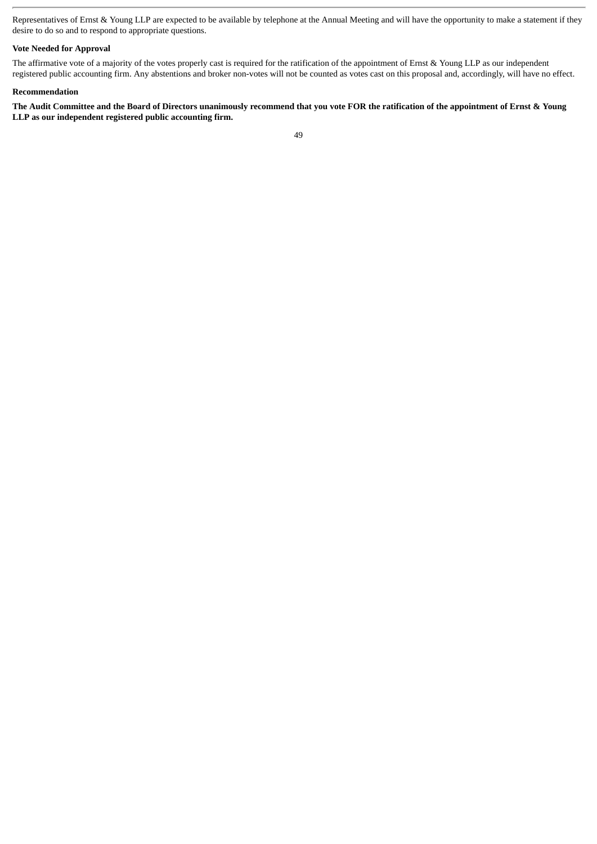Representatives of Ernst & Young LLP are expected to be available by telephone at the Annual Meeting and will have the opportunity to make a statement if they desire to do so and to respond to appropriate questions.

# **Vote Needed for Approval**

The affirmative vote of a majority of the votes properly cast is required for the ratification of the appointment of Ernst & Young LLP as our independent registered public accounting firm. Any abstentions and broker non-votes will not be counted as votes cast on this proposal and, accordingly, will have no effect.

# **Recommendation**

**The Audit Committee and the Board of Directors unanimously recommend that you vote FOR the ratification of the appointment of Ernst & Young LLP as our independent registered public accounting firm.**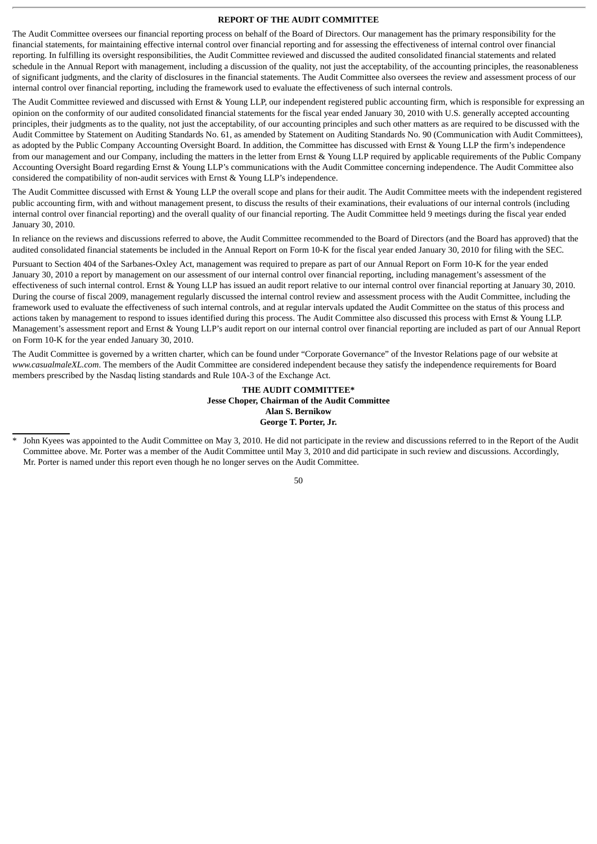# **REPORT OF THE AUDIT COMMITTEE**

The Audit Committee oversees our financial reporting process on behalf of the Board of Directors. Our management has the primary responsibility for the financial statements, for maintaining effective internal control over financial reporting and for assessing the effectiveness of internal control over financial reporting. In fulfilling its oversight responsibilities, the Audit Committee reviewed and discussed the audited consolidated financial statements and related schedule in the Annual Report with management, including a discussion of the quality, not just the acceptability, of the accounting principles, the reasonableness of significant judgments, and the clarity of disclosures in the financial statements. The Audit Committee also oversees the review and assessment process of our internal control over financial reporting, including the framework used to evaluate the effectiveness of such internal controls.

The Audit Committee reviewed and discussed with Ernst & Young LLP, our independent registered public accounting firm, which is responsible for expressing an opinion on the conformity of our audited consolidated financial statements for the fiscal year ended January 30, 2010 with U.S. generally accepted accounting principles, their judgments as to the quality, not just the acceptability, of our accounting principles and such other matters as are required to be discussed with the Audit Committee by Statement on Auditing Standards No. 61, as amended by Statement on Auditing Standards No. 90 (Communication with Audit Committees), as adopted by the Public Company Accounting Oversight Board. In addition, the Committee has discussed with Ernst & Young LLP the firm's independence from our management and our Company, including the matters in the letter from Ernst & Young LLP required by applicable requirements of the Public Company Accounting Oversight Board regarding Ernst & Young LLP's communications with the Audit Committee concerning independence. The Audit Committee also considered the compatibility of non-audit services with Ernst & Young LLP's independence.

The Audit Committee discussed with Ernst & Young LLP the overall scope and plans for their audit. The Audit Committee meets with the independent registered public accounting firm, with and without management present, to discuss the results of their examinations, their evaluations of our internal controls (including internal control over financial reporting) and the overall quality of our financial reporting. The Audit Committee held 9 meetings during the fiscal year ended January 30, 2010.

In reliance on the reviews and discussions referred to above, the Audit Committee recommended to the Board of Directors (and the Board has approved) that the audited consolidated financial statements be included in the Annual Report on Form 10-K for the fiscal year ended January 30, 2010 for filing with the SEC.

Pursuant to Section 404 of the Sarbanes-Oxley Act, management was required to prepare as part of our Annual Report on Form 10-K for the year ended January 30, 2010 a report by management on our assessment of our internal control over financial reporting, including management's assessment of the effectiveness of such internal control. Ernst & Young LLP has issued an audit report relative to our internal control over financial reporting at January 30, 2010. During the course of fiscal 2009, management regularly discussed the internal control review and assessment process with the Audit Committee, including the framework used to evaluate the effectiveness of such internal controls, and at regular intervals updated the Audit Committee on the status of this process and actions taken by management to respond to issues identified during this process. The Audit Committee also discussed this process with Ernst & Young LLP. Management's assessment report and Ernst & Young LLP's audit report on our internal control over financial reporting are included as part of our Annual Report on Form 10-K for the year ended January 30, 2010.

The Audit Committee is governed by a written charter, which can be found under "Corporate Governance" of the Investor Relations page of our website at *www.casualmaleXL.com*. The members of the Audit Committee are considered independent because they satisfy the independence requirements for Board members prescribed by the Nasdaq listing standards and Rule 10A-3 of the Exchange Act.

# **THE AUDIT COMMITTEE\* Jesse Choper, Chairman of the Audit Committee Alan S. Bernikow George T. Porter, Jr.**

John Kyees was appointed to the Audit Committee on May 3, 2010. He did not participate in the review and discussions referred to in the Report of the Audit Committee above. Mr. Porter was a member of the Audit Committee until May 3, 2010 and did participate in such review and discussions. Accordingly, Mr. Porter is named under this report even though he no longer serves on the Audit Committee.

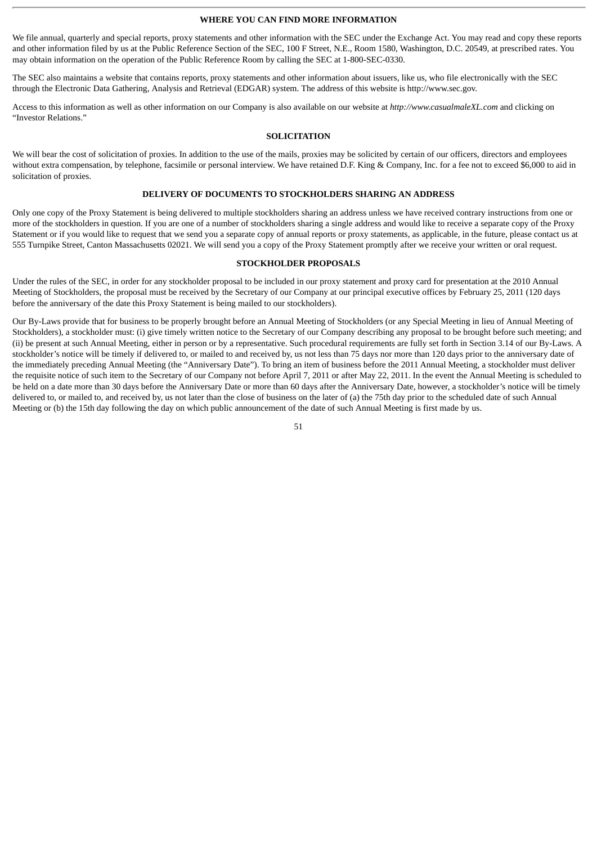#### **WHERE YOU CAN FIND MORE INFORMATION**

We file annual, quarterly and special reports, proxy statements and other information with the SEC under the Exchange Act. You may read and copy these reports and other information filed by us at the Public Reference Section of the SEC, 100 F Street, N.E., Room 1580, Washington, D.C. 20549, at prescribed rates. You may obtain information on the operation of the Public Reference Room by calling the SEC at 1-800-SEC-0330.

The SEC also maintains a website that contains reports, proxy statements and other information about issuers, like us, who file electronically with the SEC through the Electronic Data Gathering, Analysis and Retrieval (EDGAR) system. The address of this website is http://www.sec.gov.

Access to this information as well as other information on our Company is also available on our website at *http://www.casualmaleXL.com* and clicking on "Investor Relations."

# **SOLICITATION**

We will bear the cost of solicitation of proxies. In addition to the use of the mails, proxies may be solicited by certain of our officers, directors and employees without extra compensation, by telephone, facsimile or personal interview. We have retained D.F. King & Company, Inc. for a fee not to exceed \$6,000 to aid in solicitation of proxies.

### **DELIVERY OF DOCUMENTS TO STOCKHOLDERS SHARING AN ADDRESS**

Only one copy of the Proxy Statement is being delivered to multiple stockholders sharing an address unless we have received contrary instructions from one or more of the stockholders in question. If you are one of a number of stockholders sharing a single address and would like to receive a separate copy of the Proxy Statement or if you would like to request that we send you a separate copy of annual reports or proxy statements, as applicable, in the future, please contact us at 555 Turnpike Street, Canton Massachusetts 02021. We will send you a copy of the Proxy Statement promptly after we receive your written or oral request.

#### **STOCKHOLDER PROPOSALS**

Under the rules of the SEC, in order for any stockholder proposal to be included in our proxy statement and proxy card for presentation at the 2010 Annual Meeting of Stockholders, the proposal must be received by the Secretary of our Company at our principal executive offices by February 25, 2011 (120 days before the anniversary of the date this Proxy Statement is being mailed to our stockholders).

Our By-Laws provide that for business to be properly brought before an Annual Meeting of Stockholders (or any Special Meeting in lieu of Annual Meeting of Stockholders), a stockholder must: (i) give timely written notice to the Secretary of our Company describing any proposal to be brought before such meeting; and (ii) be present at such Annual Meeting, either in person or by a representative. Such procedural requirements are fully set forth in Section 3.14 of our By-Laws. A stockholder's notice will be timely if delivered to, or mailed to and received by, us not less than 75 days nor more than 120 days prior to the anniversary date of the immediately preceding Annual Meeting (the "Anniversary Date"). To bring an item of business before the 2011 Annual Meeting, a stockholder must deliver the requisite notice of such item to the Secretary of our Company not before April 7, 2011 or after May 22, 2011. In the event the Annual Meeting is scheduled to be held on a date more than 30 days before the Anniversary Date or more than 60 days after the Anniversary Date, however, a stockholder's notice will be timely delivered to, or mailed to, and received by, us not later than the close of business on the later of (a) the 75th day prior to the scheduled date of such Annual Meeting or (b) the 15th day following the day on which public announcement of the date of such Annual Meeting is first made by us.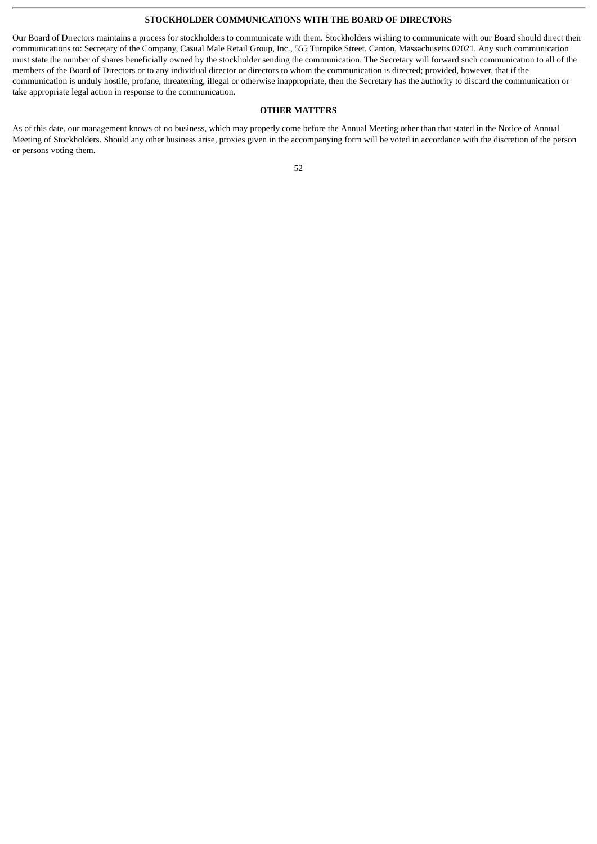#### **STOCKHOLDER COMMUNICATIONS WITH THE BOARD OF DIRECTORS**

Our Board of Directors maintains a process for stockholders to communicate with them. Stockholders wishing to communicate with our Board should direct their communications to: Secretary of the Company, Casual Male Retail Group, Inc., 555 Turnpike Street, Canton, Massachusetts 02021. Any such communication must state the number of shares beneficially owned by the stockholder sending the communication. The Secretary will forward such communication to all of the members of the Board of Directors or to any individual director or directors to whom the communication is directed; provided, however, that if the communication is unduly hostile, profane, threatening, illegal or otherwise inappropriate, then the Secretary has the authority to discard the communication or take appropriate legal action in response to the communication.

# **OTHER MATTERS**

As of this date, our management knows of no business, which may properly come before the Annual Meeting other than that stated in the Notice of Annual Meeting of Stockholders. Should any other business arise, proxies given in the accompanying form will be voted in accordance with the discretion of the person or persons voting them.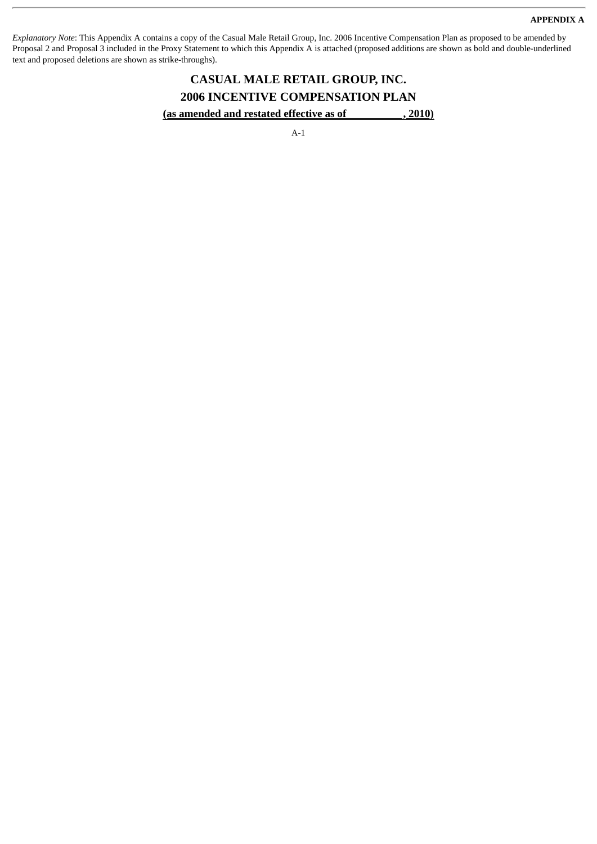#### **APPENDIX A**

*Explanatory Note*: This Appendix A contains a copy of the Casual Male Retail Group, Inc. 2006 Incentive Compensation Plan as proposed to be amended by Proposal 2 and Proposal 3 included in the Proxy Statement to which this Appendix A is attached (proposed additions are shown as bold and double-underlined text and proposed deletions are shown as strike-throughs).

# **CASUAL MALE RETAIL GROUP, INC. 2006 INCENTIVE COMPENSATION PLAN** (as amended and restated effective as of , 2010)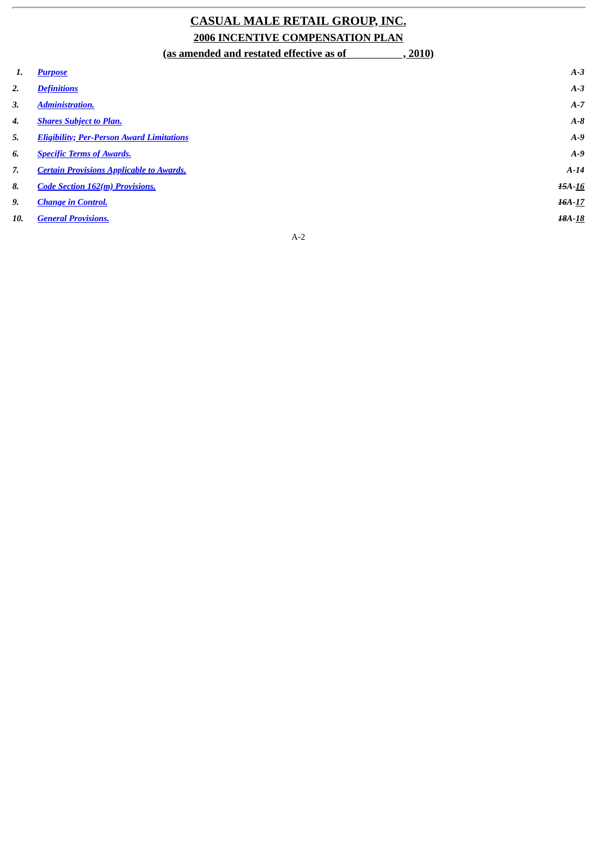# **CASUAL MALE RETAIL GROUP, INC. 2006 INCENTIVE COMPENSATION PLAN**

|     | (as amended and restated effective as of<br>2010 |          |
|-----|--------------------------------------------------|----------|
| 1.  | <b>Purpose</b>                                   | $A-3$    |
| 2.  | <b>Definitions</b>                               | $A-3$    |
| 3.  | <b>Administration.</b>                           | $A-7$    |
| 4.  | <b>Shares Subject to Plan.</b>                   | $A - B$  |
| 5.  | <b>Eligibility; Per-Person Award Limitations</b> | $A-9$    |
| 6.  | <b>Specific Terms of Awards.</b>                 | $A-9$    |
| 7.  | <b>Certain Provisions Applicable to Awards.</b>  | $A-14$   |
| 8.  | <b>Code Section 162(m) Provisions.</b>           | $15A-16$ |
| 9.  | <b>Change in Control.</b>                        | $16A-17$ |
| 10. | <b>General Provisions.</b>                       | 18A-18   |
|     |                                                  |          |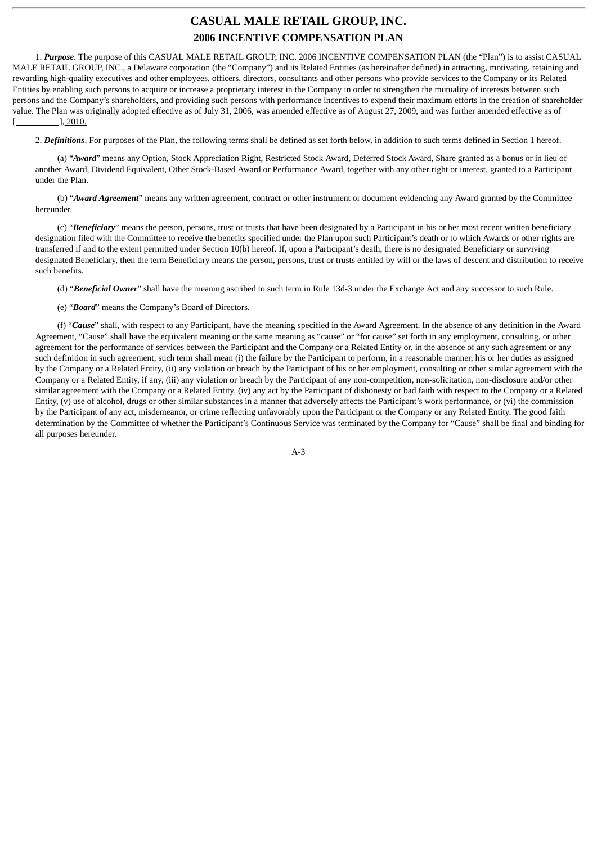# **CASUAL MALE RETAIL GROUP, INC. 2006 INCENTIVE COMPENSATION PLAN**

<span id="page-56-0"></span>1. *Purpose*. The purpose of this CASUAL MALE RETAIL GROUP, INC. 2006 INCENTIVE COMPENSATION PLAN (the "Plan") is to assist CASUAL MALE RETAIL GROUP, INC., a Delaware corporation (the "Company") and its Related Entities (as hereinafter defined) in attracting, motivating, retaining and rewarding high-quality executives and other employees, officers, directors, consultants and other persons who provide services to the Company or its Related Entities by enabling such persons to acquire or increase a proprietary interest in the Company in order to strengthen the mutuality of interests between such persons and the Company's shareholders, and providing such persons with performance incentives to expend their maximum efforts in the creation of shareholder value. The Plan was originally adopted effective as of July 31, 2006, was amended effective as of August 27, 2009, and was further amended effective as of  $[$   $], 2010.$ 

<span id="page-56-1"></span>2. *Definitions*. For purposes of the Plan, the following terms shall be defined as set forth below, in addition to such terms defined in Section 1 hereof.

(a) "*Award*" means any Option, Stock Appreciation Right, Restricted Stock Award, Deferred Stock Award, Share granted as a bonus or in lieu of another Award, Dividend Equivalent, Other Stock-Based Award or Performance Award, together with any other right or interest, granted to a Participant under the Plan.

(b) "*Award Agreement*" means any written agreement, contract or other instrument or document evidencing any Award granted by the Committee hereunder.

(c) "*Beneficiary*" means the person, persons, trust or trusts that have been designated by a Participant in his or her most recent written beneficiary designation filed with the Committee to receive the benefits specified under the Plan upon such Participant's death or to which Awards or other rights are transferred if and to the extent permitted under Section 10(b) hereof. If, upon a Participant's death, there is no designated Beneficiary or surviving designated Beneficiary, then the term Beneficiary means the person, persons, trust or trusts entitled by will or the laws of descent and distribution to receive such benefits.

(d) "*Beneficial Owner*" shall have the meaning ascribed to such term in Rule 13d-3 under the Exchange Act and any successor to such Rule.

(e) "*Board*" means the Company's Board of Directors.

(f) "*Cause*" shall, with respect to any Participant, have the meaning specified in the Award Agreement. In the absence of any definition in the Award Agreement, "Cause" shall have the equivalent meaning or the same meaning as "cause" or "for cause" set forth in any employment, consulting, or other agreement for the performance of services between the Participant and the Company or a Related Entity or, in the absence of any such agreement or any such definition in such agreement, such term shall mean (i) the failure by the Participant to perform, in a reasonable manner, his or her duties as assigned by the Company or a Related Entity, (ii) any violation or breach by the Participant of his or her employment, consulting or other similar agreement with the Company or a Related Entity, if any, (iii) any violation or breach by the Participant of any non-competition, non-solicitation, non-disclosure and/or other similar agreement with the Company or a Related Entity, (iv) any act by the Participant of dishonesty or bad faith with respect to the Company or a Related Entity, (v) use of alcohol, drugs or other similar substances in a manner that adversely affects the Participant's work performance, or (vi) the commission by the Participant of any act, misdemeanor, or crime reflecting unfavorably upon the Participant or the Company or any Related Entity. The good faith determination by the Committee of whether the Participant's Continuous Service was terminated by the Company for "Cause" shall be final and binding for all purposes hereunder.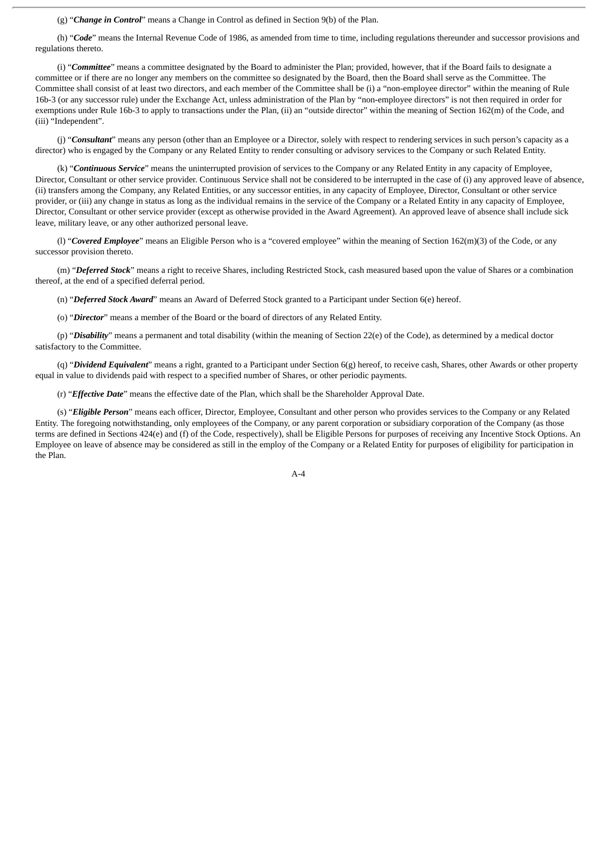(g) "*Change in Control*" means a Change in Control as defined in Section 9(b) of the Plan.

(h) "*Code*" means the Internal Revenue Code of 1986, as amended from time to time, including regulations thereunder and successor provisions and regulations thereto.

(i) "*Committee*" means a committee designated by the Board to administer the Plan; provided, however, that if the Board fails to designate a committee or if there are no longer any members on the committee so designated by the Board, then the Board shall serve as the Committee. The Committee shall consist of at least two directors, and each member of the Committee shall be (i) a "non-employee director" within the meaning of Rule 16b-3 (or any successor rule) under the Exchange Act, unless administration of the Plan by "non-employee directors" is not then required in order for exemptions under Rule 16b-3 to apply to transactions under the Plan, (ii) an "outside director" within the meaning of Section 162(m) of the Code, and (iii) "Independent".

(j) "*Consultant*" means any person (other than an Employee or a Director, solely with respect to rendering services in such person's capacity as a director) who is engaged by the Company or any Related Entity to render consulting or advisory services to the Company or such Related Entity.

(k) "*Continuous Service*" means the uninterrupted provision of services to the Company or any Related Entity in any capacity of Employee, Director, Consultant or other service provider. Continuous Service shall not be considered to be interrupted in the case of (i) any approved leave of absence, (ii) transfers among the Company, any Related Entities, or any successor entities, in any capacity of Employee, Director, Consultant or other service provider, or (iii) any change in status as long as the individual remains in the service of the Company or a Related Entity in any capacity of Employee, Director, Consultant or other service provider (except as otherwise provided in the Award Agreement). An approved leave of absence shall include sick leave, military leave, or any other authorized personal leave.

(l) "*Covered Employee*" means an Eligible Person who is a "covered employee" within the meaning of Section 162(m)(3) of the Code, or any successor provision thereto.

(m) "*Deferred Stock*" means a right to receive Shares, including Restricted Stock, cash measured based upon the value of Shares or a combination thereof, at the end of a specified deferral period.

(n) "*Deferred Stock Award*" means an Award of Deferred Stock granted to a Participant under Section 6(e) hereof.

(o) "*Director*" means a member of the Board or the board of directors of any Related Entity.

(p) "*Disability*" means a permanent and total disability (within the meaning of Section 22(e) of the Code), as determined by a medical doctor satisfactory to the Committee.

(q) "*Dividend Equivalent*" means a right, granted to a Participant under Section 6(g) hereof, to receive cash, Shares, other Awards or other property equal in value to dividends paid with respect to a specified number of Shares, or other periodic payments.

(r) "*Effective Date*" means the effective date of the Plan, which shall be the Shareholder Approval Date.

(s) "*Eligible Person*" means each officer, Director, Employee, Consultant and other person who provides services to the Company or any Related Entity. The foregoing notwithstanding, only employees of the Company, or any parent corporation or subsidiary corporation of the Company (as those terms are defined in Sections 424(e) and (f) of the Code, respectively), shall be Eligible Persons for purposes of receiving any Incentive Stock Options. An Employee on leave of absence may be considered as still in the employ of the Company or a Related Entity for purposes of eligibility for participation in the Plan.

 $A - A$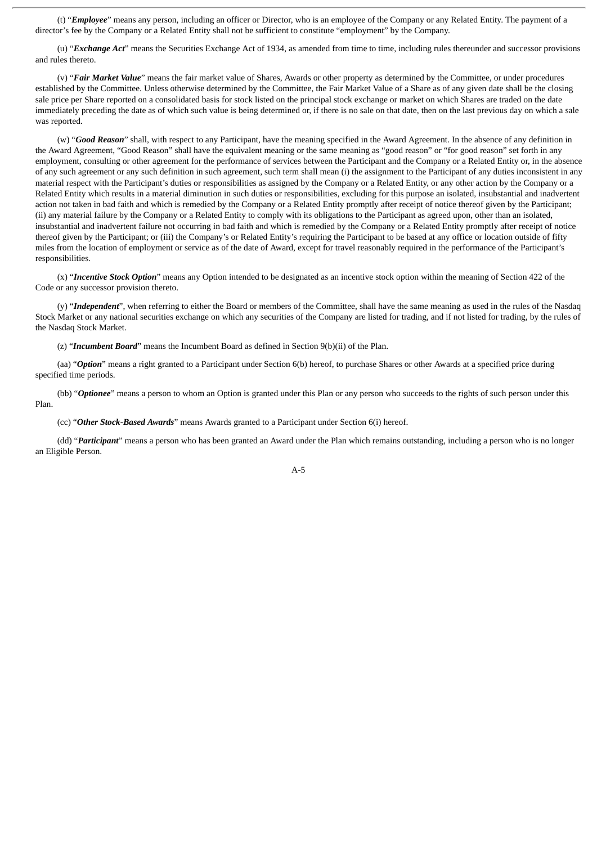(t) "*Employee*" means any person, including an officer or Director, who is an employee of the Company or any Related Entity. The payment of a director's fee by the Company or a Related Entity shall not be sufficient to constitute "employment" by the Company.

(u) "*Exchange Act*" means the Securities Exchange Act of 1934, as amended from time to time, including rules thereunder and successor provisions and rules thereto.

(v) "*Fair Market Value*" means the fair market value of Shares, Awards or other property as determined by the Committee, or under procedures established by the Committee. Unless otherwise determined by the Committee, the Fair Market Value of a Share as of any given date shall be the closing sale price per Share reported on a consolidated basis for stock listed on the principal stock exchange or market on which Shares are traded on the date immediately preceding the date as of which such value is being determined or, if there is no sale on that date, then on the last previous day on which a sale was reported.

(w) "*Good Reason*" shall, with respect to any Participant, have the meaning specified in the Award Agreement. In the absence of any definition in the Award Agreement, "Good Reason" shall have the equivalent meaning or the same meaning as "good reason" or "for good reason" set forth in any employment, consulting or other agreement for the performance of services between the Participant and the Company or a Related Entity or, in the absence of any such agreement or any such definition in such agreement, such term shall mean (i) the assignment to the Participant of any duties inconsistent in any material respect with the Participant's duties or responsibilities as assigned by the Company or a Related Entity, or any other action by the Company or a Related Entity which results in a material diminution in such duties or responsibilities, excluding for this purpose an isolated, insubstantial and inadvertent action not taken in bad faith and which is remedied by the Company or a Related Entity promptly after receipt of notice thereof given by the Participant; (ii) any material failure by the Company or a Related Entity to comply with its obligations to the Participant as agreed upon, other than an isolated, insubstantial and inadvertent failure not occurring in bad faith and which is remedied by the Company or a Related Entity promptly after receipt of notice thereof given by the Participant; or (iii) the Company's or Related Entity's requiring the Participant to be based at any office or location outside of fifty miles from the location of employment or service as of the date of Award, except for travel reasonably required in the performance of the Participant's responsibilities.

(x) "*Incentive Stock Option*" means any Option intended to be designated as an incentive stock option within the meaning of Section 422 of the Code or any successor provision thereto.

(y) "*Independent*", when referring to either the Board or members of the Committee, shall have the same meaning as used in the rules of the Nasdaq Stock Market or any national securities exchange on which any securities of the Company are listed for trading, and if not listed for trading, by the rules of the Nasdaq Stock Market.

(z) "*Incumbent Board*" means the Incumbent Board as defined in Section 9(b)(ii) of the Plan.

(aa) "*Option*" means a right granted to a Participant under Section 6(b) hereof, to purchase Shares or other Awards at a specified price during specified time periods.

(bb) "*Optionee*" means a person to whom an Option is granted under this Plan or any person who succeeds to the rights of such person under this Plan.

(cc) "*Other Stock-Based Awards*" means Awards granted to a Participant under Section 6(i) hereof.

(dd) "*Participant*" means a person who has been granted an Award under the Plan which remains outstanding, including a person who is no longer an Eligible Person.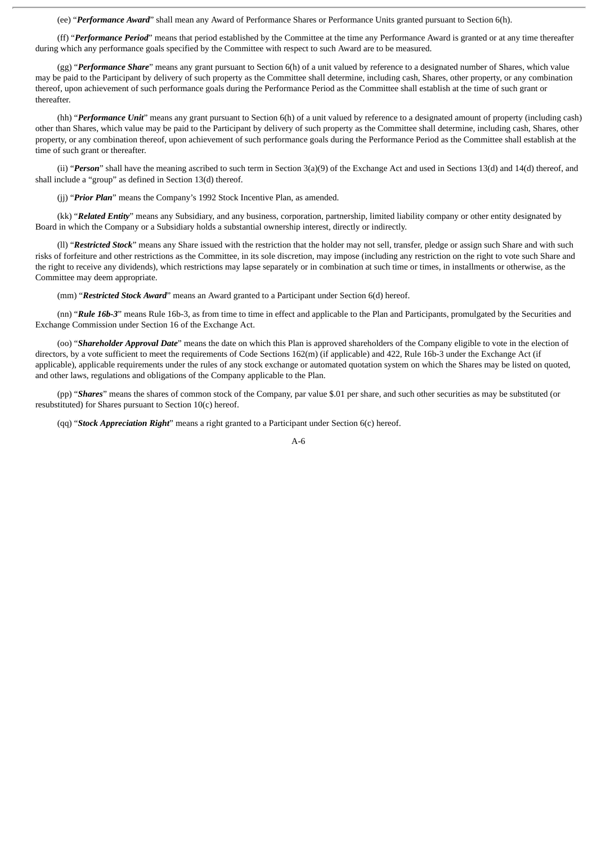(ee) "*Performance Award*" shall mean any Award of Performance Shares or Performance Units granted pursuant to Section 6(h).

(ff) "*Performance Period*" means that period established by the Committee at the time any Performance Award is granted or at any time thereafter during which any performance goals specified by the Committee with respect to such Award are to be measured.

(gg) "*Performance Share*" means any grant pursuant to Section 6(h) of a unit valued by reference to a designated number of Shares, which value may be paid to the Participant by delivery of such property as the Committee shall determine, including cash, Shares, other property, or any combination thereof, upon achievement of such performance goals during the Performance Period as the Committee shall establish at the time of such grant or thereafter.

(hh) "*Performance Unit*" means any grant pursuant to Section 6(h) of a unit valued by reference to a designated amount of property (including cash) other than Shares, which value may be paid to the Participant by delivery of such property as the Committee shall determine, including cash, Shares, other property, or any combination thereof, upon achievement of such performance goals during the Performance Period as the Committee shall establish at the time of such grant or thereafter.

(ii) "*Person*" shall have the meaning ascribed to such term in Section 3(a)(9) of the Exchange Act and used in Sections 13(d) and 14(d) thereof, and shall include a "group" as defined in Section 13(d) thereof.

(jj) "*Prior Plan*" means the Company's 1992 Stock Incentive Plan, as amended.

(kk) "*Related Entity*" means any Subsidiary, and any business, corporation, partnership, limited liability company or other entity designated by Board in which the Company or a Subsidiary holds a substantial ownership interest, directly or indirectly.

(ll) "*Restricted Stock*" means any Share issued with the restriction that the holder may not sell, transfer, pledge or assign such Share and with such risks of forfeiture and other restrictions as the Committee, in its sole discretion, may impose (including any restriction on the right to vote such Share and the right to receive any dividends), which restrictions may lapse separately or in combination at such time or times, in installments or otherwise, as the Committee may deem appropriate.

(mm) "*Restricted Stock Award*" means an Award granted to a Participant under Section 6(d) hereof.

(nn) "*Rule 16b-3*" means Rule 16b-3, as from time to time in effect and applicable to the Plan and Participants, promulgated by the Securities and Exchange Commission under Section 16 of the Exchange Act.

(oo) "*Shareholder Approval Date*" means the date on which this Plan is approved shareholders of the Company eligible to vote in the election of directors, by a vote sufficient to meet the requirements of Code Sections 162(m) (if applicable) and 422, Rule 16b-3 under the Exchange Act (if applicable), applicable requirements under the rules of any stock exchange or automated quotation system on which the Shares may be listed on quoted, and other laws, regulations and obligations of the Company applicable to the Plan.

(pp) "*Shares*" means the shares of common stock of the Company, par value \$.01 per share, and such other securities as may be substituted (or resubstituted) for Shares pursuant to Section 10(c) hereof.

(qq) "*Stock Appreciation Right*" means a right granted to a Participant under Section 6(c) hereof.

$$
A-6
$$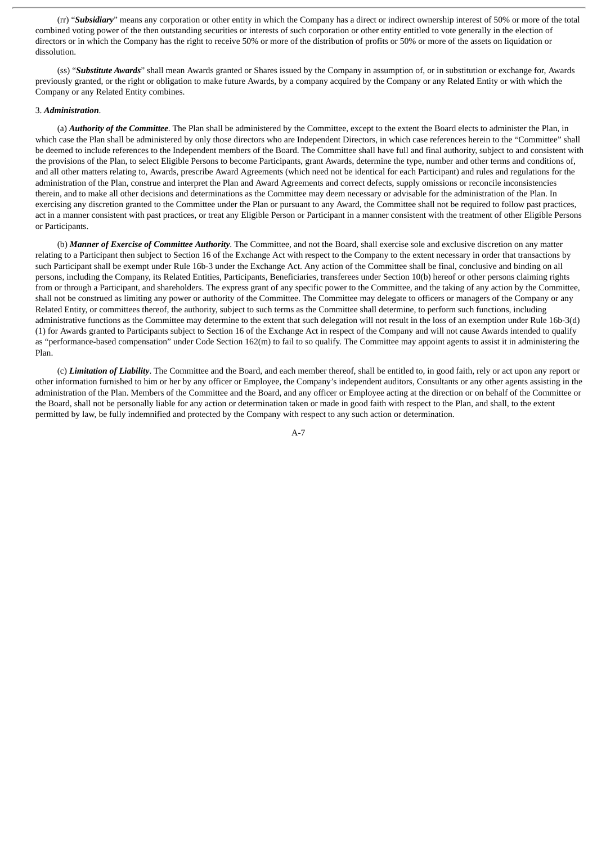(rr) "*Subsidiary*" means any corporation or other entity in which the Company has a direct or indirect ownership interest of 50% or more of the total combined voting power of the then outstanding securities or interests of such corporation or other entity entitled to vote generally in the election of directors or in which the Company has the right to receive 50% or more of the distribution of profits or 50% or more of the assets on liquidation or dissolution.

(ss) "*Substitute Awards*" shall mean Awards granted or Shares issued by the Company in assumption of, or in substitution or exchange for, Awards previously granted, or the right or obligation to make future Awards, by a company acquired by the Company or any Related Entity or with which the Company or any Related Entity combines.

#### <span id="page-60-0"></span>3. *Administration*.

(a) *Authority of the Committee*. The Plan shall be administered by the Committee, except to the extent the Board elects to administer the Plan, in which case the Plan shall be administered by only those directors who are Independent Directors, in which case references herein to the "Committee" shall be deemed to include references to the Independent members of the Board. The Committee shall have full and final authority, subject to and consistent with the provisions of the Plan, to select Eligible Persons to become Participants, grant Awards, determine the type, number and other terms and conditions of, and all other matters relating to, Awards, prescribe Award Agreements (which need not be identical for each Participant) and rules and regulations for the administration of the Plan, construe and interpret the Plan and Award Agreements and correct defects, supply omissions or reconcile inconsistencies therein, and to make all other decisions and determinations as the Committee may deem necessary or advisable for the administration of the Plan. In exercising any discretion granted to the Committee under the Plan or pursuant to any Award, the Committee shall not be required to follow past practices, act in a manner consistent with past practices, or treat any Eligible Person or Participant in a manner consistent with the treatment of other Eligible Persons or Participants.

(b) *Manner of Exercise of Committee Authority*. The Committee, and not the Board, shall exercise sole and exclusive discretion on any matter relating to a Participant then subject to Section 16 of the Exchange Act with respect to the Company to the extent necessary in order that transactions by such Participant shall be exempt under Rule 16b-3 under the Exchange Act. Any action of the Committee shall be final, conclusive and binding on all persons, including the Company, its Related Entities, Participants, Beneficiaries, transferees under Section 10(b) hereof or other persons claiming rights from or through a Participant, and shareholders. The express grant of any specific power to the Committee, and the taking of any action by the Committee, shall not be construed as limiting any power or authority of the Committee. The Committee may delegate to officers or managers of the Company or any Related Entity, or committees thereof, the authority, subject to such terms as the Committee shall determine, to perform such functions, including administrative functions as the Committee may determine to the extent that such delegation will not result in the loss of an exemption under Rule 16b-3(d) (1) for Awards granted to Participants subject to Section 16 of the Exchange Act in respect of the Company and will not cause Awards intended to qualify as "performance-based compensation" under Code Section 162(m) to fail to so qualify. The Committee may appoint agents to assist it in administering the Plan.

(c) *Limitation of Liability*. The Committee and the Board, and each member thereof, shall be entitled to, in good faith, rely or act upon any report or other information furnished to him or her by any officer or Employee, the Company's independent auditors, Consultants or any other agents assisting in the administration of the Plan. Members of the Committee and the Board, and any officer or Employee acting at the direction or on behalf of the Committee or the Board, shall not be personally liable for any action or determination taken or made in good faith with respect to the Plan, and shall, to the extent permitted by law, be fully indemnified and protected by the Company with respect to any such action or determination.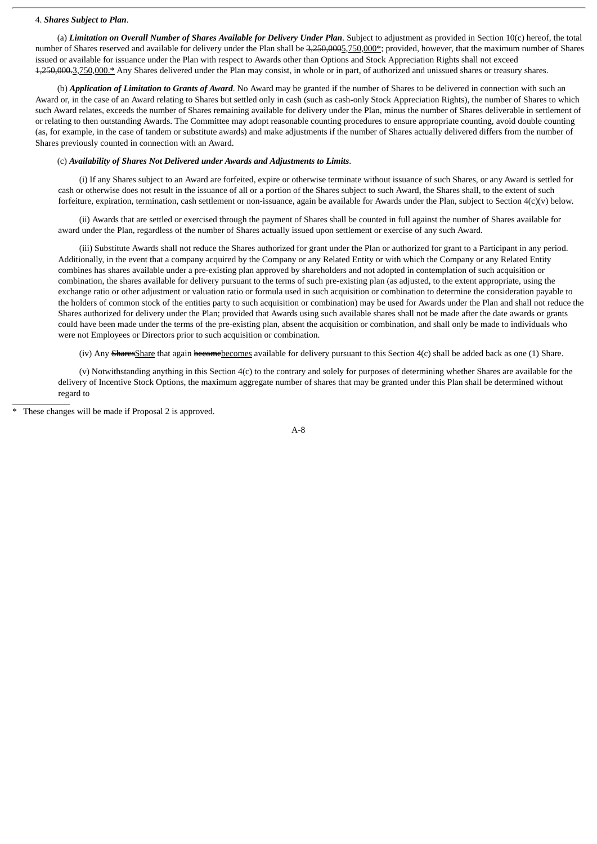#### <span id="page-61-0"></span>4. *Shares Subject to Plan*.

(a) *Limitation on Overall Number of Shares Available for Delivery Under Plan*. Subject to adjustment as provided in Section 10(c) hereof, the total number of Shares reserved and available for delivery under the Plan shall be 3,250,0005,750,000\*; provided, however, that the maximum number of Shares issued or available for issuance under the Plan with respect to Awards other than Options and Stock Appreciation Rights shall not exceed 4,250,000.3,750,000.\* Any Shares delivered under the Plan may consist, in whole or in part, of authorized and unissued shares or treasury shares.

(b) *Application of Limitation to Grants of Award*. No Award may be granted if the number of Shares to be delivered in connection with such an Award or, in the case of an Award relating to Shares but settled only in cash (such as cash-only Stock Appreciation Rights), the number of Shares to which such Award relates, exceeds the number of Shares remaining available for delivery under the Plan, minus the number of Shares deliverable in settlement of or relating to then outstanding Awards. The Committee may adopt reasonable counting procedures to ensure appropriate counting, avoid double counting (as, for example, in the case of tandem or substitute awards) and make adjustments if the number of Shares actually delivered differs from the number of Shares previously counted in connection with an Award.

# (c) *Availability of Shares Not Delivered under Awards and Adjustments to Limits*.

(i) If any Shares subject to an Award are forfeited, expire or otherwise terminate without issuance of such Shares, or any Award is settled for cash or otherwise does not result in the issuance of all or a portion of the Shares subject to such Award, the Shares shall, to the extent of such forfeiture, expiration, termination, cash settlement or non-issuance, again be available for Awards under the Plan, subject to Section 4(c)(v) below.

(ii) Awards that are settled or exercised through the payment of Shares shall be counted in full against the number of Shares available for award under the Plan, regardless of the number of Shares actually issued upon settlement or exercise of any such Award.

(iii) Substitute Awards shall not reduce the Shares authorized for grant under the Plan or authorized for grant to a Participant in any period. Additionally, in the event that a company acquired by the Company or any Related Entity or with which the Company or any Related Entity combines has shares available under a pre-existing plan approved by shareholders and not adopted in contemplation of such acquisition or combination, the shares available for delivery pursuant to the terms of such pre-existing plan (as adjusted, to the extent appropriate, using the exchange ratio or other adjustment or valuation ratio or formula used in such acquisition or combination to determine the consideration payable to the holders of common stock of the entities party to such acquisition or combination) may be used for Awards under the Plan and shall not reduce the Shares authorized for delivery under the Plan; provided that Awards using such available shares shall not be made after the date awards or grants could have been made under the terms of the pre-existing plan, absent the acquisition or combination, and shall only be made to individuals who were not Employees or Directors prior to such acquisition or combination.

(iv) Any SharesShare that again becomebecomes available for delivery pursuant to this Section 4(c) shall be added back as one (1) Share.

(v) Notwithstanding anything in this Section 4(c) to the contrary and solely for purposes of determining whether Shares are available for the delivery of Incentive Stock Options, the maximum aggregate number of shares that may be granted under this Plan shall be determined without regard to

These changes will be made if Proposal 2 is approved.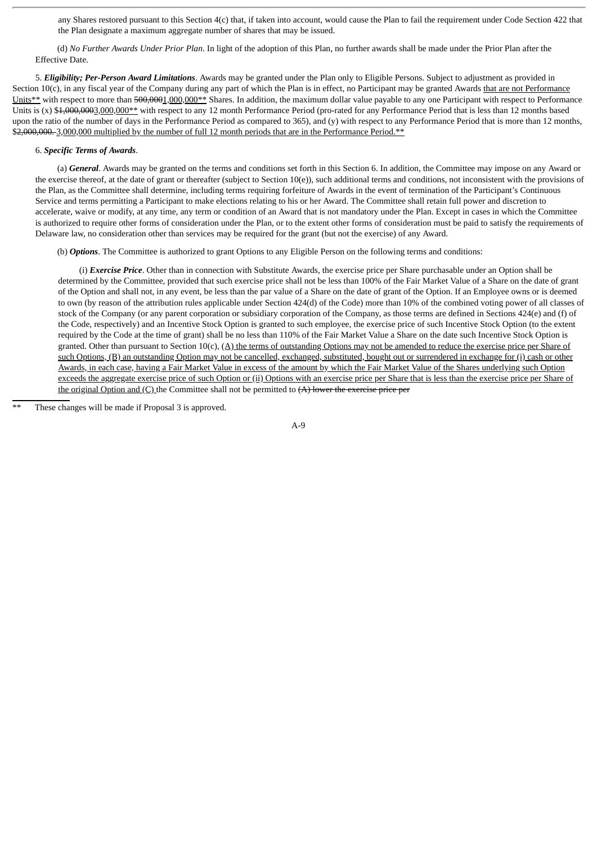any Shares restored pursuant to this Section 4(c) that, if taken into account, would cause the Plan to fail the requirement under Code Section 422 that the Plan designate a maximum aggregate number of shares that may be issued.

(d) *No Further Awards Under Prior Plan*. In light of the adoption of this Plan, no further awards shall be made under the Prior Plan after the Effective Date.

<span id="page-62-0"></span>5. *Eligibility; Per-Person Award Limitations*. Awards may be granted under the Plan only to Eligible Persons. Subject to adjustment as provided in Section  $10(c)$ , in any fiscal year of the Company during any part of which the Plan is in effect, no Participant may be granted Awards that are not Performance Units\*\* with respect to more than 500,0001,000,000\*\* Shares. In addition, the maximum dollar value payable to any one Participant with respect to Performance Units is  $(x)$  \$1,000,000,000  $x$ <sup>\*</sup> with respect to any 12 month Performance Period (pro-rated for any Performance Period that is less than 12 months based upon the ratio of the number of days in the Performance Period as compared to 365), and (y) with respect to any Performance Period that is more than 12 months, \$2,000,000. 3,000,000 multiplied by the number of full 12 month periods that are in the Performance Period.\*\*

#### <span id="page-62-1"></span>6. *Specific Terms of Awards*.

(a) *General*. Awards may be granted on the terms and conditions set forth in this Section 6. In addition, the Committee may impose on any Award or the exercise thereof, at the date of grant or thereafter (subject to Section  $10(e)$ ), such additional terms and conditions, not inconsistent with the provisions of the Plan, as the Committee shall determine, including terms requiring forfeiture of Awards in the event of termination of the Participant's Continuous Service and terms permitting a Participant to make elections relating to his or her Award. The Committee shall retain full power and discretion to accelerate, waive or modify, at any time, any term or condition of an Award that is not mandatory under the Plan. Except in cases in which the Committee is authorized to require other forms of consideration under the Plan, or to the extent other forms of consideration must be paid to satisfy the requirements of Delaware law, no consideration other than services may be required for the grant (but not the exercise) of any Award.

(b) *Options*. The Committee is authorized to grant Options to any Eligible Person on the following terms and conditions:

(i) *Exercise Price*. Other than in connection with Substitute Awards, the exercise price per Share purchasable under an Option shall be determined by the Committee, provided that such exercise price shall not be less than 100% of the Fair Market Value of a Share on the date of grant of the Option and shall not, in any event, be less than the par value of a Share on the date of grant of the Option. If an Employee owns or is deemed to own (by reason of the attribution rules applicable under Section 424(d) of the Code) more than 10% of the combined voting power of all classes of stock of the Company (or any parent corporation or subsidiary corporation of the Company, as those terms are defined in Sections 424(e) and (f) of the Code, respectively) and an Incentive Stock Option is granted to such employee, the exercise price of such Incentive Stock Option (to the extent required by the Code at the time of grant) shall be no less than 110% of the Fair Market Value a Share on the date such Incentive Stock Option is granted. Other than pursuant to Section  $10(c)$ , (A) the terms of outstanding Options may not be amended to reduce the exercise price per Share of such Options, (B) an outstanding Option may not be cancelled, exchanged, substituted, bought out or surrendered in exchange for (i) cash or other Awards, in each case, having a Fair Market Value in excess of the amount by which the Fair Market Value of the Shares underlying such Option exceeds the aggregate exercise price of such Option or (ii) Options with an exercise price per Share that is less than the exercise price per Share of the original Option and  $(C)$  the Committee shall not be permitted to  $(A)$  lower the exercise price per

These changes will be made if Proposal 3 is approved.

A-9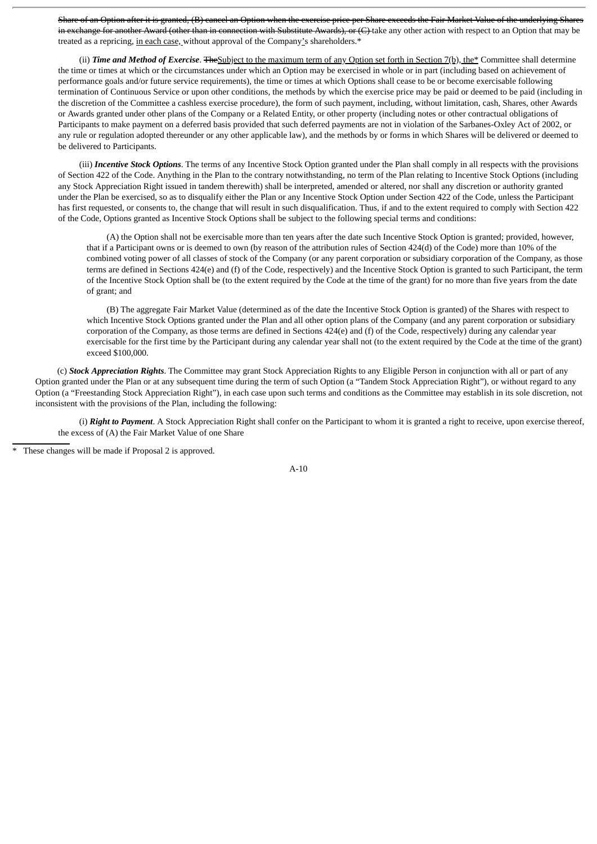Share of an Option after it is granted, (B) cancel an Option when the exercise price per Share exceeds the Fair Market Value of the underlying Shares in exchange for another Award (other than in connection with Substitute Awards), or (C) take any other action with respect to an Option that may be treated as a repricing, in each case, without approval of the Company's shareholders.\*

(ii) **Time and Method of Exercise**. The Subject to the maximum term of any Option set forth in Section 7(b), the<sup>\*</sup> Committee shall determine the time or times at which or the circumstances under which an Option may be exercised in whole or in part (including based on achievement of performance goals and/or future service requirements), the time or times at which Options shall cease to be or become exercisable following termination of Continuous Service or upon other conditions, the methods by which the exercise price may be paid or deemed to be paid (including in the discretion of the Committee a cashless exercise procedure), the form of such payment, including, without limitation, cash, Shares, other Awards or Awards granted under other plans of the Company or a Related Entity, or other property (including notes or other contractual obligations of Participants to make payment on a deferred basis provided that such deferred payments are not in violation of the Sarbanes-Oxley Act of 2002, or any rule or regulation adopted thereunder or any other applicable law), and the methods by or forms in which Shares will be delivered or deemed to be delivered to Participants.

(iii) *Incentive Stock Options*. The terms of any Incentive Stock Option granted under the Plan shall comply in all respects with the provisions of Section 422 of the Code. Anything in the Plan to the contrary notwithstanding, no term of the Plan relating to Incentive Stock Options (including any Stock Appreciation Right issued in tandem therewith) shall be interpreted, amended or altered, nor shall any discretion or authority granted under the Plan be exercised, so as to disqualify either the Plan or any Incentive Stock Option under Section 422 of the Code, unless the Participant has first requested, or consents to, the change that will result in such disqualification. Thus, if and to the extent required to comply with Section 422 of the Code, Options granted as Incentive Stock Options shall be subject to the following special terms and conditions:

(A) the Option shall not be exercisable more than ten years after the date such Incentive Stock Option is granted; provided, however, that if a Participant owns or is deemed to own (by reason of the attribution rules of Section 424(d) of the Code) more than 10% of the combined voting power of all classes of stock of the Company (or any parent corporation or subsidiary corporation of the Company, as those terms are defined in Sections 424(e) and (f) of the Code, respectively) and the Incentive Stock Option is granted to such Participant, the term of the Incentive Stock Option shall be (to the extent required by the Code at the time of the grant) for no more than five years from the date of grant; and

(B) The aggregate Fair Market Value (determined as of the date the Incentive Stock Option is granted) of the Shares with respect to which Incentive Stock Options granted under the Plan and all other option plans of the Company (and any parent corporation or subsidiary corporation of the Company, as those terms are defined in Sections 424(e) and (f) of the Code, respectively) during any calendar year exercisable for the first time by the Participant during any calendar year shall not (to the extent required by the Code at the time of the grant) exceed \$100,000.

(c) *Stock Appreciation Rights*. The Committee may grant Stock Appreciation Rights to any Eligible Person in conjunction with all or part of any Option granted under the Plan or at any subsequent time during the term of such Option (a "Tandem Stock Appreciation Right"), or without regard to any Option (a "Freestanding Stock Appreciation Right"), in each case upon such terms and conditions as the Committee may establish in its sole discretion, not inconsistent with the provisions of the Plan, including the following:

(i) *Right to Payment*. A Stock Appreciation Right shall confer on the Participant to whom it is granted a right to receive, upon exercise thereof, the excess of (A) the Fair Market Value of one Share



These changes will be made if Proposal 2 is approved.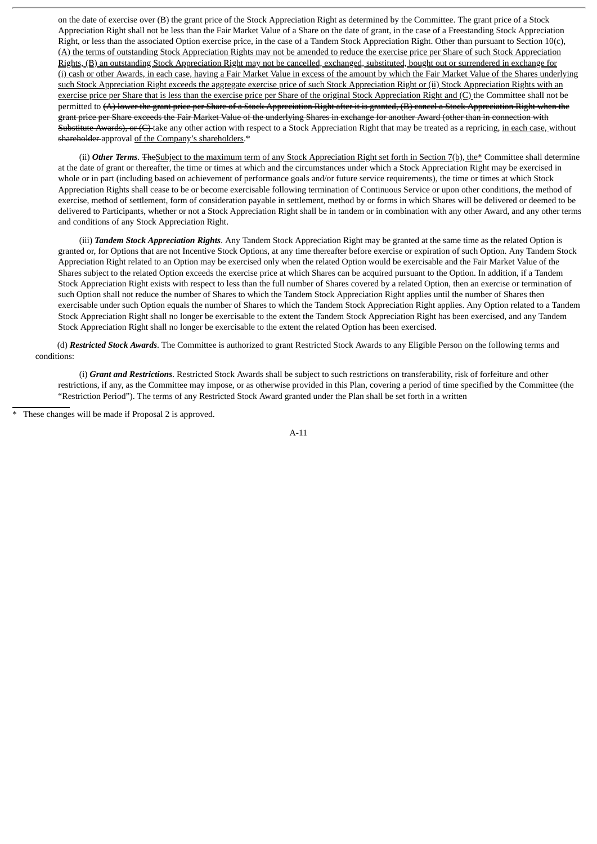on the date of exercise over (B) the grant price of the Stock Appreciation Right as determined by the Committee. The grant price of a Stock Appreciation Right shall not be less than the Fair Market Value of a Share on the date of grant, in the case of a Freestanding Stock Appreciation Right, or less than the associated Option exercise price, in the case of a Tandem Stock Appreciation Right. Other than pursuant to Section 10(c), (A) the terms of outstanding Stock Appreciation Rights may not be amended to reduce the exercise price per Share of such Stock Appreciation Rights, (B) an outstanding Stock Appreciation Right may not be cancelled, exchanged, substituted, bought out or surrendered in exchange for (i) cash or other Awards, in each case, having a Fair Market Value in excess of the amount by which the Fair Market Value of the Shares underlying such Stock Appreciation Right exceeds the aggregate exercise price of such Stock Appreciation Right or (ii) Stock Appreciation Rights with an exercise price per Share that is less than the exercise price per Share of the original Stock Appreciation Right and (C) the Committee shall not be permitted to (A) lower the grant price per Share of a Stock Appreciation Right after it is granted, (B) cancel a Stock Appreciation Right when the grant price per Share exceeds the Fair Market Value of the underlying Shares in exchange for another Award (other than in connection with Substitute Awards), or (C) take any other action with respect to a Stock Appreciation Right that may be treated as a repricing, in each case, without shareholder-approval of the Company's shareholders.\*

(ii) Other Terms. The Subject to the maximum term of any Stock Appreciation Right set forth in Section 7(b), the<sup>\*</sup> Committee shall determine at the date of grant or thereafter, the time or times at which and the circumstances under which a Stock Appreciation Right may be exercised in whole or in part (including based on achievement of performance goals and/or future service requirements), the time or times at which Stock Appreciation Rights shall cease to be or become exercisable following termination of Continuous Service or upon other conditions, the method of exercise, method of settlement, form of consideration payable in settlement, method by or forms in which Shares will be delivered or deemed to be delivered to Participants, whether or not a Stock Appreciation Right shall be in tandem or in combination with any other Award, and any other terms and conditions of any Stock Appreciation Right.

(iii) *Tandem Stock Appreciation Rights*. Any Tandem Stock Appreciation Right may be granted at the same time as the related Option is granted or, for Options that are not Incentive Stock Options, at any time thereafter before exercise or expiration of such Option. Any Tandem Stock Appreciation Right related to an Option may be exercised only when the related Option would be exercisable and the Fair Market Value of the Shares subject to the related Option exceeds the exercise price at which Shares can be acquired pursuant to the Option. In addition, if a Tandem Stock Appreciation Right exists with respect to less than the full number of Shares covered by a related Option, then an exercise or termination of such Option shall not reduce the number of Shares to which the Tandem Stock Appreciation Right applies until the number of Shares then exercisable under such Option equals the number of Shares to which the Tandem Stock Appreciation Right applies. Any Option related to a Tandem Stock Appreciation Right shall no longer be exercisable to the extent the Tandem Stock Appreciation Right has been exercised, and any Tandem Stock Appreciation Right shall no longer be exercisable to the extent the related Option has been exercised.

(d) *Restricted Stock Awards*. The Committee is authorized to grant Restricted Stock Awards to any Eligible Person on the following terms and conditions:

(i) *Grant and Restrictions*. Restricted Stock Awards shall be subject to such restrictions on transferability, risk of forfeiture and other restrictions, if any, as the Committee may impose, or as otherwise provided in this Plan, covering a period of time specified by the Committee (the "Restriction Period"). The terms of any Restricted Stock Award granted under the Plan shall be set forth in a written

These changes will be made if Proposal 2 is approved.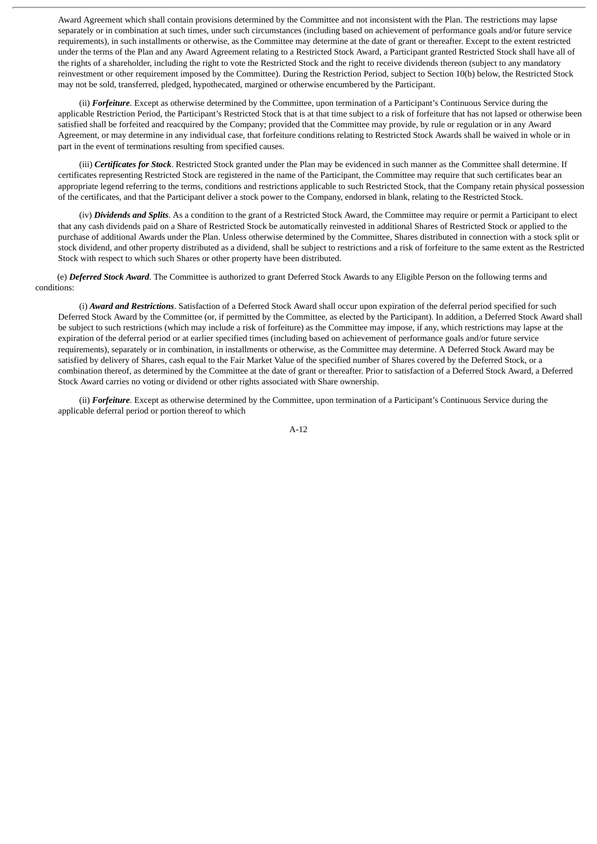Award Agreement which shall contain provisions determined by the Committee and not inconsistent with the Plan. The restrictions may lapse separately or in combination at such times, under such circumstances (including based on achievement of performance goals and/or future service requirements), in such installments or otherwise, as the Committee may determine at the date of grant or thereafter. Except to the extent restricted under the terms of the Plan and any Award Agreement relating to a Restricted Stock Award, a Participant granted Restricted Stock shall have all of the rights of a shareholder, including the right to vote the Restricted Stock and the right to receive dividends thereon (subject to any mandatory reinvestment or other requirement imposed by the Committee). During the Restriction Period, subject to Section 10(b) below, the Restricted Stock may not be sold, transferred, pledged, hypothecated, margined or otherwise encumbered by the Participant.

(ii) *Forfeiture*. Except as otherwise determined by the Committee, upon termination of a Participant's Continuous Service during the applicable Restriction Period, the Participant's Restricted Stock that is at that time subject to a risk of forfeiture that has not lapsed or otherwise been satisfied shall be forfeited and reacquired by the Company; provided that the Committee may provide, by rule or regulation or in any Award Agreement, or may determine in any individual case, that forfeiture conditions relating to Restricted Stock Awards shall be waived in whole or in part in the event of terminations resulting from specified causes.

(iii) *Certificates for Stock*. Restricted Stock granted under the Plan may be evidenced in such manner as the Committee shall determine. If certificates representing Restricted Stock are registered in the name of the Participant, the Committee may require that such certificates bear an appropriate legend referring to the terms, conditions and restrictions applicable to such Restricted Stock, that the Company retain physical possession of the certificates, and that the Participant deliver a stock power to the Company, endorsed in blank, relating to the Restricted Stock.

(iv) *Dividends and Splits*. As a condition to the grant of a Restricted Stock Award, the Committee may require or permit a Participant to elect that any cash dividends paid on a Share of Restricted Stock be automatically reinvested in additional Shares of Restricted Stock or applied to the purchase of additional Awards under the Plan. Unless otherwise determined by the Committee, Shares distributed in connection with a stock split or stock dividend, and other property distributed as a dividend, shall be subject to restrictions and a risk of forfeiture to the same extent as the Restricted Stock with respect to which such Shares or other property have been distributed.

(e) *Deferred Stock Award*. The Committee is authorized to grant Deferred Stock Awards to any Eligible Person on the following terms and conditions:

(i) *Award and Restrictions*. Satisfaction of a Deferred Stock Award shall occur upon expiration of the deferral period specified for such Deferred Stock Award by the Committee (or, if permitted by the Committee, as elected by the Participant). In addition, a Deferred Stock Award shall be subject to such restrictions (which may include a risk of forfeiture) as the Committee may impose, if any, which restrictions may lapse at the expiration of the deferral period or at earlier specified times (including based on achievement of performance goals and/or future service requirements), separately or in combination, in installments or otherwise, as the Committee may determine. A Deferred Stock Award may be satisfied by delivery of Shares, cash equal to the Fair Market Value of the specified number of Shares covered by the Deferred Stock, or a combination thereof, as determined by the Committee at the date of grant or thereafter. Prior to satisfaction of a Deferred Stock Award, a Deferred Stock Award carries no voting or dividend or other rights associated with Share ownership.

(ii) *Forfeiture*. Except as otherwise determined by the Committee, upon termination of a Participant's Continuous Service during the applicable deferral period or portion thereof to which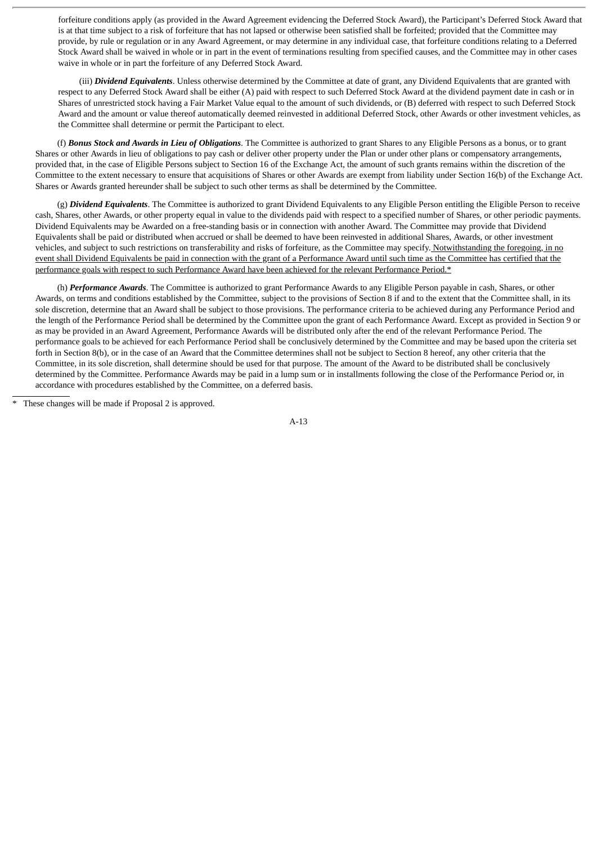forfeiture conditions apply (as provided in the Award Agreement evidencing the Deferred Stock Award), the Participant's Deferred Stock Award that is at that time subject to a risk of forfeiture that has not lapsed or otherwise been satisfied shall be forfeited; provided that the Committee may provide, by rule or regulation or in any Award Agreement, or may determine in any individual case, that forfeiture conditions relating to a Deferred Stock Award shall be waived in whole or in part in the event of terminations resulting from specified causes, and the Committee may in other cases waive in whole or in part the forfeiture of any Deferred Stock Award.

(iii) *Dividend Equivalents*. Unless otherwise determined by the Committee at date of grant, any Dividend Equivalents that are granted with respect to any Deferred Stock Award shall be either (A) paid with respect to such Deferred Stock Award at the dividend payment date in cash or in Shares of unrestricted stock having a Fair Market Value equal to the amount of such dividends, or (B) deferred with respect to such Deferred Stock Award and the amount or value thereof automatically deemed reinvested in additional Deferred Stock, other Awards or other investment vehicles, as the Committee shall determine or permit the Participant to elect.

(f) *Bonus Stock and Awards in Lieu of Obligations*. The Committee is authorized to grant Shares to any Eligible Persons as a bonus, or to grant Shares or other Awards in lieu of obligations to pay cash or deliver other property under the Plan or under other plans or compensatory arrangements, provided that, in the case of Eligible Persons subject to Section 16 of the Exchange Act, the amount of such grants remains within the discretion of the Committee to the extent necessary to ensure that acquisitions of Shares or other Awards are exempt from liability under Section 16(b) of the Exchange Act. Shares or Awards granted hereunder shall be subject to such other terms as shall be determined by the Committee.

(g) *Dividend Equivalents*. The Committee is authorized to grant Dividend Equivalents to any Eligible Person entitling the Eligible Person to receive cash, Shares, other Awards, or other property equal in value to the dividends paid with respect to a specified number of Shares, or other periodic payments. Dividend Equivalents may be Awarded on a free-standing basis or in connection with another Award. The Committee may provide that Dividend Equivalents shall be paid or distributed when accrued or shall be deemed to have been reinvested in additional Shares, Awards, or other investment vehicles, and subject to such restrictions on transferability and risks of forfeiture, as the Committee may specify. Notwithstanding the foregoing, in no event shall Dividend Equivalents be paid in connection with the grant of a Performance Award until such time as the Committee has certified that the performance goals with respect to such Performance Award have been achieved for the relevant Performance Period.\*

(h) *Performance Awards*. The Committee is authorized to grant Performance Awards to any Eligible Person payable in cash, Shares, or other Awards, on terms and conditions established by the Committee, subject to the provisions of Section 8 if and to the extent that the Committee shall, in its sole discretion, determine that an Award shall be subject to those provisions. The performance criteria to be achieved during any Performance Period and the length of the Performance Period shall be determined by the Committee upon the grant of each Performance Award. Except as provided in Section 9 or as may be provided in an Award Agreement, Performance Awards will be distributed only after the end of the relevant Performance Period. The performance goals to be achieved for each Performance Period shall be conclusively determined by the Committee and may be based upon the criteria set forth in Section 8(b), or in the case of an Award that the Committee determines shall not be subject to Section 8 hereof, any other criteria that the Committee, in its sole discretion, shall determine should be used for that purpose. The amount of the Award to be distributed shall be conclusively determined by the Committee. Performance Awards may be paid in a lump sum or in installments following the close of the Performance Period or, in accordance with procedures established by the Committee, on a deferred basis.

These changes will be made if Proposal 2 is approved.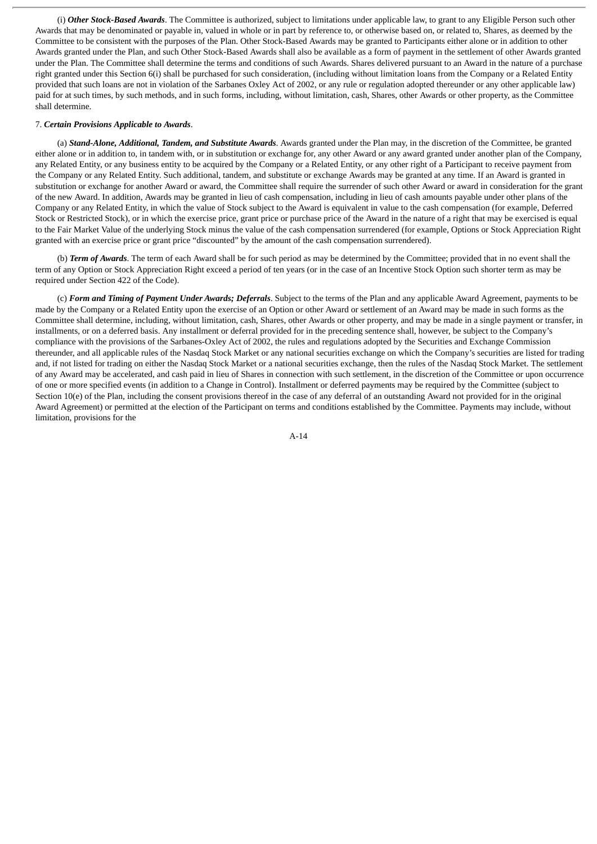(i) *Other Stock-Based Awards*. The Committee is authorized, subject to limitations under applicable law, to grant to any Eligible Person such other Awards that may be denominated or payable in, valued in whole or in part by reference to, or otherwise based on, or related to, Shares, as deemed by the Committee to be consistent with the purposes of the Plan. Other Stock-Based Awards may be granted to Participants either alone or in addition to other Awards granted under the Plan, and such Other Stock-Based Awards shall also be available as a form of payment in the settlement of other Awards granted under the Plan. The Committee shall determine the terms and conditions of such Awards. Shares delivered pursuant to an Award in the nature of a purchase right granted under this Section 6(i) shall be purchased for such consideration, (including without limitation loans from the Company or a Related Entity provided that such loans are not in violation of the Sarbanes Oxley Act of 2002, or any rule or regulation adopted thereunder or any other applicable law) paid for at such times, by such methods, and in such forms, including, without limitation, cash, Shares, other Awards or other property, as the Committee shall determine.

# <span id="page-67-0"></span>7. *Certain Provisions Applicable to Awards*.

(a) *Stand-Alone, Additional, Tandem, and Substitute Awards*. Awards granted under the Plan may, in the discretion of the Committee, be granted either alone or in addition to, in tandem with, or in substitution or exchange for, any other Award or any award granted under another plan of the Company, any Related Entity, or any business entity to be acquired by the Company or a Related Entity, or any other right of a Participant to receive payment from the Company or any Related Entity. Such additional, tandem, and substitute or exchange Awards may be granted at any time. If an Award is granted in substitution or exchange for another Award or award, the Committee shall require the surrender of such other Award or award in consideration for the grant of the new Award. In addition, Awards may be granted in lieu of cash compensation, including in lieu of cash amounts payable under other plans of the Company or any Related Entity, in which the value of Stock subject to the Award is equivalent in value to the cash compensation (for example, Deferred Stock or Restricted Stock), or in which the exercise price, grant price or purchase price of the Award in the nature of a right that may be exercised is equal to the Fair Market Value of the underlying Stock minus the value of the cash compensation surrendered (for example, Options or Stock Appreciation Right granted with an exercise price or grant price "discounted" by the amount of the cash compensation surrendered).

(b) *Term of Awards*. The term of each Award shall be for such period as may be determined by the Committee; provided that in no event shall the term of any Option or Stock Appreciation Right exceed a period of ten years (or in the case of an Incentive Stock Option such shorter term as may be required under Section 422 of the Code).

(c) *Form and Timing of Payment Under Awards; Deferrals*. Subject to the terms of the Plan and any applicable Award Agreement, payments to be made by the Company or a Related Entity upon the exercise of an Option or other Award or settlement of an Award may be made in such forms as the Committee shall determine, including, without limitation, cash, Shares, other Awards or other property, and may be made in a single payment or transfer, in installments, or on a deferred basis. Any installment or deferral provided for in the preceding sentence shall, however, be subject to the Company's compliance with the provisions of the Sarbanes-Oxley Act of 2002, the rules and regulations adopted by the Securities and Exchange Commission thereunder, and all applicable rules of the Nasdaq Stock Market or any national securities exchange on which the Company's securities are listed for trading and, if not listed for trading on either the Nasdaq Stock Market or a national securities exchange, then the rules of the Nasdaq Stock Market. The settlement of any Award may be accelerated, and cash paid in lieu of Shares in connection with such settlement, in the discretion of the Committee or upon occurrence of one or more specified events (in addition to a Change in Control). Installment or deferred payments may be required by the Committee (subject to Section 10(e) of the Plan, including the consent provisions thereof in the case of any deferral of an outstanding Award not provided for in the original Award Agreement) or permitted at the election of the Participant on terms and conditions established by the Committee. Payments may include, without limitation, provisions for the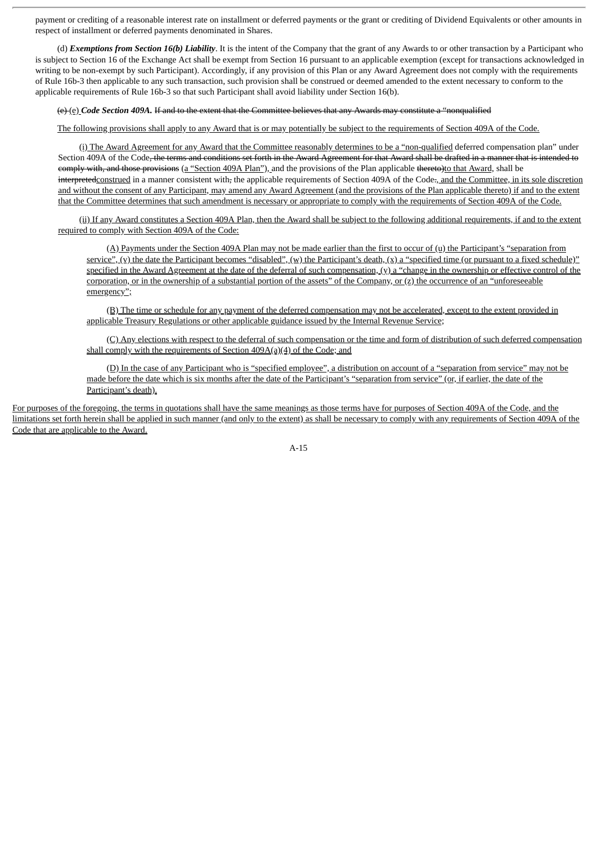payment or crediting of a reasonable interest rate on installment or deferred payments or the grant or crediting of Dividend Equivalents or other amounts in respect of installment or deferred payments denominated in Shares.

(d) *Exemptions from Section 16(b) Liability*. It is the intent of the Company that the grant of any Awards to or other transaction by a Participant who is subject to Section 16 of the Exchange Act shall be exempt from Section 16 pursuant to an applicable exemption (except for transactions acknowledged in writing to be non-exempt by such Participant). Accordingly, if any provision of this Plan or any Award Agreement does not comply with the requirements of Rule 16b-3 then applicable to any such transaction, such provision shall be construed or deemed amended to the extent necessary to conform to the applicable requirements of Rule 16b-3 so that such Participant shall avoid liability under Section 16(b).

#### (e) (e) *Code Section 409A.* If and to the extent that the Committee believes that any Awards may constitute a "nonqualified

The following provisions shall apply to any Award that is or may potentially be subject to the requirements of Section 409A of the Code.

(i) The Award Agreement for any Award that the Committee reasonably determines to be a "non-qualified deferred compensation plan" under Section 409A of the Code<del>, the terms and conditions set forth in the Award Agreement for that Award shall be drafted in a manner that is intended to</del> eomply with, and those provisions (a "Section 409A Plan"), and the provisions of the Plan applicable thereto)to that Award, shall be interpretedconstrued in a manner consistent with, the applicable requirements of Section 409A of the Code-, and the Committee, in its sole discretion and without the consent of any Participant, may amend any Award Agreement (and the provisions of the Plan applicable thereto) if and to the extent that the Committee determines that such amendment is necessary or appropriate to comply with the requirements of Section 409A of the Code.

(ii) If any Award constitutes a Section 409A Plan, then the Award shall be subject to the following additional requirements, if and to the extent required to comply with Section 409A of the Code:

(A) Payments under the Section 409A Plan may not be made earlier than the first to occur of (u) the Participant's "separation from service",  $(y)$  the date the Participant becomes "disabled",  $(y)$  the Participant's death,  $(x)$  a "specified time (or pursuant to a fixed schedule)" specified in the Award Agreement at the date of the deferral of such compensation,  $(y)$  a "change in the ownership or effective control of the corporation, or in the ownership of a substantial portion of the assets" of the Company, or (z) the occurrence of an "unforeseeable emergency";

(B) The time or schedule for any payment of the deferred compensation may not be accelerated, except to the extent provided in applicable Treasury Regulations or other applicable guidance issued by the Internal Revenue Service;

(C) Any elections with respect to the deferral of such compensation or the time and form of distribution of such deferred compensation shall comply with the requirements of Section 409A(a)(4) of the Code; and

(D) In the case of any Participant who is "specified employee", a distribution on account of a "separation from service" may not be made before the date which is six months after the date of the Participant's "separation from service" (or, if earlier, the date of the Participant's death).

For purposes of the foregoing, the terms in quotations shall have the same meanings as those terms have for purposes of Section 409A of the Code, and the limitations set forth herein shall be applied in such manner (and only to the extent) as shall be necessary to comply with any requirements of Section 409A of the Code that are applicable to the Award.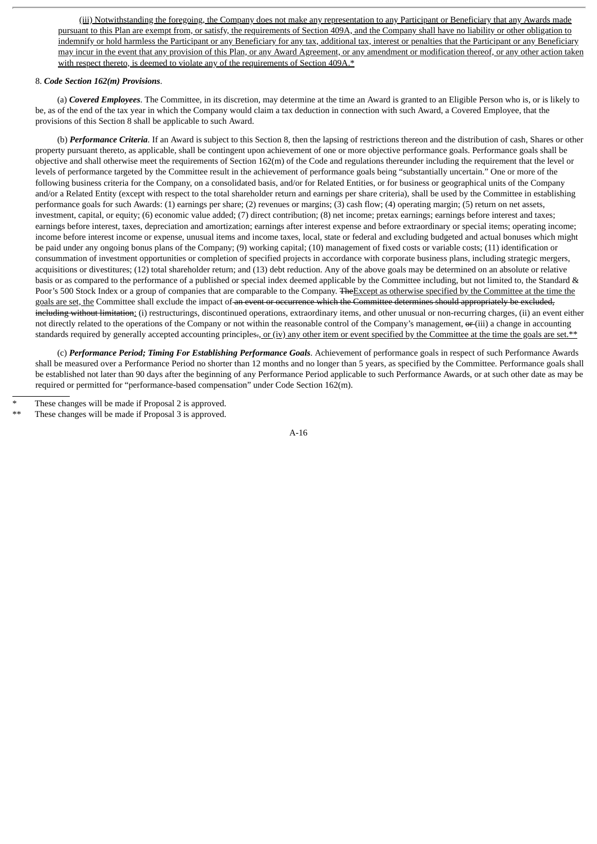(iii) Notwithstanding the foregoing, the Company does not make any representation to any Participant or Beneficiary that any Awards made pursuant to this Plan are exempt from, or satisfy, the requirements of Section 409A, and the Company shall have no liability or other obligation to indemnify or hold harmless the Participant or any Beneficiary for any tax, additional tax, interest or penalties that the Participant or any Beneficiary may incur in the event that any provision of this Plan, or any Award Agreement, or any amendment or modification thereof, or any other action taken with respect thereto, is deemed to violate any of the requirements of Section 409A.\*

# <span id="page-69-0"></span>8. *Code Section 162(m) Provisions*.

(a) *Covered Employees*. The Committee, in its discretion, may determine at the time an Award is granted to an Eligible Person who is, or is likely to be, as of the end of the tax year in which the Company would claim a tax deduction in connection with such Award, a Covered Employee, that the provisions of this Section 8 shall be applicable to such Award.

(b) *Performance Criteria*. If an Award is subject to this Section 8, then the lapsing of restrictions thereon and the distribution of cash, Shares or other property pursuant thereto, as applicable, shall be contingent upon achievement of one or more objective performance goals. Performance goals shall be objective and shall otherwise meet the requirements of Section 162(m) of the Code and regulations thereunder including the requirement that the level or levels of performance targeted by the Committee result in the achievement of performance goals being "substantially uncertain." One or more of the following business criteria for the Company, on a consolidated basis, and/or for Related Entities, or for business or geographical units of the Company and/or a Related Entity (except with respect to the total shareholder return and earnings per share criteria), shall be used by the Committee in establishing performance goals for such Awards: (1) earnings per share; (2) revenues or margins; (3) cash flow; (4) operating margin; (5) return on net assets, investment, capital, or equity; (6) economic value added; (7) direct contribution; (8) net income; pretax earnings; earnings before interest and taxes; earnings before interest, taxes, depreciation and amortization; earnings after interest expense and before extraordinary or special items; operating income; income before interest income or expense, unusual items and income taxes, local, state or federal and excluding budgeted and actual bonuses which might be paid under any ongoing bonus plans of the Company; (9) working capital; (10) management of fixed costs or variable costs; (11) identification or consummation of investment opportunities or completion of specified projects in accordance with corporate business plans, including strategic mergers, acquisitions or divestitures; (12) total shareholder return; and (13) debt reduction. Any of the above goals may be determined on an absolute or relative basis or as compared to the performance of a published or special index deemed applicable by the Committee including, but not limited to, the Standard & Poor's 500 Stock Index or a group of companies that are comparable to the Company. The Except as otherwise specified by the Committee at the time the goals are set, the Committee shall exclude the impact of an event or occurrence which the Committee determines should appropriately be excluded, including without limitation: (i) restructurings, discontinued operations, extraordinary items, and other unusual or non-recurring charges, (ii) an event either not directly related to the operations of the Company or not within the reasonable control of the Company's management,  $\sigma$  (iii) a change in accounting standards required by generally accepted accounting principles<del>.</del>, or (iv) any other item or event specified by the Committee at the time the goals are set.\*\*

(c) *Performance Period; Timing For Establishing Performance Goals*. Achievement of performance goals in respect of such Performance Awards shall be measured over a Performance Period no shorter than 12 months and no longer than 5 years, as specified by the Committee. Performance goals shall be established not later than 90 days after the beginning of any Performance Period applicable to such Performance Awards, or at such other date as may be required or permitted for "performance-based compensation" under Code Section 162(m).

These changes will be made if Proposal 3 is approved.

These changes will be made if Proposal 2 is approved.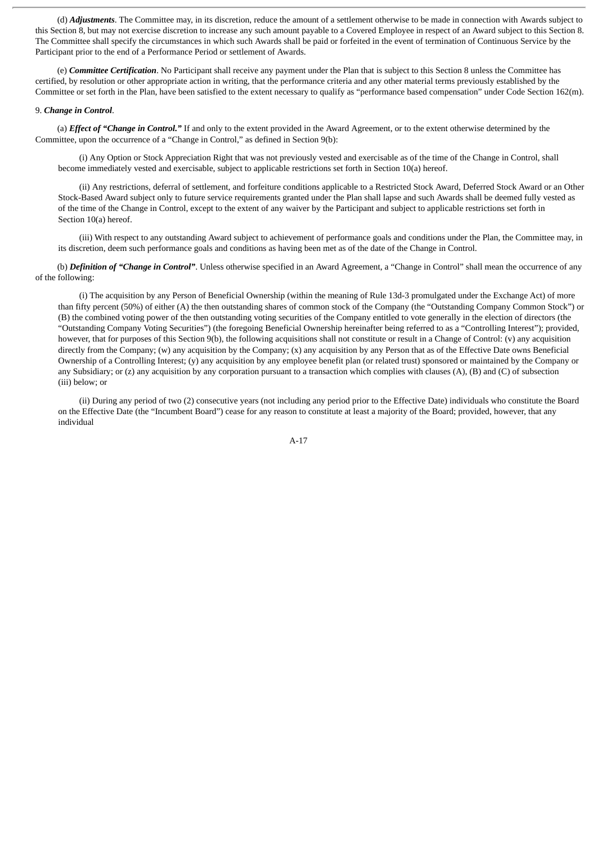(d) *Adjustments*. The Committee may, in its discretion, reduce the amount of a settlement otherwise to be made in connection with Awards subject to this Section 8, but may not exercise discretion to increase any such amount payable to a Covered Employee in respect of an Award subject to this Section 8. The Committee shall specify the circumstances in which such Awards shall be paid or forfeited in the event of termination of Continuous Service by the Participant prior to the end of a Performance Period or settlement of Awards.

(e) *Committee Certification*. No Participant shall receive any payment under the Plan that is subject to this Section 8 unless the Committee has certified, by resolution or other appropriate action in writing, that the performance criteria and any other material terms previously established by the Committee or set forth in the Plan, have been satisfied to the extent necessary to qualify as "performance based compensation" under Code Section 162(m).

#### <span id="page-70-0"></span>9. *Change in Control*.

(a) *Effect of "Change in Control."* If and only to the extent provided in the Award Agreement, or to the extent otherwise determined by the Committee, upon the occurrence of a "Change in Control," as defined in Section 9(b):

(i) Any Option or Stock Appreciation Right that was not previously vested and exercisable as of the time of the Change in Control, shall become immediately vested and exercisable, subject to applicable restrictions set forth in Section 10(a) hereof.

(ii) Any restrictions, deferral of settlement, and forfeiture conditions applicable to a Restricted Stock Award, Deferred Stock Award or an Other Stock-Based Award subject only to future service requirements granted under the Plan shall lapse and such Awards shall be deemed fully vested as of the time of the Change in Control, except to the extent of any waiver by the Participant and subject to applicable restrictions set forth in Section 10(a) hereof.

(iii) With respect to any outstanding Award subject to achievement of performance goals and conditions under the Plan, the Committee may, in its discretion, deem such performance goals and conditions as having been met as of the date of the Change in Control.

(b) *Definition of "Change in Control"*. Unless otherwise specified in an Award Agreement, a "Change in Control" shall mean the occurrence of any of the following:

(i) The acquisition by any Person of Beneficial Ownership (within the meaning of Rule 13d-3 promulgated under the Exchange Act) of more than fifty percent (50%) of either (A) the then outstanding shares of common stock of the Company (the "Outstanding Company Common Stock") or (B) the combined voting power of the then outstanding voting securities of the Company entitled to vote generally in the election of directors (the "Outstanding Company Voting Securities") (the foregoing Beneficial Ownership hereinafter being referred to as a "Controlling Interest"); provided, however, that for purposes of this Section 9(b), the following acquisitions shall not constitute or result in a Change of Control: (v) any acquisition directly from the Company; (w) any acquisition by the Company; (x) any acquisition by any Person that as of the Effective Date owns Beneficial Ownership of a Controlling Interest; (y) any acquisition by any employee benefit plan (or related trust) sponsored or maintained by the Company or any Subsidiary; or (z) any acquisition by any corporation pursuant to a transaction which complies with clauses (A), (B) and (C) of subsection (iii) below; or

(ii) During any period of two (2) consecutive years (not including any period prior to the Effective Date) individuals who constitute the Board on the Effective Date (the "Incumbent Board") cease for any reason to constitute at least a majority of the Board; provided, however, that any individual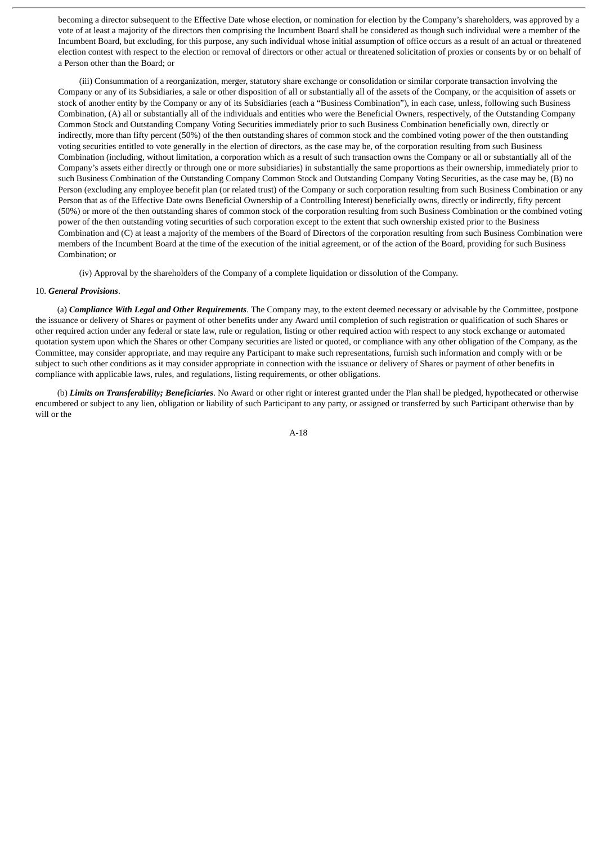becoming a director subsequent to the Effective Date whose election, or nomination for election by the Company's shareholders, was approved by a vote of at least a majority of the directors then comprising the Incumbent Board shall be considered as though such individual were a member of the Incumbent Board, but excluding, for this purpose, any such individual whose initial assumption of office occurs as a result of an actual or threatened election contest with respect to the election or removal of directors or other actual or threatened solicitation of proxies or consents by or on behalf of a Person other than the Board; or

(iii) Consummation of a reorganization, merger, statutory share exchange or consolidation or similar corporate transaction involving the Company or any of its Subsidiaries, a sale or other disposition of all or substantially all of the assets of the Company, or the acquisition of assets or stock of another entity by the Company or any of its Subsidiaries (each a "Business Combination"), in each case, unless, following such Business Combination, (A) all or substantially all of the individuals and entities who were the Beneficial Owners, respectively, of the Outstanding Company Common Stock and Outstanding Company Voting Securities immediately prior to such Business Combination beneficially own, directly or indirectly, more than fifty percent (50%) of the then outstanding shares of common stock and the combined voting power of the then outstanding voting securities entitled to vote generally in the election of directors, as the case may be, of the corporation resulting from such Business Combination (including, without limitation, a corporation which as a result of such transaction owns the Company or all or substantially all of the Company's assets either directly or through one or more subsidiaries) in substantially the same proportions as their ownership, immediately prior to such Business Combination of the Outstanding Company Common Stock and Outstanding Company Voting Securities, as the case may be, (B) no Person (excluding any employee benefit plan (or related trust) of the Company or such corporation resulting from such Business Combination or any Person that as of the Effective Date owns Beneficial Ownership of a Controlling Interest) beneficially owns, directly or indirectly, fifty percent (50%) or more of the then outstanding shares of common stock of the corporation resulting from such Business Combination or the combined voting power of the then outstanding voting securities of such corporation except to the extent that such ownership existed prior to the Business Combination and (C) at least a majority of the members of the Board of Directors of the corporation resulting from such Business Combination were members of the Incumbent Board at the time of the execution of the initial agreement, or of the action of the Board, providing for such Business Combination; or

(iv) Approval by the shareholders of the Company of a complete liquidation or dissolution of the Company.

# <span id="page-71-0"></span>10. *General Provisions*.

(a) *Compliance With Legal and Other Requirements*. The Company may, to the extent deemed necessary or advisable by the Committee, postpone the issuance or delivery of Shares or payment of other benefits under any Award until completion of such registration or qualification of such Shares or other required action under any federal or state law, rule or regulation, listing or other required action with respect to any stock exchange or automated quotation system upon which the Shares or other Company securities are listed or quoted, or compliance with any other obligation of the Company, as the Committee, may consider appropriate, and may require any Participant to make such representations, furnish such information and comply with or be subject to such other conditions as it may consider appropriate in connection with the issuance or delivery of Shares or payment of other benefits in compliance with applicable laws, rules, and regulations, listing requirements, or other obligations.

(b) *Limits on Transferability; Beneficiaries*. No Award or other right or interest granted under the Plan shall be pledged, hypothecated or otherwise encumbered or subject to any lien, obligation or liability of such Participant to any party, or assigned or transferred by such Participant otherwise than by will or the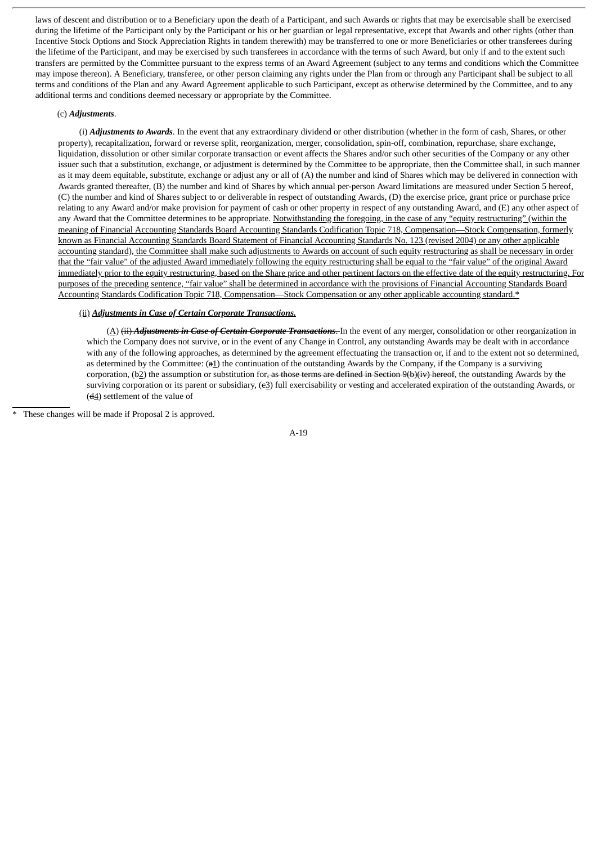laws of descent and distribution or to a Beneficiary upon the death of a Participant, and such Awards or rights that may be exercisable shall be exercised during the lifetime of the Participant only by the Participant or his or her guardian or legal representative, except that Awards and other rights (other than Incentive Stock Options and Stock Appreciation Rights in tandem therewith) may be transferred to one or more Beneficiaries or other transferees during the lifetime of the Participant, and may be exercised by such transferees in accordance with the terms of such Award, but only if and to the extent such transfers are permitted by the Committee pursuant to the express terms of an Award Agreement (subject to any terms and conditions which the Committee may impose thereon). A Beneficiary, transferee, or other person claiming any rights under the Plan from or through any Participant shall be subject to all terms and conditions of the Plan and any Award Agreement applicable to such Participant, except as otherwise determined by the Committee, and to any additional terms and conditions deemed necessary or appropriate by the Committee.

### (c) *Adjustments*.

(i) *Adjustments to Awards*. In the event that any extraordinary dividend or other distribution (whether in the form of cash, Shares, or other property), recapitalization, forward or reverse split, reorganization, merger, consolidation, spin-off, combination, repurchase, share exchange, liquidation, dissolution or other similar corporate transaction or event affects the Shares and/or such other securities of the Company or any other issuer such that a substitution, exchange, or adjustment is determined by the Committee to be appropriate, then the Committee shall, in such manner as it may deem equitable, substitute, exchange or adjust any or all of (A) the number and kind of Shares which may be delivered in connection with Awards granted thereafter, (B) the number and kind of Shares by which annual per-person Award limitations are measured under Section 5 hereof, (C) the number and kind of Shares subject to or deliverable in respect of outstanding Awards, (D) the exercise price, grant price or purchase price relating to any Award and/or make provision for payment of cash or other property in respect of any outstanding Award, and (E) any other aspect of any Award that the Committee determines to be appropriate. Notwithstanding the foregoing, in the case of any "equity restructuring" (within the meaning of Financial Accounting Standards Board Accounting Standards Codification Topic 718, Compensation—Stock Compensation, formerly known as Financial Accounting Standards Board Statement of Financial Accounting Standards No. 123 (revised 2004) or any other applicable accounting standard), the Committee shall make such adjustments to Awards on account of such equity restructuring as shall be necessary in order that the "fair value" of the adjusted Award immediately following the equity restructuring shall be equal to the "fair value" of the original Award immediately prior to the equity restructuring, based on the Share price and other pertinent factors on the effective date of the equity restructuring. For purposes of the preceding sentence, "fair value" shall be determined in accordance with the provisions of Financial Accounting Standards Board Accounting Standards Codification Topic 718, Compensation—Stock Compensation or any other applicable accounting standard.\*

#### (ii) *Adjustments in Case of Certain Corporate Transactions.*

(A) (ii) *Adjustments in Case of Certain Corporate Transactions*. In the event of any merger, consolidation or other reorganization in which the Company does not survive, or in the event of any Change in Control, any outstanding Awards may be dealt with in accordance with any of the following approaches, as determined by the agreement effectuating the transaction or, if and to the extent not so determined, as determined by the Committee:  $(a_1)$  the continuation of the outstanding Awards by the Company, if the Company is a surviving corporation,  $(b2)$  the assumption or substitution for, as those terms are defined in Section  $9(b)$  (iv) hereof, the outstanding Awards by the surviving corporation or its parent or subsidiary, (e3) full exercisability or vesting and accelerated expiration of the outstanding Awards, or  $(d_4)$  settlement of the value of

These changes will be made if Proposal 2 is approved.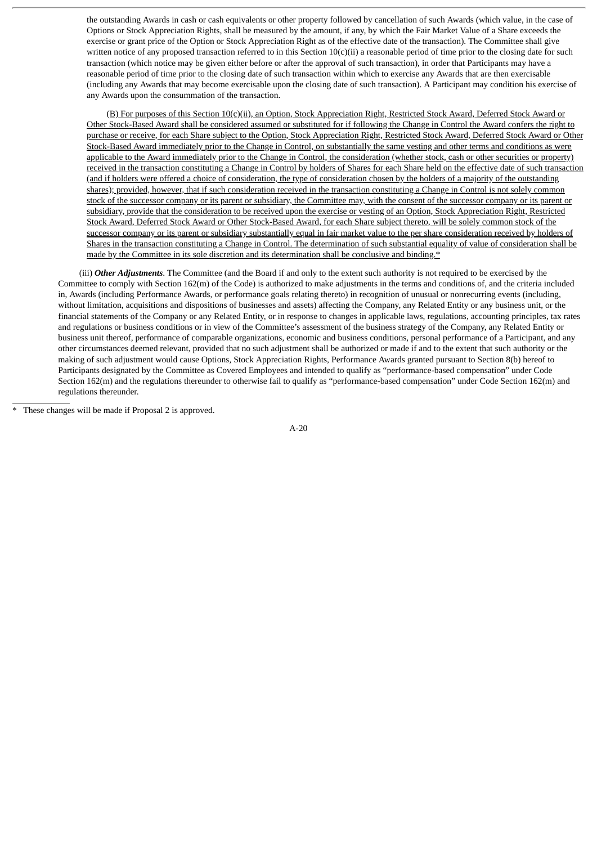the outstanding Awards in cash or cash equivalents or other property followed by cancellation of such Awards (which value, in the case of Options or Stock Appreciation Rights, shall be measured by the amount, if any, by which the Fair Market Value of a Share exceeds the exercise or grant price of the Option or Stock Appreciation Right as of the effective date of the transaction). The Committee shall give written notice of any proposed transaction referred to in this Section  $10(c)(ii)$  a reasonable period of time prior to the closing date for such transaction (which notice may be given either before or after the approval of such transaction), in order that Participants may have a reasonable period of time prior to the closing date of such transaction within which to exercise any Awards that are then exercisable (including any Awards that may become exercisable upon the closing date of such transaction). A Participant may condition his exercise of any Awards upon the consummation of the transaction.

(B) For purposes of this Section 10(c)(ii), an Option, Stock Appreciation Right, Restricted Stock Award, Deferred Stock Award or Other Stock-Based Award shall be considered assumed or substituted for if following the Change in Control the Award confers the right to purchase or receive, for each Share subject to the Option, Stock Appreciation Right, Restricted Stock Award, Deferred Stock Award or Other Stock-Based Award immediately prior to the Change in Control, on substantially the same vesting and other terms and conditions as were applicable to the Award immediately prior to the Change in Control, the consideration (whether stock, cash or other securities or property) received in the transaction constituting a Change in Control by holders of Shares for each Share held on the effective date of such transaction (and if holders were offered a choice of consideration, the type of consideration chosen by the holders of a majority of the outstanding shares); provided, however, that if such consideration received in the transaction constituting a Change in Control is not solely common stock of the successor company or its parent or subsidiary, the Committee may, with the consent of the successor company or its parent or subsidiary, provide that the consideration to be received upon the exercise or vesting of an Option, Stock Appreciation Right, Restricted Stock Award, Deferred Stock Award or Other Stock-Based Award, for each Share subject thereto, will be solely common stock of the successor company or its parent or subsidiary substantially equal in fair market value to the per share consideration received by holders of Shares in the transaction constituting a Change in Control. The determination of such substantial equality of value of consideration shall be made by the Committee in its sole discretion and its determination shall be conclusive and binding.\*

(iii) *Other Adjustments*. The Committee (and the Board if and only to the extent such authority is not required to be exercised by the Committee to comply with Section 162(m) of the Code) is authorized to make adjustments in the terms and conditions of, and the criteria included in, Awards (including Performance Awards, or performance goals relating thereto) in recognition of unusual or nonrecurring events (including, without limitation, acquisitions and dispositions of businesses and assets) affecting the Company, any Related Entity or any business unit, or the financial statements of the Company or any Related Entity, or in response to changes in applicable laws, regulations, accounting principles, tax rates and regulations or business conditions or in view of the Committee's assessment of the business strategy of the Company, any Related Entity or business unit thereof, performance of comparable organizations, economic and business conditions, personal performance of a Participant, and any other circumstances deemed relevant, provided that no such adjustment shall be authorized or made if and to the extent that such authority or the making of such adjustment would cause Options, Stock Appreciation Rights, Performance Awards granted pursuant to Section 8(b) hereof to Participants designated by the Committee as Covered Employees and intended to qualify as "performance-based compensation" under Code Section 162(m) and the regulations thereunder to otherwise fail to qualify as "performance-based compensation" under Code Section 162(m) and regulations thereunder.

These changes will be made if Proposal 2 is approved.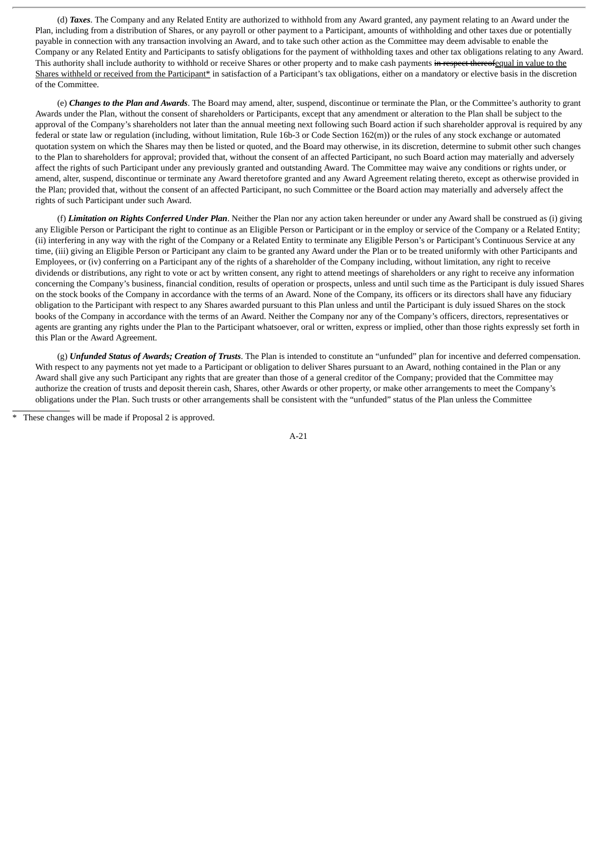(d) *Taxes*. The Company and any Related Entity are authorized to withhold from any Award granted, any payment relating to an Award under the Plan, including from a distribution of Shares, or any payroll or other payment to a Participant, amounts of withholding and other taxes due or potentially payable in connection with any transaction involving an Award, and to take such other action as the Committee may deem advisable to enable the Company or any Related Entity and Participants to satisfy obligations for the payment of withholding taxes and other tax obligations relating to any Award. This authority shall include authority to withhold or receive Shares or other property and to make cash payments in respect thereofequal in value to the Shares withheld or received from the Participant\* in satisfaction of a Participant's tax obligations, either on a mandatory or elective basis in the discretion of the Committee.

(e) *Changes to the Plan and Awards*. The Board may amend, alter, suspend, discontinue or terminate the Plan, or the Committee's authority to grant Awards under the Plan, without the consent of shareholders or Participants, except that any amendment or alteration to the Plan shall be subject to the approval of the Company's shareholders not later than the annual meeting next following such Board action if such shareholder approval is required by any federal or state law or regulation (including, without limitation, Rule 16b-3 or Code Section 162(m)) or the rules of any stock exchange or automated quotation system on which the Shares may then be listed or quoted, and the Board may otherwise, in its discretion, determine to submit other such changes to the Plan to shareholders for approval; provided that, without the consent of an affected Participant, no such Board action may materially and adversely affect the rights of such Participant under any previously granted and outstanding Award. The Committee may waive any conditions or rights under, or amend, alter, suspend, discontinue or terminate any Award theretofore granted and any Award Agreement relating thereto, except as otherwise provided in the Plan; provided that, without the consent of an affected Participant, no such Committee or the Board action may materially and adversely affect the rights of such Participant under such Award.

(f) *Limitation on Rights Conferred Under Plan*. Neither the Plan nor any action taken hereunder or under any Award shall be construed as (i) giving any Eligible Person or Participant the right to continue as an Eligible Person or Participant or in the employ or service of the Company or a Related Entity; (ii) interfering in any way with the right of the Company or a Related Entity to terminate any Eligible Person's or Participant's Continuous Service at any time, (iii) giving an Eligible Person or Participant any claim to be granted any Award under the Plan or to be treated uniformly with other Participants and Employees, or (iv) conferring on a Participant any of the rights of a shareholder of the Company including, without limitation, any right to receive dividends or distributions, any right to vote or act by written consent, any right to attend meetings of shareholders or any right to receive any information concerning the Company's business, financial condition, results of operation or prospects, unless and until such time as the Participant is duly issued Shares on the stock books of the Company in accordance with the terms of an Award. None of the Company, its officers or its directors shall have any fiduciary obligation to the Participant with respect to any Shares awarded pursuant to this Plan unless and until the Participant is duly issued Shares on the stock books of the Company in accordance with the terms of an Award. Neither the Company nor any of the Company's officers, directors, representatives or agents are granting any rights under the Plan to the Participant whatsoever, oral or written, express or implied, other than those rights expressly set forth in this Plan or the Award Agreement.

(g) *Unfunded Status of Awards; Creation of Trusts*. The Plan is intended to constitute an "unfunded" plan for incentive and deferred compensation. With respect to any payments not yet made to a Participant or obligation to deliver Shares pursuant to an Award, nothing contained in the Plan or any Award shall give any such Participant any rights that are greater than those of a general creditor of the Company; provided that the Committee may authorize the creation of trusts and deposit therein cash, Shares, other Awards or other property, or make other arrangements to meet the Company's obligations under the Plan. Such trusts or other arrangements shall be consistent with the "unfunded" status of the Plan unless the Committee

These changes will be made if Proposal 2 is approved.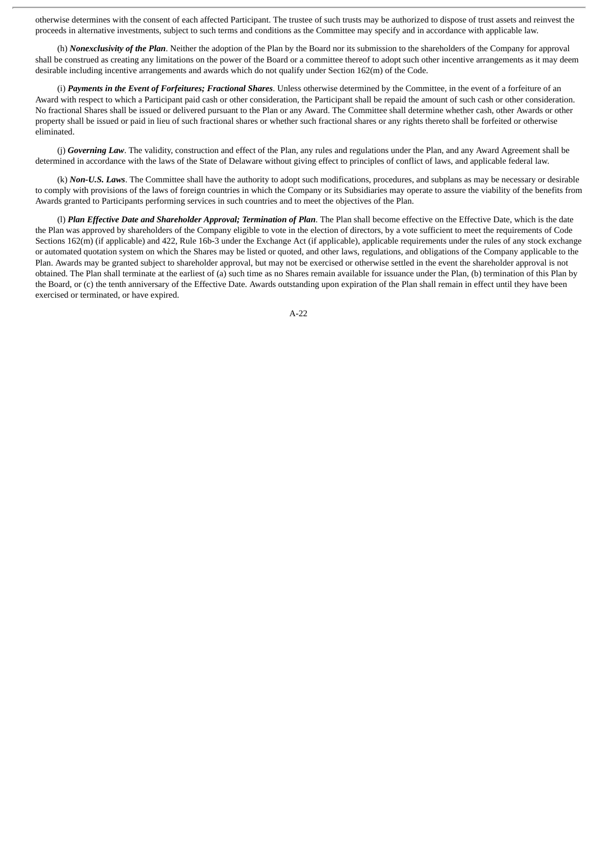otherwise determines with the consent of each affected Participant. The trustee of such trusts may be authorized to dispose of trust assets and reinvest the proceeds in alternative investments, subject to such terms and conditions as the Committee may specify and in accordance with applicable law.

(h) *Nonexclusivity of the Plan*. Neither the adoption of the Plan by the Board nor its submission to the shareholders of the Company for approval shall be construed as creating any limitations on the power of the Board or a committee thereof to adopt such other incentive arrangements as it may deem desirable including incentive arrangements and awards which do not qualify under Section 162(m) of the Code.

(i) *Payments in the Event of Forfeitures; Fractional Shares*. Unless otherwise determined by the Committee, in the event of a forfeiture of an Award with respect to which a Participant paid cash or other consideration, the Participant shall be repaid the amount of such cash or other consideration. No fractional Shares shall be issued or delivered pursuant to the Plan or any Award. The Committee shall determine whether cash, other Awards or other property shall be issued or paid in lieu of such fractional shares or whether such fractional shares or any rights thereto shall be forfeited or otherwise eliminated.

(j) *Governing Law*. The validity, construction and effect of the Plan, any rules and regulations under the Plan, and any Award Agreement shall be determined in accordance with the laws of the State of Delaware without giving effect to principles of conflict of laws, and applicable federal law.

(k) *Non-U.S. Laws*. The Committee shall have the authority to adopt such modifications, procedures, and subplans as may be necessary or desirable to comply with provisions of the laws of foreign countries in which the Company or its Subsidiaries may operate to assure the viability of the benefits from Awards granted to Participants performing services in such countries and to meet the objectives of the Plan.

(l) *Plan Effective Date and Shareholder Approval; Termination of Plan*. The Plan shall become effective on the Effective Date, which is the date the Plan was approved by shareholders of the Company eligible to vote in the election of directors, by a vote sufficient to meet the requirements of Code Sections 162(m) (if applicable) and 422, Rule 16b-3 under the Exchange Act (if applicable), applicable requirements under the rules of any stock exchange or automated quotation system on which the Shares may be listed or quoted, and other laws, regulations, and obligations of the Company applicable to the Plan. Awards may be granted subject to shareholder approval, but may not be exercised or otherwise settled in the event the shareholder approval is not obtained. The Plan shall terminate at the earliest of (a) such time as no Shares remain available for issuance under the Plan, (b) termination of this Plan by the Board, or (c) the tenth anniversary of the Effective Date. Awards outstanding upon expiration of the Plan shall remain in effect until they have been exercised or terminated, or have expired.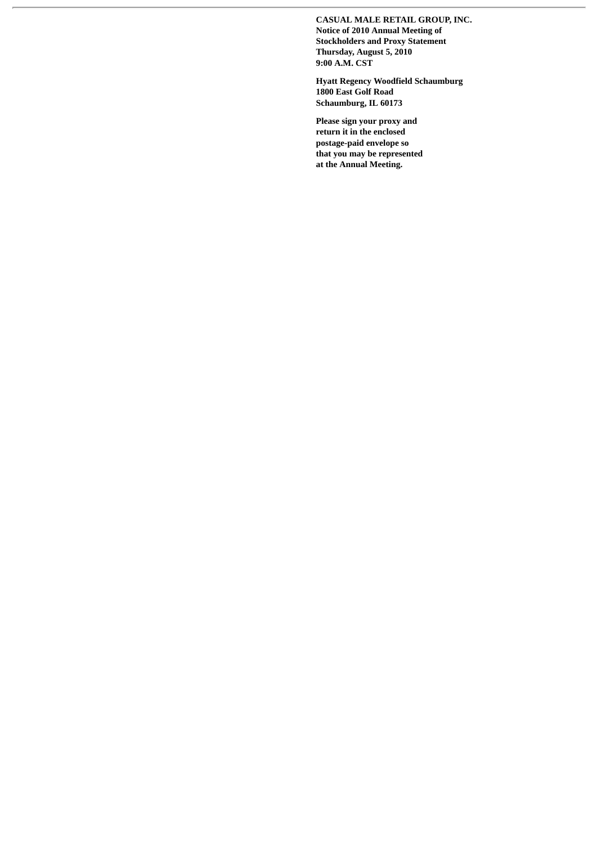**CASUAL MALE RETAIL GROUP, INC. Notice of 2010 Annual Meeting of Stockholders and Proxy Statement Thursday, August 5, 2010 9:00 A.M. CST**

**Hyatt Regency Woodfield Schaumburg 1800 East Golf Road Schaumburg, IL 60173**

**Please sign your proxy and return it in the enclosed postage-paid envelope so that you may be represented at the Annual Meeting.**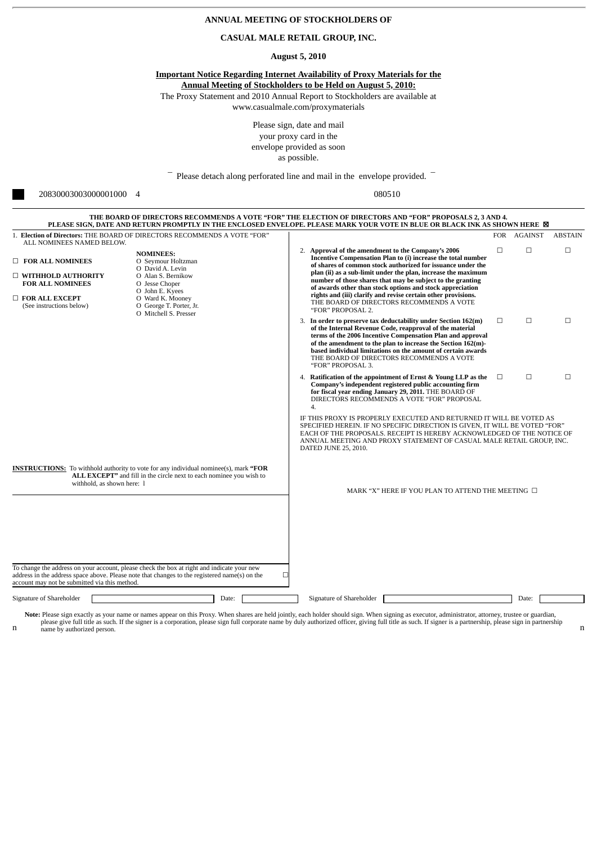| ANNUAL MEETING OF STOCKHOLDERS OF                                                                                                                                                                                                                                                              |                                                                                                                                                                                               |       |                                                                                   |              |                                                                                                                                                                                                                                                                               |                                                                                                                                                                                                                                                                                                                                                                                                                                                                                                                                          |        |             |                |
|------------------------------------------------------------------------------------------------------------------------------------------------------------------------------------------------------------------------------------------------------------------------------------------------|-----------------------------------------------------------------------------------------------------------------------------------------------------------------------------------------------|-------|-----------------------------------------------------------------------------------|--------------|-------------------------------------------------------------------------------------------------------------------------------------------------------------------------------------------------------------------------------------------------------------------------------|------------------------------------------------------------------------------------------------------------------------------------------------------------------------------------------------------------------------------------------------------------------------------------------------------------------------------------------------------------------------------------------------------------------------------------------------------------------------------------------------------------------------------------------|--------|-------------|----------------|
| CASUAL MALE RETAIL GROUP, INC.                                                                                                                                                                                                                                                                 |                                                                                                                                                                                               |       |                                                                                   |              |                                                                                                                                                                                                                                                                               |                                                                                                                                                                                                                                                                                                                                                                                                                                                                                                                                          |        |             |                |
| <b>August 5, 2010</b>                                                                                                                                                                                                                                                                          |                                                                                                                                                                                               |       |                                                                                   |              |                                                                                                                                                                                                                                                                               |                                                                                                                                                                                                                                                                                                                                                                                                                                                                                                                                          |        |             |                |
|                                                                                                                                                                                                                                                                                                |                                                                                                                                                                                               |       | Please sign, date and mail<br>your proxy card in the<br>envelope provided as soon | as possible. | <b>Important Notice Regarding Internet Availability of Proxy Materials for the</b><br><b>Annual Meeting of Stockholders to be Held on August 5, 2010:</b><br>The Proxy Statement and 2010 Annual Report to Stockholders are available at<br>www.casualmale.com/proxymaterials |                                                                                                                                                                                                                                                                                                                                                                                                                                                                                                                                          |        |             |                |
|                                                                                                                                                                                                                                                                                                |                                                                                                                                                                                               |       |                                                                                   |              | Please detach along perforated line and mail in the envelope provided.                                                                                                                                                                                                        |                                                                                                                                                                                                                                                                                                                                                                                                                                                                                                                                          |        |             |                |
| 20830003003000001000<br>$\overline{4}$                                                                                                                                                                                                                                                         |                                                                                                                                                                                               |       |                                                                                   | 080510       |                                                                                                                                                                                                                                                                               |                                                                                                                                                                                                                                                                                                                                                                                                                                                                                                                                          |        |             |                |
|                                                                                                                                                                                                                                                                                                |                                                                                                                                                                                               |       |                                                                                   |              |                                                                                                                                                                                                                                                                               | THE BOARD OF DIRECTORS RECOMMENDS A VOTE "FOR" THE ELECTION OF DIRECTORS AND "FOR" PROPOSALS 2, 3 AND 4.<br>PLEASE SIGN, DATE AND RETURN PROMPTLY IN THE ENCLOSED ENVELOPE. PLEASE MARK YOUR VOTE IN BLUE OR BLACK INK AS SHOWN HERE ⊠                                                                                                                                                                                                                                                                                                   |        |             |                |
| 1. Election of Directors: THE BOARD OF DIRECTORS RECOMMENDS A VOTE "FOR"                                                                                                                                                                                                                       |                                                                                                                                                                                               |       |                                                                                   |              |                                                                                                                                                                                                                                                                               |                                                                                                                                                                                                                                                                                                                                                                                                                                                                                                                                          |        | FOR AGAINST | <b>ABSTAIN</b> |
| ALL NOMINEES NAMED BELOW.<br><b>FOR ALL NOMINEES</b><br>$\Box$ WITHHOLD AUTHORITY<br><b>FOR ALL NOMINEES</b><br>$\Box$ FOR ALL EXCEPT<br>(See instructions below)                                                                                                                              | <b>NOMINEES:</b><br>O Seymour Holtzman<br>O David A. Levin<br>O Alan S. Bernikow<br>O Jesse Choper<br>O John E. Kyees<br>O Ward K. Mooney<br>O George T. Porter, Jr.<br>O Mitchell S. Presser |       |                                                                                   |              | "FOR" PROPOSAL 2.                                                                                                                                                                                                                                                             | 2. Approval of the amendment to the Company's 2006<br>Incentive Compensation Plan to (i) increase the total number<br>of shares of common stock authorized for issuance under the<br>plan (ii) as a sub-limit under the plan, increase the maximum<br>number of those shares that may be subject to the granting<br>of awards other than stock options and stock appreciation<br>rights and (iii) clarify and revise certain other provisions.<br>THE BOARD OF DIRECTORS RECOMMENDS A VOTE                                               | $\Box$ | □           | □              |
|                                                                                                                                                                                                                                                                                                |                                                                                                                                                                                               |       |                                                                                   |              | "FOR" PROPOSAL 3.                                                                                                                                                                                                                                                             | 3. In order to preserve tax deductability under Section 162(m)<br>of the Internal Revenue Code, reapproval of the material<br>terms of the 2006 Incentive Compensation Plan and approval<br>of the amendment to the plan to increase the Section 162(m)-<br>based individual limitations on the amount of certain awards<br>THE BOARD OF DIRECTORS RECOMMENDS A VOTE                                                                                                                                                                     | $\Box$ | $\Box$      | $\Box$         |
|                                                                                                                                                                                                                                                                                                |                                                                                                                                                                                               |       |                                                                                   |              | 4.<br>DATED JUNE 25, 2010.                                                                                                                                                                                                                                                    | 4. Ratification of the appointment of Ernst & Young LLP as the<br>Company's independent registered public accounting firm<br>for fiscal year ending January 29, 2011. THE BOARD OF<br>DIRECTORS RECOMMENDS A VOTE "FOR" PROPOSAL<br>IF THIS PROXY IS PROPERLY EXECUTED AND RETURNED IT WILL BE VOTED AS<br>SPECIFIED HEREIN. IF NO SPECIFIC DIRECTION IS GIVEN, IT WILL BE VOTED "FOR"<br>EACH OF THE PROPOSALS. RECEIPT IS HEREBY ACKNOWLEDGED OF THE NOTICE OF<br>ANNUAL MEETING AND PROXY STATEMENT OF CASUAL MALE RETAIL GROUP, INC. | $\Box$ | □           | $\Box$         |
| <b>INSTRUCTIONS:</b> To withhold authority to vote for any individual nominee(s), mark "FOR<br>ALL EXCEPT" and fill in the circle next to each nominee you wish to<br>withhold, as shown here: 1<br>To change the address on your account, please check the box at right and indicate your new |                                                                                                                                                                                               |       |                                                                                   |              | MARK "X" HERE IF YOU PLAN TO ATTEND THE MEETING $\Box$                                                                                                                                                                                                                        |                                                                                                                                                                                                                                                                                                                                                                                                                                                                                                                                          |        |             |                |
| address in the address space above. Please note that changes to the registered name(s) on the<br>□<br>account may not be submitted via this method.                                                                                                                                            |                                                                                                                                                                                               |       |                                                                                   |              |                                                                                                                                                                                                                                                                               |                                                                                                                                                                                                                                                                                                                                                                                                                                                                                                                                          |        |             |                |
| Signature of Shareholder                                                                                                                                                                                                                                                                       |                                                                                                                                                                                               | Date: |                                                                                   |              | Signature of Shareholder                                                                                                                                                                                                                                                      |                                                                                                                                                                                                                                                                                                                                                                                                                                                                                                                                          |        | Date:       |                |

n Note: Please sign exactly as your name or names appear on this Proxy. When shares are held jointly, each holder should sign. When signing as executor, administrator, attorney, trustee or guardian, please sign so executor.